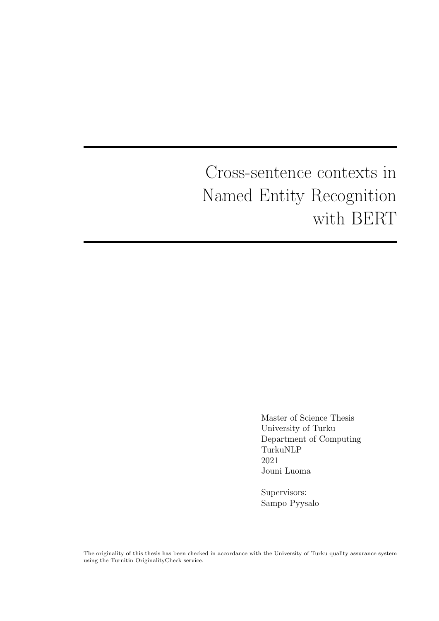# Cross-sentence contexts in Named Entity Recognition with BERT

Master of Science Thesis University of Turku Department of Computing TurkuNLP 2021 Jouni Luoma

Supervisors: Sampo Pyysalo

The originality of this thesis has been checked in accordance with the University of Turku quality assurance system using the Turnitin OriginalityCheck service.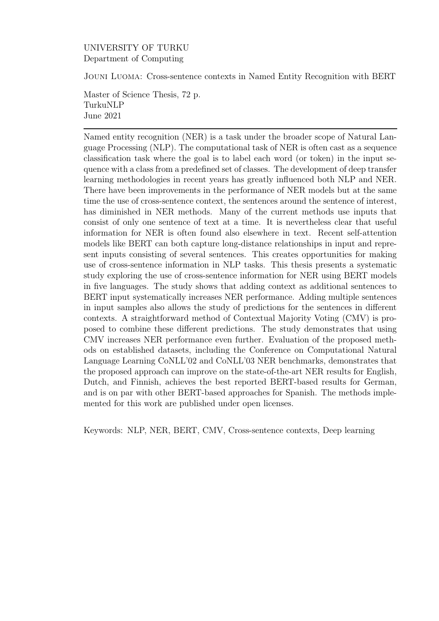#### UNIVERSITY OF TURKU Department of Computing

Jouni Luoma: Cross-sentence contexts in Named Entity Recognition with BERT

Master of Science Thesis, 72 p. TurkuNLP June 2021

Named entity recognition (NER) is a task under the broader scope of Natural Language Processing (NLP). The computational task of NER is often cast as a sequence classifcation task where the goal is to label each word (or token) in the input sequence with a class from a predefned set of classes. The development of deep transfer learning methodologies in recent years has greatly infuenced both NLP and NER. There have been improvements in the performance of NER models but at the same time the use of cross-sentence context, the sentences around the sentence of interest, has diminished in NER methods. Many of the current methods use inputs that consist of only one sentence of text at a time. It is nevertheless clear that useful information for NER is often found also elsewhere in text. Recent self-attention models like BERT can both capture long-distance relationships in input and represent inputs consisting of several sentences. This creates opportunities for making use of cross-sentence information in NLP tasks. This thesis presents a systematic study exploring the use of cross-sentence information for NER using BERT models in fve languages. The study shows that adding context as additional sentences to BERT input systematically increases NER performance. Adding multiple sentences in input samples also allows the study of predictions for the sentences in diferent contexts. A straightforward method of Contextual Majority Voting (CMV) is proposed to combine these diferent predictions. The study demonstrates that using CMV increases NER performance even further. Evaluation of the proposed methods on established datasets, including the Conference on Computational Natural Language Learning CoNLL'02 and CoNLL'03 NER benchmarks, demonstrates that the proposed approach can improve on the state-of-the-art NER results for English, Dutch, and Finnish, achieves the best reported BERT-based results for German, and is on par with other BERT-based approaches for Spanish. The methods implemented for this work are published under open licenses.

Keywords: NLP, NER, BERT, CMV, Cross-sentence contexts, Deep learning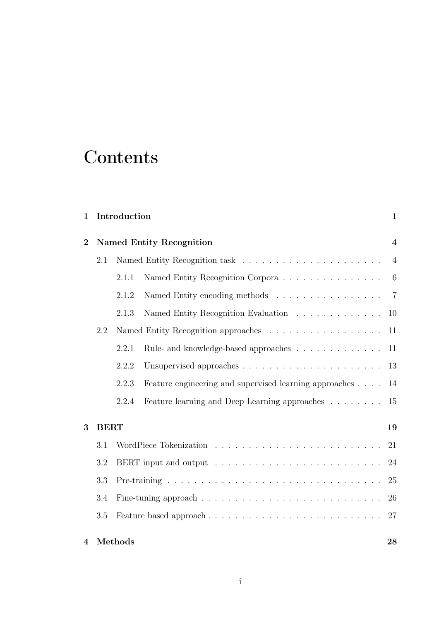### **Contents**

| $\mathbf{1}$   |             | Introduction                    |                                                        |                  |
|----------------|-------------|---------------------------------|--------------------------------------------------------|------------------|
| $\overline{2}$ |             | <b>Named Entity Recognition</b> |                                                        |                  |
|                | 2.1         |                                 |                                                        | $\overline{4}$   |
|                |             | 2.1.1                           | Named Entity Recognition Corpora                       | $\boldsymbol{6}$ |
|                |             | 2.1.2                           |                                                        | $\overline{7}$   |
|                |             | 2.1.3                           | Named Entity Recognition Evaluation                    | 10               |
|                | 2.2         |                                 |                                                        | 11               |
|                |             | 2.2.1                           | Rule- and knowledge-based approaches                   | 11               |
|                |             | 2.2.2                           |                                                        | 13               |
|                |             | 2.2.3                           | Feature engineering and supervised learning approaches | 14               |
|                |             | 2.2.4                           | Feature learning and Deep Learning approaches          | 15               |
| 3              | <b>BERT</b> |                                 |                                                        | 19               |
|                | 3.1         |                                 |                                                        | 21               |
|                | 3.2         |                                 |                                                        | 24               |
|                | 3.3         |                                 |                                                        | 25               |
|                | 3.4         |                                 |                                                        | 26               |
|                | 3.5         |                                 | Feature based approach                                 | 27               |
| 4              |             | Methods                         |                                                        | 28               |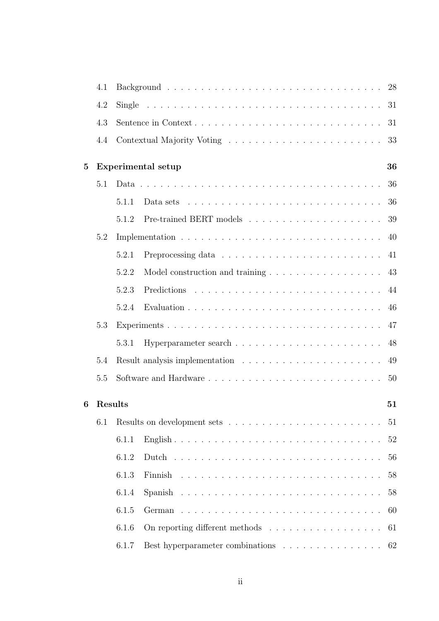|   | 4.1     |       |                                                                                     | 28 |
|---|---------|-------|-------------------------------------------------------------------------------------|----|
|   | 4.2     |       |                                                                                     | 31 |
|   | 4.3     |       | Sentence in Context                                                                 | 31 |
|   | 4.4     |       |                                                                                     | 33 |
| 5 |         |       | Experimental setup                                                                  | 36 |
|   | 5.1     |       |                                                                                     | 36 |
|   |         | 5.1.1 | Data sets $\dots \dots \dots \dots \dots \dots \dots \dots \dots \dots \dots \dots$ | 36 |
|   |         | 5.1.2 |                                                                                     | 39 |
|   | 5.2     |       |                                                                                     | 40 |
|   |         | 5.2.1 |                                                                                     | 41 |
|   |         | 5.2.2 |                                                                                     | 43 |
|   |         | 5.2.3 |                                                                                     | 44 |
|   |         | 5.2.4 |                                                                                     | 46 |
|   | 5.3     |       |                                                                                     | 47 |
|   |         | 5.3.1 |                                                                                     | 48 |
|   | 5.4     |       |                                                                                     | 49 |
|   | 5.5     |       |                                                                                     | 50 |
| 6 | Results |       |                                                                                     | 51 |
|   | 6.1     |       |                                                                                     | 51 |
|   |         | 6.1.1 |                                                                                     | 52 |
|   |         | 6.1.2 |                                                                                     | 56 |
|   |         | 6.1.3 |                                                                                     | 58 |
|   |         | 6.1.4 |                                                                                     | 58 |
|   |         | 6.1.5 |                                                                                     | 60 |
|   |         | 6.1.6 | On reporting different methods $\dots \dots \dots \dots \dots \dots$                | 61 |
|   |         | 6.1.7 | Best hyperparameter combinations 62                                                 |    |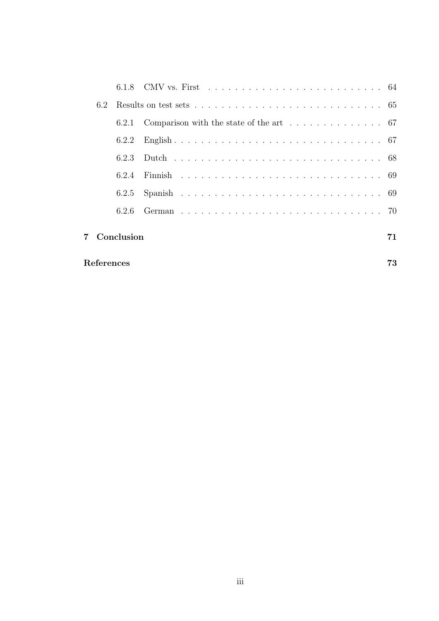|            | 6.2 |            |  |    |
|------------|-----|------------|--|----|
|            |     |            |  |    |
|            |     | 6.2.2      |  |    |
|            |     | 6.2.3      |  |    |
|            |     | 6.2.4      |  |    |
|            |     | 6.2.5      |  |    |
|            |     | 6.2.6      |  |    |
|            |     | Conclusion |  | 71 |
| References |     |            |  |    |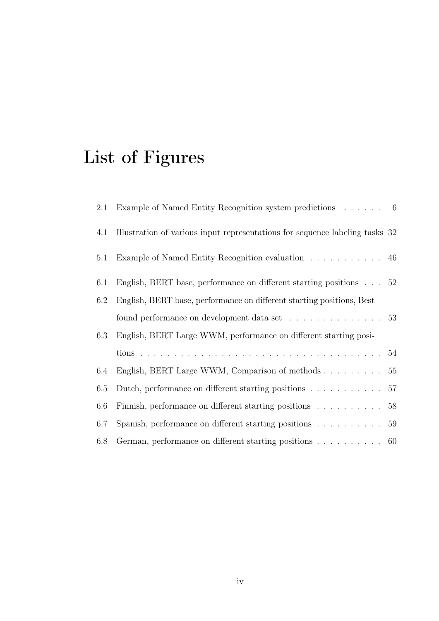# List of Figures

| 2.1 | Example of Named Entity Recognition system predictions $\dots \dots$ 6              |  |
|-----|-------------------------------------------------------------------------------------|--|
| 4.1 | Illustration of various input representations for sequence labeling tasks 32        |  |
| 5.1 | Example of Named Entity Recognition evaluation 46                                   |  |
| 6.1 | English, BERT base, performance on different starting positions $\ldots$ 52         |  |
| 6.2 | English, BERT base, performance on different starting positions, Best               |  |
|     | found performance on development data set $\dots \dots \dots \dots \dots$ 53        |  |
| 6.3 | English, BERT Large WWM, performance on different starting posi-                    |  |
|     |                                                                                     |  |
| 6.4 | English, BERT Large WWM, Comparison of methods $\ldots \ldots \ldots 55$            |  |
| 6.5 | Dutch, performance on different starting positions $\ldots \ldots \ldots \ldots$ 57 |  |
| 6.6 | Finnish, performance on different starting positions $\ldots \ldots \ldots 58$      |  |
| 6.7 | Spanish, performance on different starting positions $\ldots \ldots \ldots$ 59      |  |
| 6.8 | German, performance on different starting positions $\ldots \ldots \ldots$ 60       |  |
|     |                                                                                     |  |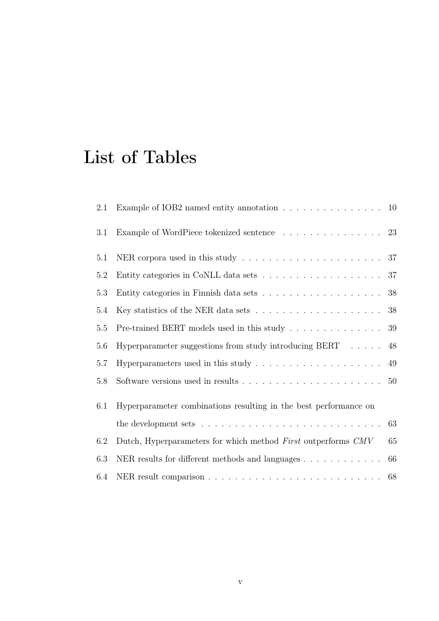## List of Tables

| 2.1     | Example of IOB2 named entity annotation $\ldots \ldots \ldots \ldots \ldots \ldots$ 10       |        |
|---------|----------------------------------------------------------------------------------------------|--------|
| 3.1     | Example of WordPiece tokenized sentence $\ldots \ldots \ldots \ldots \ldots$ 23              |        |
| 5.1     | NER corpora used in this study $\ldots \ldots \ldots \ldots \ldots \ldots \ldots 37$         |        |
| 5.2     |                                                                                              |        |
| 5.3     | Entity categories in Finnish data sets $\ldots \ldots \ldots \ldots \ldots \ldots \ldots 38$ |        |
| 5.4     | Key statistics of the NER data sets $\ldots \ldots \ldots \ldots \ldots \ldots \ldots 38$    |        |
| $5.5\,$ | Pre-trained BERT models used in this study $\ldots \ldots \ldots \ldots \ldots 39$           |        |
| 5.6     | Hyperparameter suggestions from study introducing BERT $\ldots$ . 48                         |        |
| $5.7\,$ | Hyperparameters used in this study $\ldots \ldots \ldots \ldots \ldots \ldots$ 49            |        |
| 5.8     |                                                                                              |        |
| 6.1     | Hyperparameter combinations resulting in the best performance on                             |        |
|         | the development sets $\dots \dots \dots \dots \dots \dots \dots \dots \dots \dots \dots$     | 63     |
| 6.2     | Dutch, Hyperparameters for which method First outperforms CMV                                | $65\,$ |
| 6.3     |                                                                                              | 66     |
| 6.4     |                                                                                              |        |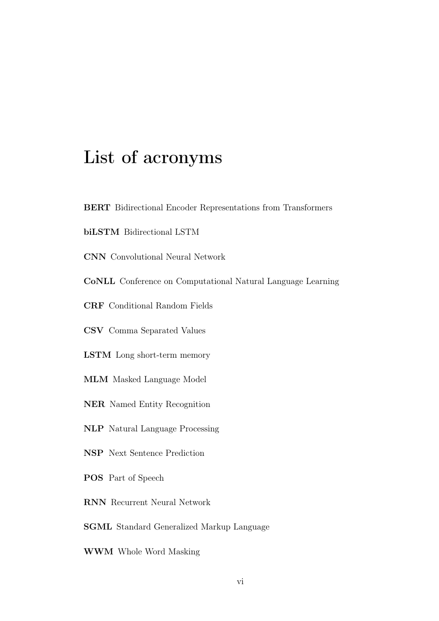### List of acronyms

- BERT Bidirectional Encoder Representations from Transformers
- biLSTM Bidirectional LSTM
- CNN Convolutional Neural Network
- CoNLL Conference on Computational Natural Language Learning
- CRF Conditional Random Fields
- CSV Comma Separated Values
- LSTM Long short-term memory
- MLM Masked Language Model
- NER Named Entity Recognition
- NLP Natural Language Processing
- NSP Next Sentence Prediction
- POS Part of Speech
- RNN Recurrent Neural Network
- SGML Standard Generalized Markup Language
- WWM Whole Word Masking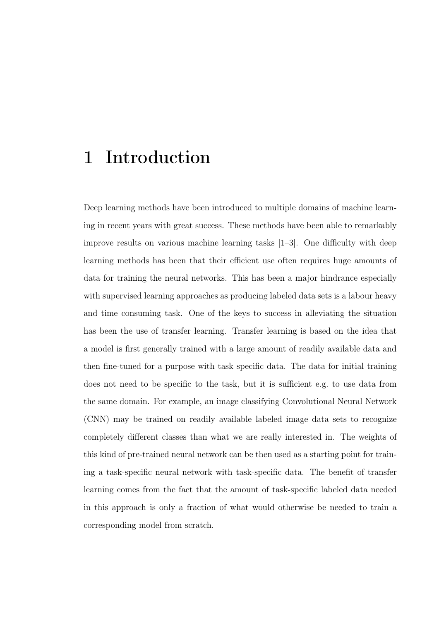### <span id="page-8-0"></span>1 Introduction

Deep learning methods have been introduced to multiple domains of machine learning in recent years with great success. These methods have been able to remarkably improve results on various machine learning tasks  $[1-3]$  $[1-3]$ . One difficulty with deep learning methods has been that their efficient use often requires huge amounts of data for training the neural networks. This has been a major hindrance especially with supervised learning approaches as producing labeled data sets is a labour heavy and time consuming task. One of the keys to success in alleviating the situation has been the use of transfer learning. Transfer learning is based on the idea that a model is frst generally trained with a large amount of readily available data and then fne-tuned for a purpose with task specifc data. The data for initial training does not need to be specific to the task, but it is sufficient e.g. to use data from the same domain. For example, an image classifying Convolutional Neural Network (CNN) may be trained on readily available labeled image data sets to recognize completely diferent classes than what we are really interested in. The weights of this kind of pre-trained neural network can be then used as a starting point for training a task-specifc neural network with task-specifc data. The beneft of transfer learning comes from the fact that the amount of task-specifc labeled data needed in this approach is only a fraction of what would otherwise be needed to train a corresponding model from scratch.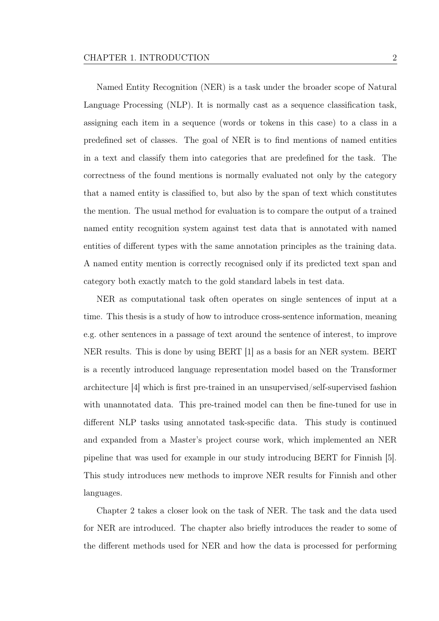Named Entity Recognition (NER) is a task under the broader scope of Natural Language Processing (NLP). It is normally cast as a sequence classifcation task, assigning each item in a sequence (words or tokens in this case) to a class in a predefned set of classes. The goal of NER is to fnd mentions of named entities in a text and classify them into categories that are predefned for the task. The correctness of the found mentions is normally evaluated not only by the category that a named entity is classifed to, but also by the span of text which constitutes the mention. The usual method for evaluation is to compare the output of a trained named entity recognition system against test data that is annotated with named entities of diferent types with the same annotation principles as the training data. A named entity mention is correctly recognised only if its predicted text span and category both exactly match to the gold standard labels in test data.

NER as computational task often operates on single sentences of input at a time. This thesis is a study of how to introduce cross-sentence information, meaning e.g. other sentences in a passage of text around the sentence of interest, to improve NER results. This is done by using BERT [\[1\]](#page-80-1) as a basis for an NER system. BERT is a recently introduced language representation model based on the Transformer architecture [\[4\]](#page-80-3) which is frst pre-trained in an unsupervised/self-supervised fashion with unannotated data. This pre-trained model can then be fne-tuned for use in diferent NLP tasks using annotated task-specifc data. This study is continued and expanded from a Master's project course work, which implemented an NER pipeline that was used for example in our study introducing BERT for Finnish [\[5\]](#page-81-0). This study introduces new methods to improve NER results for Finnish and other languages.

Chapter [2](#page-11-0) takes a closer look on the task of NER. The task and the data used for NER are introduced. The chapter also briefy introduces the reader to some of the diferent methods used for NER and how the data is processed for performing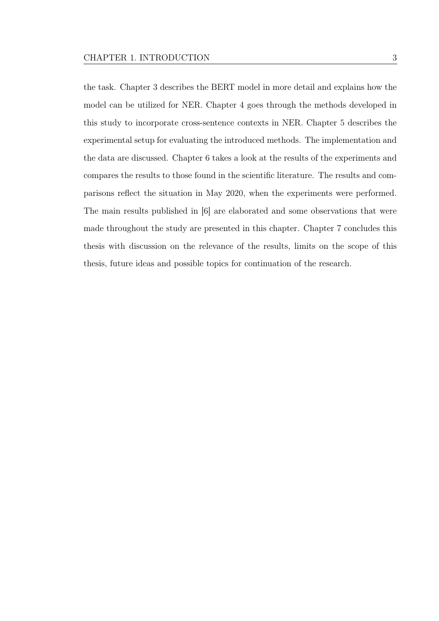the task. Chapter [3](#page-26-0) describes the BERT model in more detail and explains how the model can be utilized for NER. Chapter [4](#page-35-0) goes through the methods developed in this study to incorporate cross-sentence contexts in NER. Chapter [5](#page-43-0) describes the experimental setup for evaluating the introduced methods. The implementation and the data are discussed. Chapter [6](#page-58-0) takes a look at the results of the experiments and compares the results to those found in the scientifc literature. The results and comparisons refect the situation in May 2020, when the experiments were performed. The main results published in [\[6\]](#page-81-1) are elaborated and some observations that were made throughout the study are presented in this chapter. Chapter [7](#page-78-0) concludes this thesis with discussion on the relevance of the results, limits on the scope of this thesis, future ideas and possible topics for continuation of the research.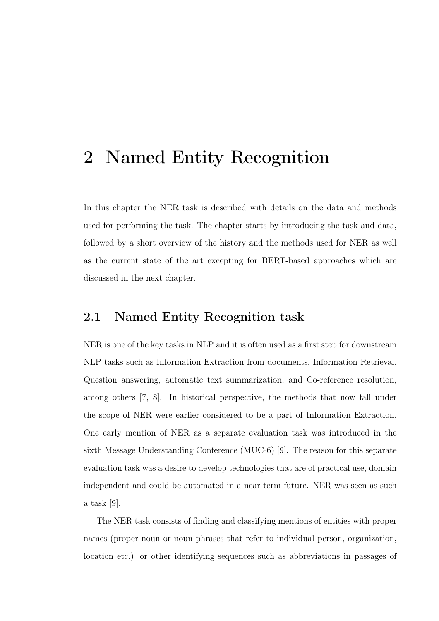### <span id="page-11-0"></span>2 Named Entity Recognition

In this chapter the NER task is described with details on the data and methods used for performing the task. The chapter starts by introducing the task and data, followed by a short overview of the history and the methods used for NER as well as the current state of the art excepting for BERT-based approaches which are discussed in the next chapter.

#### <span id="page-11-1"></span>2.1 Named Entity Recognition task

NER is one of the key tasks in NLP and it is often used as a frst step for downstream NLP tasks such as Information Extraction from documents, Information Retrieval, Question answering, automatic text summarization, and Co-reference resolution, among others [\[7,](#page-81-2) [8\]](#page-81-3). In historical perspective, the methods that now fall under the scope of NER were earlier considered to be a part of Information Extraction. One early mention of NER as a separate evaluation task was introduced in the sixth Message Understanding Conference (MUC-6) [\[9\]](#page-81-4). The reason for this separate evaluation task was a desire to develop technologies that are of practical use, domain independent and could be automated in a near term future. NER was seen as such a task [\[9\]](#page-81-4).

The NER task consists of fnding and classifying mentions of entities with proper names (proper noun or noun phrases that refer to individual person, organization, location etc.) or other identifying sequences such as abbreviations in passages of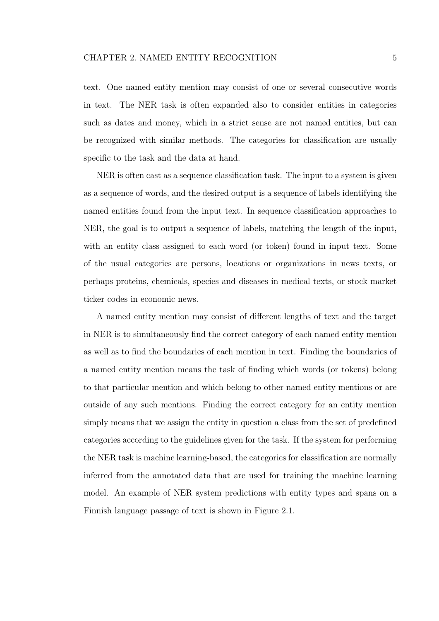text. One named entity mention may consist of one or several consecutive words in text. The NER task is often expanded also to consider entities in categories such as dates and money, which in a strict sense are not named entities, but can be recognized with similar methods. The categories for classifcation are usually specifc to the task and the data at hand.

NER is often cast as a sequence classifcation task. The input to a system is given as a sequence of words, and the desired output is a sequence of labels identifying the named entities found from the input text. In sequence classifcation approaches to NER, the goal is to output a sequence of labels, matching the length of the input, with an entity class assigned to each word (or token) found in input text. Some of the usual categories are persons, locations or organizations in news texts, or perhaps proteins, chemicals, species and diseases in medical texts, or stock market ticker codes in economic news.

A named entity mention may consist of diferent lengths of text and the target in NER is to simultaneously fnd the correct category of each named entity mention as well as to fnd the boundaries of each mention in text. Finding the boundaries of a named entity mention means the task of fnding which words (or tokens) belong to that particular mention and which belong to other named entity mentions or are outside of any such mentions. Finding the correct category for an entity mention simply means that we assign the entity in question a class from the set of predefned categories according to the guidelines given for the task. If the system for performing the NER task is machine learning-based, the categories for classifcation are normally inferred from the annotated data that are used for training the machine learning model. An example of NER system predictions with entity types and spans on a Finnish language passage of text is shown in Figure [2.1.](#page-13-1)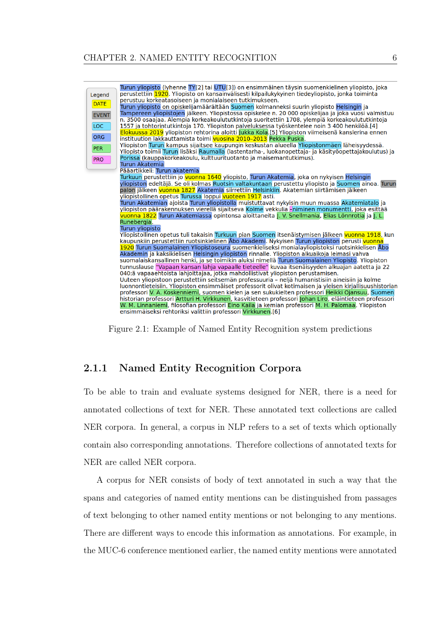<span id="page-13-1"></span>

Figure 2.1: Example of Named Entity Recognition system predictions

#### <span id="page-13-0"></span>2.1.1 Named Entity Recognition Corpora

To be able to train and evaluate systems designed for NER, there is a need for annotated collections of text for NER. These annotated text collections are called NER corpora. In general, a corpus in NLP refers to a set of texts which optionally contain also corresponding annotations. Therefore collections of annotated texts for NER are called NER corpora.

A corpus for NER consists of body of text annotated in such a way that the spans and categories of named entity mentions can be distinguished from passages of text belonging to other named entity mentions or not belonging to any mentions. There are diferent ways to encode this information as annotations. For example, in the MUC-6 conference mentioned earlier, the named entity mentions were annotated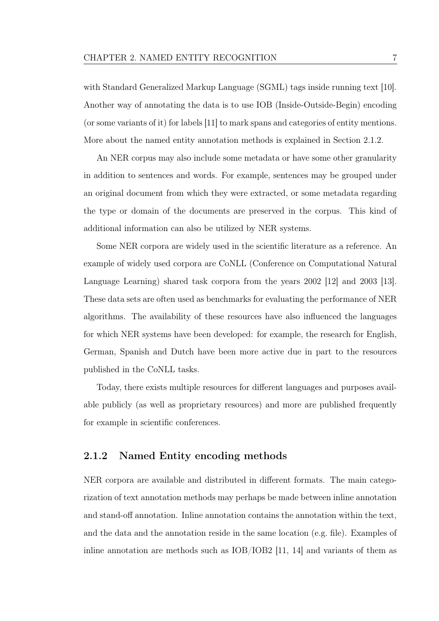with Standard Generalized Markup Language (SGML) tags inside running text [\[10\]](#page-81-5). Another way of annotating the data is to use IOB (Inside-Outside-Begin) encoding (or some variants of it) for labels [\[11\]](#page-82-0) to mark spans and categories of entity mentions. More about the named entity annotation methods is explained in Section [2.1.2.](#page-14-0)

An NER corpus may also include some metadata or have some other granularity in addition to sentences and words. For example, sentences may be grouped under an original document from which they were extracted, or some metadata regarding the type or domain of the documents are preserved in the corpus. This kind of additional information can also be utilized by NER systems.

Some NER corpora are widely used in the scientifc literature as a reference. An example of widely used corpora are CoNLL (Conference on Computational Natural Language Learning) shared task corpora from the years 2002 [\[12\]](#page-82-1) and 2003 [\[13\]](#page-82-2). These data sets are often used as benchmarks for evaluating the performance of NER algorithms. The availability of these resources have also infuenced the languages for which NER systems have been developed: for example, the research for English, German, Spanish and Dutch have been more active due in part to the resources published in the CoNLL tasks.

Today, there exists multiple resources for diferent languages and purposes available publicly (as well as proprietary resources) and more are published frequently for example in scientifc conferences.

#### <span id="page-14-0"></span>2.1.2 Named Entity encoding methods

NER corpora are available and distributed in diferent formats. The main categorization of text annotation methods may perhaps be made between inline annotation and stand-of annotation. Inline annotation contains the annotation within the text, and the data and the annotation reside in the same location (e.g. fle). Examples of inline annotation are methods such as IOB/IOB2 [\[11,](#page-82-0) [14\]](#page-82-3) and variants of them as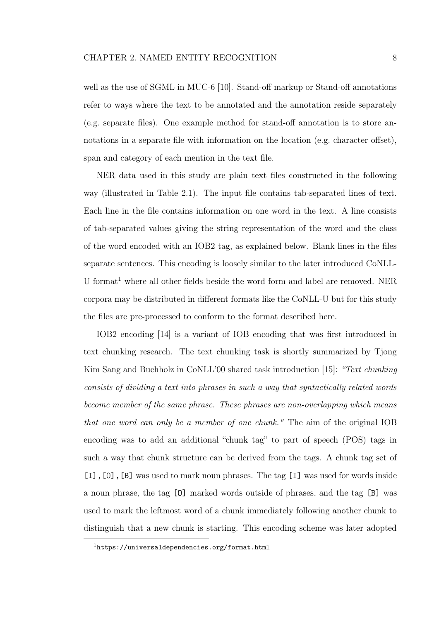well as the use of SGML in MUC-6 [\[10\]](#page-81-5). Stand-off markup or Stand-off annotations refer to ways where the text to be annotated and the annotation reside separately (e.g. separate fles). One example method for stand-of annotation is to store annotations in a separate file with information on the location (e.g. character offset), span and category of each mention in the text fle.

NER data used in this study are plain text fles constructed in the following way (illustrated in Table [2.1\)](#page-17-1). The input fle contains tab-separated lines of text. Each line in the fle contains information on one word in the text. A line consists of tab-separated values giving the string representation of the word and the class of the word encoded with an IOB2 tag, as explained below. Blank lines in the fles separate sentences. This encoding is loosely similar to the later introduced CoNLL-U format<sup>[1](#page-15-0)</sup> where all other fields beside the word form and label are removed. NER corpora may be distributed in diferent formats like the CoNLL-U but for this study the fles are pre-processed to conform to the format described here.

IOB2 encoding [\[14\]](#page-82-3) is a variant of IOB encoding that was frst introduced in text chunking research. The text chunking task is shortly summarized by Tjong Kim Sang and Buchholz in CoNLL'00 shared task introduction [\[15\]](#page-82-4): "Text chunking consists of dividing a text into phrases in such a way that syntactically related words become member of the same phrase. These phrases are non-overlapping which means that one word can only be a member of one chunk." The aim of the original IOB encoding was to add an additional "chunk tag" to part of speech (POS) tags in such a way that chunk structure can be derived from the tags. A chunk tag set of [I],[O],[B] was used to mark noun phrases. The tag [I] was used for words inside a noun phrase, the tag [O] marked words outside of phrases, and the tag [B] was used to mark the leftmost word of a chunk immediately following another chunk to distinguish that a new chunk is starting. This encoding scheme was later adopted

<span id="page-15-0"></span><sup>1</sup><https://universaldependencies.org/format.html>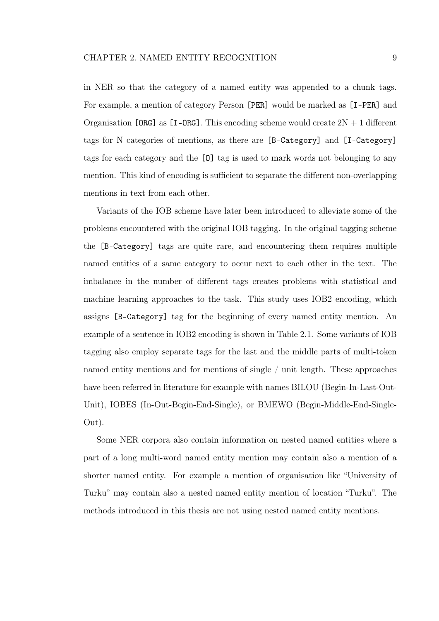in NER so that the category of a named entity was appended to a chunk tags. For example, a mention of category Person [PER] would be marked as [I-PER] and Organisation [ORG] as  $[I-ORG]$ . This encoding scheme would create  $2N + 1$  different tags for N categories of mentions, as there are [B-Category] and [I-Category] tags for each category and the [O] tag is used to mark words not belonging to any mention. This kind of encoding is sufficient to separate the different non-overlapping mentions in text from each other.

Variants of the IOB scheme have later been introduced to alleviate some of the problems encountered with the original IOB tagging. In the original tagging scheme the [B-Category] tags are quite rare, and encountering them requires multiple named entities of a same category to occur next to each other in the text. The imbalance in the number of diferent tags creates problems with statistical and machine learning approaches to the task. This study uses IOB2 encoding, which assigns [B-Category] tag for the beginning of every named entity mention. An example of a sentence in IOB2 encoding is shown in Table [2.1.](#page-17-1) Some variants of IOB tagging also employ separate tags for the last and the middle parts of multi-token named entity mentions and for mentions of single / unit length. These approaches have been referred in literature for example with names BILOU (Begin-In-Last-Out-Unit), IOBES (In-Out-Begin-End-Single), or BMEWO (Begin-Middle-End-Single-Out).

Some NER corpora also contain information on nested named entities where a part of a long multi-word named entity mention may contain also a mention of a shorter named entity. For example a mention of organisation like "University of Turku" may contain also a nested named entity mention of location "Turku". The methods introduced in this thesis are not using nested named entity mentions.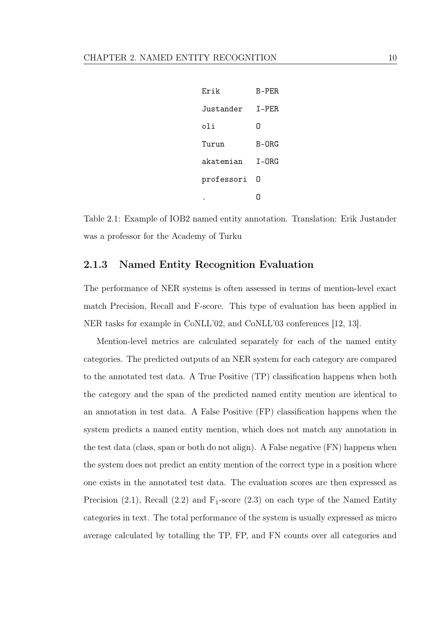<span id="page-17-1"></span>

| Frik       | $B-PFR$ |
|------------|---------|
| Justander  | T-PER   |
| oli        | N       |
| Turun      | $B-ORG$ |
| akatemian  | $T-ORG$ |
| professori | N       |
|            |         |

Table 2.1: Example of IOB2 named entity annotation. Translation: Erik Justander was a professor for the Academy of Turku

#### <span id="page-17-0"></span>2.1.3 Named Entity Recognition Evaluation

The performance of NER systems is often assessed in terms of mention-level exact match Precision, Recall and F-score. This type of evaluation has been applied in NER tasks for example in CoNLL'02, and CoNLL'03 conferences [\[12,](#page-82-1) [13\]](#page-82-2).

Mention-level metrics are calculated separately for each of the named entity categories. The predicted outputs of an NER system for each category are compared to the annotated test data. A True Positive (TP) classifcation happens when both the category and the span of the predicted named entity mention are identical to an annotation in test data. A False Positive (FP) classifcation happens when the system predicts a named entity mention, which does not match any annotation in the test data (class, span or both do not align). A False negative (FN) happens when the system does not predict an entity mention of the correct type in a position where one exists in the annotated test data. The evaluation scores are then expressed as Precision [\(2.1\)](#page-18-2), Recall [\(2.2\)](#page-18-3) and  $F_1$ -score [\(2.3\)](#page-18-4) on each type of the Named Entity categories in text. The total performance of the system is usually expressed as micro average calculated by totalling the TP, FP, and FN counts over all categories and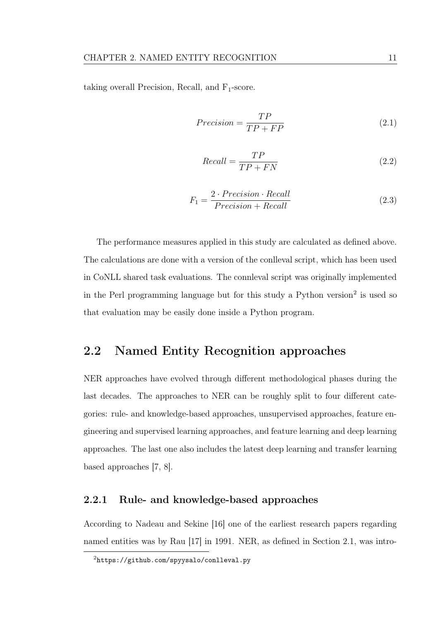<span id="page-18-3"></span><span id="page-18-2"></span>taking overall Precision, Recall, and  $F_1$ -score.

$$
Precision = \frac{TP}{TP + FP}
$$
\n
$$
(2.1)
$$

$$
Recall = \frac{TP}{TP + FN}
$$
\n
$$
(2.2)
$$

$$
F_1 = \frac{2 \cdot Precision \cdot Recall}{Precision + Recall}
$$
\n(2.3)

<span id="page-18-4"></span>The performance measures applied in this study are calculated as defned above. The calculations are done with a version of the conlleval script, which has been used in CoNLL shared task evaluations. The connleval script was originally implemented in the Perl programming language but for this study a Python version<sup>[2](#page-18-5)</sup> is used so that evaluation may be easily done inside a Python program.

#### <span id="page-18-0"></span>2.2 Named Entity Recognition approaches

NER approaches have evolved through diferent methodological phases during the last decades. The approaches to NER can be roughly split to four diferent categories: rule- and knowledge-based approaches, unsupervised approaches, feature engineering and supervised learning approaches, and feature learning and deep learning approaches. The last one also includes the latest deep learning and transfer learning based approaches [\[7,](#page-81-2) [8\]](#page-81-3).

#### <span id="page-18-1"></span>2.2.1 Rule- and knowledge-based approaches

According to Nadeau and Sekine [\[16\]](#page-82-5) one of the earliest research papers regarding named entities was by Rau [\[17\]](#page-82-6) in 1991. NER, as defned in Section [2.1,](#page-11-1) was intro-

<span id="page-18-5"></span><sup>2</sup><https://github.com/spyysalo/conlleval.py>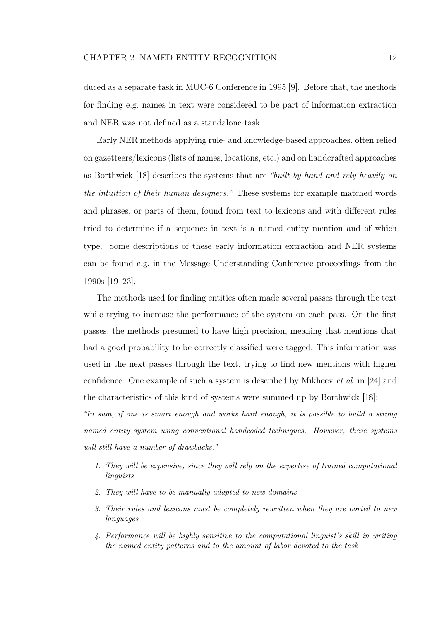duced as a separate task in MUC-6 Conference in 1995 [\[9\]](#page-81-4). Before that, the methods for fnding e.g. names in text were considered to be part of information extraction and NER was not defned as a standalone task.

Early NER methods applying rule- and knowledge-based approaches, often relied on gazetteers/lexicons (lists of names, locations, etc.) and on handcrafted approaches as Borthwick [\[18\]](#page-83-0) describes the systems that are "built by hand and rely heavily on the intuition of their human designers." These systems for example matched words and phrases, or parts of them, found from text to lexicons and with diferent rules tried to determine if a sequence in text is a named entity mention and of which type. Some descriptions of these early information extraction and NER systems can be found e.g. in the Message Understanding Conference proceedings from the 1990s [\[19](#page-83-1)[–23\]](#page-83-2).

The methods used for fnding entities often made several passes through the text while trying to increase the performance of the system on each pass. On the first passes, the methods presumed to have high precision, meaning that mentions that had a good probability to be correctly classifed were tagged. This information was used in the next passes through the text, trying to fnd new mentions with higher confdence. One example of such a system is described by Mikheev et al. in [\[24\]](#page-83-3) and the characteristics of this kind of systems were summed up by Borthwick [\[18\]](#page-83-0):

"In sum, if one is smart enough and works hard enough, it is possible to build a strong named entity system using conventional handcoded techniques. However, these systems will still have a number of drawbacks."

- 1. They will be expensive, since they will rely on the expertise of trained computational linguists
- 2. They will have to be manually adapted to new domains
- 3. Their rules and lexicons must be completely rewritten when they are ported to new languages
- 4. Performance will be highly sensitive to the computational linguist's skill in writing the named entity patterns and to the amount of labor devoted to the task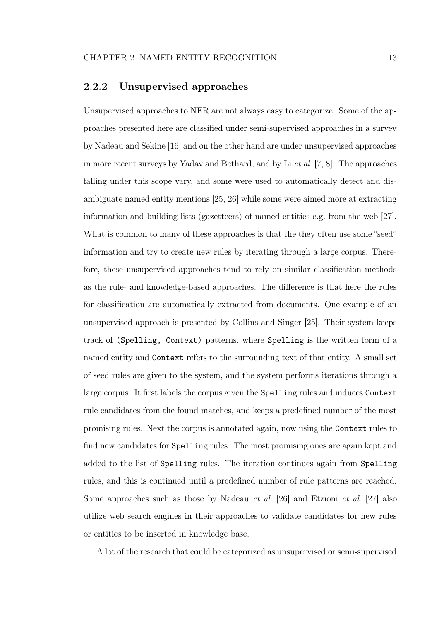#### <span id="page-20-0"></span>2.2.2 Unsupervised approaches

Unsupervised approaches to NER are not always easy to categorize. Some of the approaches presented here are classifed under semi-supervised approaches in a survey by Nadeau and Sekine [\[16\]](#page-82-5) and on the other hand are under unsupervised approaches in more recent surveys by Yadav and Bethard, and by Li et al. [\[7,](#page-81-2) [8\]](#page-81-3). The approaches falling under this scope vary, and some were used to automatically detect and disambiguate named entity mentions [\[25,](#page-83-4) [26\]](#page-84-0) while some were aimed more at extracting information and building lists (gazetteers) of named entities e.g. from the web [\[27\]](#page-84-1). What is common to many of these approaches is that the they often use some "seed" information and try to create new rules by iterating through a large corpus. Therefore, these unsupervised approaches tend to rely on similar classifcation methods as the rule- and knowledge-based approaches. The diference is that here the rules for classifcation are automatically extracted from documents. One example of an unsupervised approach is presented by Collins and Singer [\[25\]](#page-83-4). Their system keeps track of (Spelling, Context) patterns, where Spelling is the written form of a named entity and Context refers to the surrounding text of that entity. A small set of seed rules are given to the system, and the system performs iterations through a large corpus. It frst labels the corpus given the Spelling rules and induces Context rule candidates from the found matches, and keeps a predefned number of the most promising rules. Next the corpus is annotated again, now using the Context rules to fnd new candidates for Spelling rules. The most promising ones are again kept and added to the list of Spelling rules. The iteration continues again from Spelling rules, and this is continued until a predefned number of rule patterns are reached. Some approaches such as those by Nadeau et al. [\[26\]](#page-84-0) and Etzioni et al. [\[27\]](#page-84-1) also utilize web search engines in their approaches to validate candidates for new rules or entities to be inserted in knowledge base.

A lot of the research that could be categorized as unsupervised or semi-supervised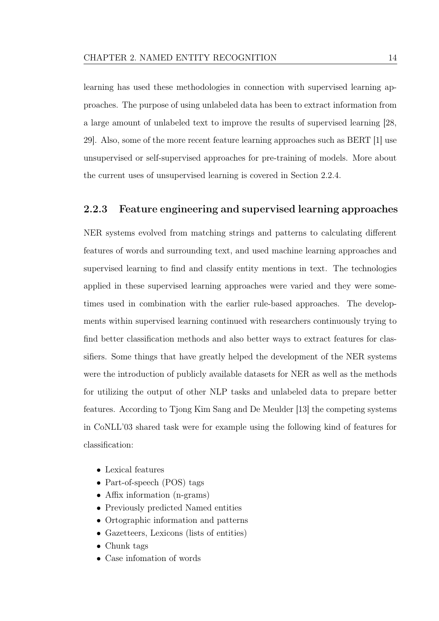learning has used these methodologies in connection with supervised learning approaches. The purpose of using unlabeled data has been to extract information from a large amount of unlabeled text to improve the results of supervised learning [\[28,](#page-84-2) [29\]](#page-84-3). Also, some of the more recent feature learning approaches such as BERT [\[1\]](#page-80-1) use unsupervised or self-supervised approaches for pre-training of models. More about the current uses of unsupervised learning is covered in Section [2.2.4.](#page-22-0)

#### <span id="page-21-0"></span>2.2.3 Feature engineering and supervised learning approaches

NER systems evolved from matching strings and patterns to calculating diferent features of words and surrounding text, and used machine learning approaches and supervised learning to fnd and classify entity mentions in text. The technologies applied in these supervised learning approaches were varied and they were sometimes used in combination with the earlier rule-based approaches. The developments within supervised learning continued with researchers continuously trying to fnd better classifcation methods and also better ways to extract features for classifers. Some things that have greatly helped the development of the NER systems were the introduction of publicly available datasets for NER as well as the methods for utilizing the output of other NLP tasks and unlabeled data to prepare better features. According to Tjong Kim Sang and De Meulder [\[13\]](#page-82-2) the competing systems in CoNLL'03 shared task were for example using the following kind of features for classifcation:

- Lexical features
- Part-of-speech (POS) tags
- Affix information (n-grams)
- Previously predicted Named entities
- Ortographic information and patterns
- Gazetteers, Lexicons (lists of entities)
- Chunk tags
- Case infomation of words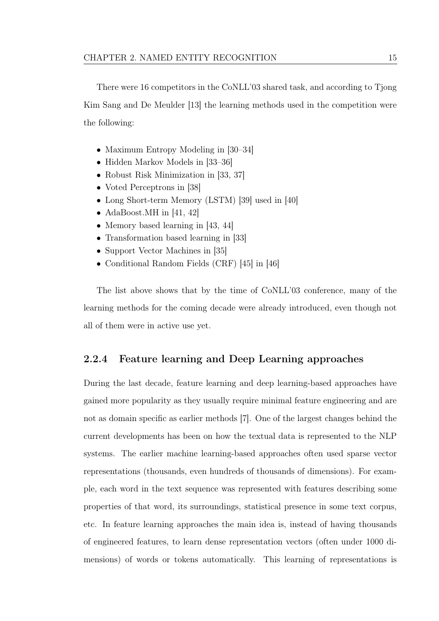There were 16 competitors in the CoNLL'03 shared task, and according to Tjong Kim Sang and De Meulder [\[13\]](#page-82-2) the learning methods used in the competition were the following:

- Maximum Entropy Modeling in [\[30–](#page-84-4)[34\]](#page-85-0)
- Hidden Markov Models in [\[33–](#page-85-1)[36\]](#page-85-2)
- Robust Risk Minimization in [\[33,](#page-85-1) [37\]](#page-85-3)
- Voted Perceptrons in [\[38\]](#page-86-0)
- Long Short-term Memory (LSTM) [\[39\]](#page-86-1) used in [\[40\]](#page-86-2)
- AdaBoost.MH in [\[41,](#page-86-3) [42\]](#page-86-4)
- Memory based learning in [\[43,](#page-86-5) [44\]](#page-86-6)
- Transformation based learning in [\[33\]](#page-85-1)
- Support Vector Machines in [\[35\]](#page-85-4)
- Conditional Random Fields (CRF) [\[45\]](#page-87-0) in [\[46\]](#page-87-1)

The list above shows that by the time of CoNLL'03 conference, many of the learning methods for the coming decade were already introduced, even though not all of them were in active use yet.

#### <span id="page-22-0"></span>2.2.4 Feature learning and Deep Learning approaches

During the last decade, feature learning and deep learning-based approaches have gained more popularity as they usually require minimal feature engineering and are not as domain specifc as earlier methods [\[7\]](#page-81-2). One of the largest changes behind the current developments has been on how the textual data is represented to the NLP systems. The earlier machine learning-based approaches often used sparse vector representations (thousands, even hundreds of thousands of dimensions). For example, each word in the text sequence was represented with features describing some properties of that word, its surroundings, statistical presence in some text corpus, etc. In feature learning approaches the main idea is, instead of having thousands of engineered features, to learn dense representation vectors (often under 1000 dimensions) of words or tokens automatically. This learning of representations is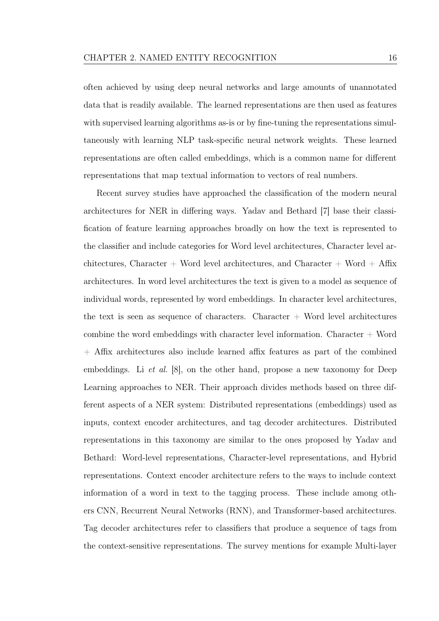often achieved by using deep neural networks and large amounts of unannotated data that is readily available. The learned representations are then used as features with supervised learning algorithms as-is or by fine-tuning the representations simultaneously with learning NLP task-specifc neural network weights. These learned representations are often called embeddings, which is a common name for diferent representations that map textual information to vectors of real numbers.

Recent survey studies have approached the classifcation of the modern neural architectures for NER in difering ways. Yadav and Bethard [\[7\]](#page-81-2) base their classifcation of feature learning approaches broadly on how the text is represented to the classifer and include categories for Word level architectures, Character level architectures, Character + Word level architectures, and Character + Word + Affix architectures. In word level architectures the text is given to a model as sequence of individual words, represented by word embeddings. In character level architectures, the text is seen as sequence of characters. Character  $+$  Word level architectures combine the word embeddings with character level information. Character  $+$  Word + Afx architectures also include learned afx features as part of the combined embeddings. Li *et al.* [\[8\]](#page-81-3), on the other hand, propose a new taxonomy for Deep Learning approaches to NER. Their approach divides methods based on three different aspects of a NER system: Distributed representations (embeddings) used as inputs, context encoder architectures, and tag decoder architectures. Distributed representations in this taxonomy are similar to the ones proposed by Yadav and Bethard: Word-level representations, Character-level representations, and Hybrid representations. Context encoder architecture refers to the ways to include context information of a word in text to the tagging process. These include among others CNN, Recurrent Neural Networks (RNN), and Transformer-based architectures. Tag decoder architectures refer to classifers that produce a sequence of tags from the context-sensitive representations. The survey mentions for example Multi-layer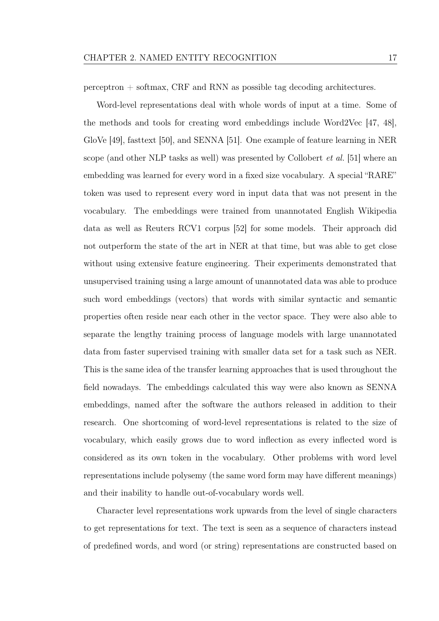perceptron + softmax, CRF and RNN as possible tag decoding architectures.

Word-level representations deal with whole words of input at a time. Some of the methods and tools for creating word embeddings include Word2Vec [\[47,](#page-87-2) [48\]](#page-87-3), GloVe [\[49\]](#page-87-4), fasttext [\[50\]](#page-88-0), and SENNA [\[51\]](#page-88-1). One example of feature learning in NER scope (and other NLP tasks as well) was presented by Collobert et al. [\[51\]](#page-88-1) where an embedding was learned for every word in a fxed size vocabulary. A special "RARE" token was used to represent every word in input data that was not present in the vocabulary. The embeddings were trained from unannotated English Wikipedia data as well as Reuters RCV1 corpus [\[52\]](#page-88-2) for some models. Their approach did not outperform the state of the art in NER at that time, but was able to get close without using extensive feature engineering. Their experiments demonstrated that unsupervised training using a large amount of unannotated data was able to produce such word embeddings (vectors) that words with similar syntactic and semantic properties often reside near each other in the vector space. They were also able to separate the lengthy training process of language models with large unannotated data from faster supervised training with smaller data set for a task such as NER. This is the same idea of the transfer learning approaches that is used throughout the feld nowadays. The embeddings calculated this way were also known as SENNA embeddings, named after the software the authors released in addition to their research. One shortcoming of word-level representations is related to the size of vocabulary, which easily grows due to word infection as every infected word is considered as its own token in the vocabulary. Other problems with word level representations include polysemy (the same word form may have diferent meanings) and their inability to handle out-of-vocabulary words well.

Character level representations work upwards from the level of single characters to get representations for text. The text is seen as a sequence of characters instead of predefned words, and word (or string) representations are constructed based on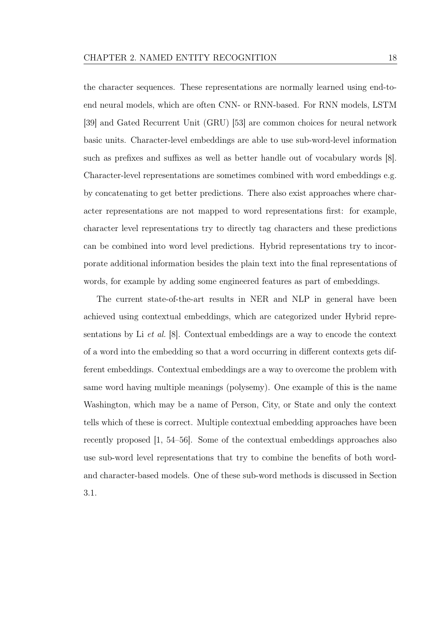the character sequences. These representations are normally learned using end-toend neural models, which are often CNN- or RNN-based. For RNN models, LSTM [\[39\]](#page-86-1) and Gated Recurrent Unit (GRU) [\[53\]](#page-88-3) are common choices for neural network basic units. Character-level embeddings are able to use sub-word-level information such as prefixes and suffixes as well as better handle out of vocabulary words [\[8\]](#page-81-3). Character-level representations are sometimes combined with word embeddings e.g. by concatenating to get better predictions. There also exist approaches where character representations are not mapped to word representations frst: for example, character level representations try to directly tag characters and these predictions can be combined into word level predictions. Hybrid representations try to incorporate additional information besides the plain text into the fnal representations of words, for example by adding some engineered features as part of embeddings.

The current state-of-the-art results in NER and NLP in general have been achieved using contextual embeddings, which are categorized under Hybrid representations by Li et al. [\[8\]](#page-81-3). Contextual embeddings are a way to encode the context of a word into the embedding so that a word occurring in diferent contexts gets different embeddings. Contextual embeddings are a way to overcome the problem with same word having multiple meanings (polysemy). One example of this is the name Washington, which may be a name of Person, City, or State and only the context tells which of these is correct. Multiple contextual embedding approaches have been recently proposed [\[1,](#page-80-1) [54–](#page-88-4)[56\]](#page-89-0). Some of the contextual embeddings approaches also use sub-word level representations that try to combine the benefts of both wordand character-based models. One of these sub-word methods is discussed in Section [3.1.](#page-28-0)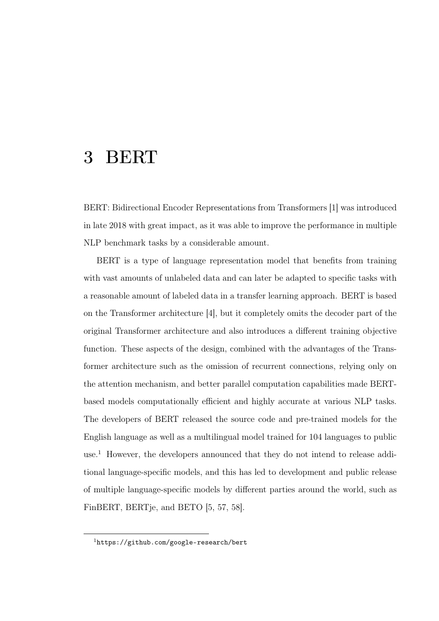### <span id="page-26-0"></span>3 BERT

BERT: Bidirectional Encoder Representations from Transformers [\[1\]](#page-80-1) was introduced in late 2018 with great impact, as it was able to improve the performance in multiple NLP benchmark tasks by a considerable amount.

BERT is a type of language representation model that benefts from training with vast amounts of unlabeled data and can later be adapted to specifc tasks with a reasonable amount of labeled data in a transfer learning approach. BERT is based on the Transformer architecture [\[4\]](#page-80-3), but it completely omits the decoder part of the original Transformer architecture and also introduces a diferent training objective function. These aspects of the design, combined with the advantages of the Transformer architecture such as the omission of recurrent connections, relying only on the attention mechanism, and better parallel computation capabilities made BERTbased models computationally efficient and highly accurate at various NLP tasks. The developers of BERT released the source code and pre-trained models for the English language as well as a multilingual model trained for 104 languages to public use.<sup>[1](#page-26-1)</sup> However, the developers announced that they do not intend to release additional language-specifc models, and this has led to development and public release of multiple language-specifc models by diferent parties around the world, such as FinBERT, BERTje, and BETO [\[5,](#page-81-0) [57,](#page-89-1) [58\]](#page-89-2).

<span id="page-26-1"></span><sup>1</sup><https://github.com/google-research/bert>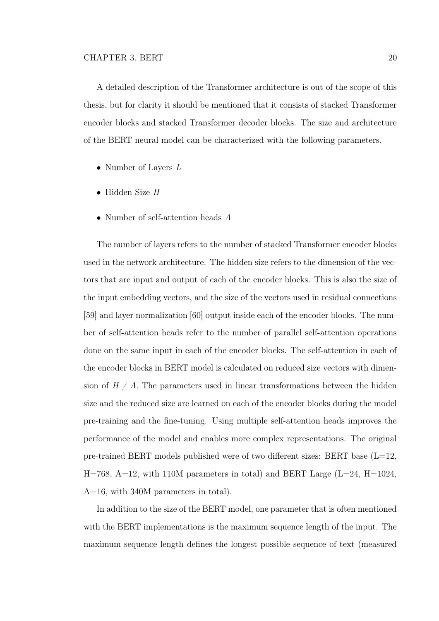A detailed description of the Transformer architecture is out of the scope of this thesis, but for clarity it should be mentioned that it consists of stacked Transformer encoder blocks and stacked Transformer decoder blocks. The size and architecture of the BERT neural model can be characterized with the following parameters.

- Number of Layers L
- Hidden Size H
- Number of self-attention heads A

The number of layers refers to the number of stacked Transformer encoder blocks used in the network architecture. The hidden size refers to the dimension of the vectors that are input and output of each of the encoder blocks. This is also the size of the input embedding vectors, and the size of the vectors used in residual connections [\[59\]](#page-89-3) and layer normalization [\[60\]](#page-89-4) output inside each of the encoder blocks. The number of self-attention heads refer to the number of parallel self-attention operations done on the same input in each of the encoder blocks. The self-attention in each of the encoder blocks in BERT model is calculated on reduced size vectors with dimension of  $H / A$ . The parameters used in linear transformations between the hidden size and the reduced size are learned on each of the encoder blocks during the model pre-training and the fne-tuning. Using multiple self-attention heads improves the performance of the model and enables more complex representations. The original pre-trained BERT models published were of two different sizes: BERT base  $(L=12,$  $H=768$ ,  $A=12$ , with 110M parameters in total) and BERT Large (L=24, H=1024, A=16, with 340M parameters in total).

In addition to the size of the BERT model, one parameter that is often mentioned with the BERT implementations is the maximum sequence length of the input. The maximum sequence length defnes the longest possible sequence of text (measured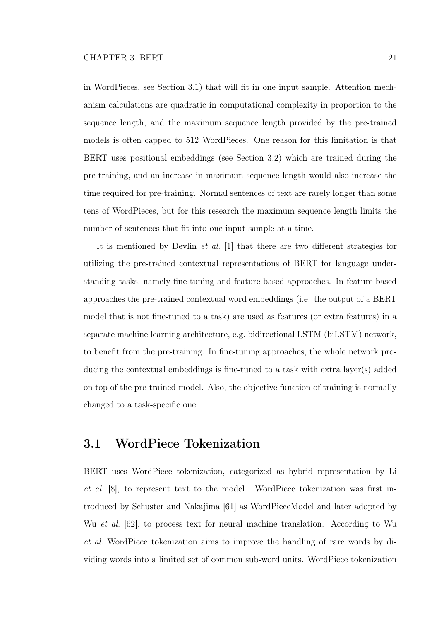in WordPieces, see Section [3.1\)](#page-28-0) that will ft in one input sample. Attention mechanism calculations are quadratic in computational complexity in proportion to the sequence length, and the maximum sequence length provided by the pre-trained models is often capped to 512 WordPieces. One reason for this limitation is that BERT uses positional embeddings (see Section [3.2\)](#page-31-0) which are trained during the pre-training, and an increase in maximum sequence length would also increase the time required for pre-training. Normal sentences of text are rarely longer than some tens of WordPieces, but for this research the maximum sequence length limits the number of sentences that ft into one input sample at a time.

It is mentioned by Devlin et al. [\[1\]](#page-80-1) that there are two diferent strategies for utilizing the pre-trained contextual representations of BERT for language understanding tasks, namely fne-tuning and feature-based approaches. In feature-based approaches the pre-trained contextual word embeddings (i.e. the output of a BERT model that is not fne-tuned to a task) are used as features (or extra features) in a separate machine learning architecture, e.g. bidirectional LSTM (biLSTM) network, to beneft from the pre-training. In fne-tuning approaches, the whole network producing the contextual embeddings is fne-tuned to a task with extra layer(s) added on top of the pre-trained model. Also, the objective function of training is normally changed to a task-specifc one.

#### <span id="page-28-0"></span>3.1 WordPiece Tokenization

BERT uses WordPiece tokenization, categorized as hybrid representation by Li et al. [\[8\]](#page-81-3), to represent text to the model. WordPiece tokenization was frst introduced by Schuster and Nakajima [\[61\]](#page-89-5) as WordPieceModel and later adopted by Wu et al. [\[62\]](#page-89-6), to process text for neural machine translation. According to Wu et al. WordPiece tokenization aims to improve the handling of rare words by dividing words into a limited set of common sub-word units. WordPiece tokenization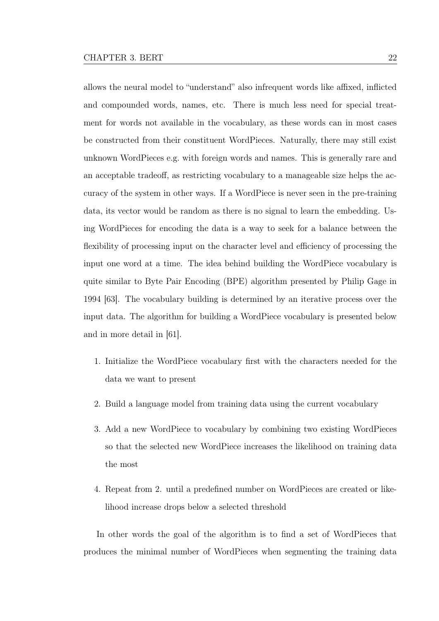allows the neural model to "understand" also infrequent words like affixed, inflicted and compounded words, names, etc. There is much less need for special treatment for words not available in the vocabulary, as these words can in most cases be constructed from their constituent WordPieces. Naturally, there may still exist unknown WordPieces e.g. with foreign words and names. This is generally rare and an acceptable tradeof, as restricting vocabulary to a manageable size helps the accuracy of the system in other ways. If a WordPiece is never seen in the pre-training data, its vector would be random as there is no signal to learn the embedding. Using WordPieces for encoding the data is a way to seek for a balance between the flexibility of processing input on the character level and efficiency of processing the input one word at a time. The idea behind building the WordPiece vocabulary is quite similar to Byte Pair Encoding (BPE) algorithm presented by Philip Gage in 1994 [\[63\]](#page-90-0). The vocabulary building is determined by an iterative process over the input data. The algorithm for building a WordPiece vocabulary is presented below and in more detail in [\[61\]](#page-89-5).

- 1. Initialize the WordPiece vocabulary frst with the characters needed for the data we want to present
- 2. Build a language model from training data using the current vocabulary
- 3. Add a new WordPiece to vocabulary by combining two existing WordPieces so that the selected new WordPiece increases the likelihood on training data the most
- 4. Repeat from 2. until a predefned number on WordPieces are created or likelihood increase drops below a selected threshold

In other words the goal of the algorithm is to fnd a set of WordPieces that produces the minimal number of WordPieces when segmenting the training data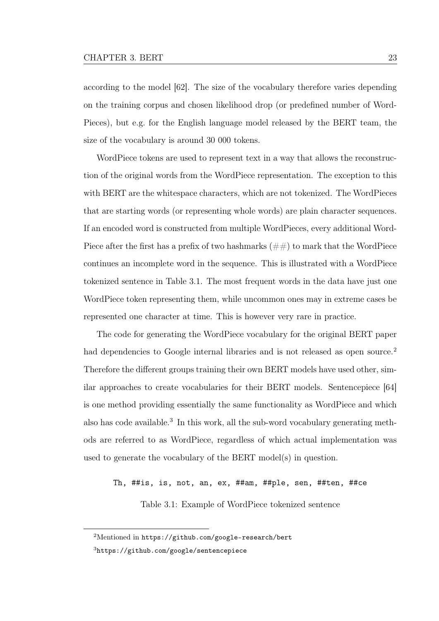according to the model [\[62\]](#page-89-6). The size of the vocabulary therefore varies depending on the training corpus and chosen likelihood drop (or predefned number of Word-Pieces), but e.g. for the English language model released by the BERT team, the size of the vocabulary is around 30 000 tokens.

WordPiece tokens are used to represent text in a way that allows the reconstruction of the original words from the WordPiece representation. The exception to this with BERT are the whitespace characters, which are not tokenized. The WordPieces that are starting words (or representing whole words) are plain character sequences. If an encoded word is constructed from multiple WordPieces, every additional Word-Piece after the first has a prefix of two hashmarks  $(\#\#)$  to mark that the WordPiece continues an incomplete word in the sequence. This is illustrated with a WordPiece tokenized sentence in Table [3.1.](#page-30-0) The most frequent words in the data have just one WordPiece token representing them, while uncommon ones may in extreme cases be represented one character at time. This is however very rare in practice.

The code for generating the WordPiece vocabulary for the original BERT paper had dependencies to Google internal libraries and is not released as open source.<sup>[2](#page-30-1)</sup> Therefore the diferent groups training their own BERT models have used other, similar approaches to create vocabularies for their BERT models. Sentencepiece [\[64\]](#page-90-1) is one method providing essentially the same functionality as WordPiece and which also has code available.<sup>[3](#page-30-2)</sup> In this work, all the sub-word vocabulary generating methods are referred to as WordPiece, regardless of which actual implementation was used to generate the vocabulary of the BERT model(s) in question.

<span id="page-30-0"></span>Th, ##is, is, not, an, ex, ##am, ##ple, sen, ##ten, ##ce

Table 3.1: Example of WordPiece tokenized sentence

<span id="page-30-2"></span><span id="page-30-1"></span><sup>2</sup>Mentioned in <https://github.com/google-research/bert>

<sup>3</sup><https://github.com/google/sentencepiece>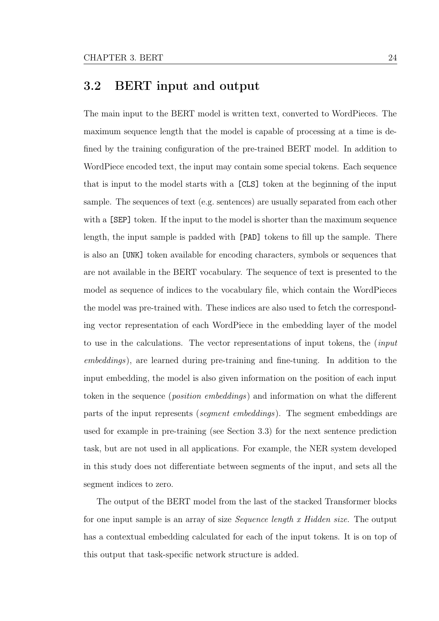### <span id="page-31-0"></span>3.2 BERT input and output

The main input to the BERT model is written text, converted to WordPieces. The maximum sequence length that the model is capable of processing at a time is defned by the training confguration of the pre-trained BERT model. In addition to WordPiece encoded text, the input may contain some special tokens. Each sequence that is input to the model starts with a [CLS] token at the beginning of the input sample. The sequences of text (e.g. sentences) are usually separated from each other with a  $[SEP]$  token. If the input to the model is shorter than the maximum sequence length, the input sample is padded with [PAD] tokens to fll up the sample. There is also an [UNK] token available for encoding characters, symbols or sequences that are not available in the BERT vocabulary. The sequence of text is presented to the model as sequence of indices to the vocabulary fle, which contain the WordPieces the model was pre-trained with. These indices are also used to fetch the corresponding vector representation of each WordPiece in the embedding layer of the model to use in the calculations. The vector representations of input tokens, the (input embeddings), are learned during pre-training and fne-tuning. In addition to the input embedding, the model is also given information on the position of each input token in the sequence (position embeddings) and information on what the diferent parts of the input represents (segment embeddings). The segment embeddings are used for example in pre-training (see Section [3.3\)](#page-32-0) for the next sentence prediction task, but are not used in all applications. For example, the NER system developed in this study does not diferentiate between segments of the input, and sets all the segment indices to zero.

The output of the BERT model from the last of the stacked Transformer blocks for one input sample is an array of size Sequence length x Hidden size. The output has a contextual embedding calculated for each of the input tokens. It is on top of this output that task-specifc network structure is added.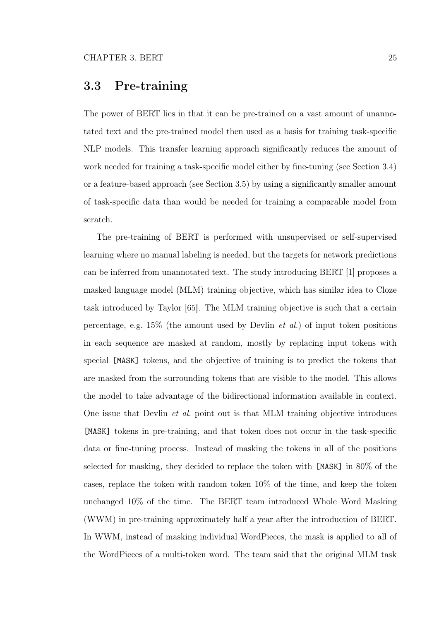#### <span id="page-32-0"></span>3.3 Pre-training

The power of BERT lies in that it can be pre-trained on a vast amount of unannotated text and the pre-trained model then used as a basis for training task-specifc NLP models. This transfer learning approach signifcantly reduces the amount of work needed for training a task-specifc model either by fne-tuning (see Section [3.4\)](#page-33-0) or a feature-based approach (see Section [3.5\)](#page-34-0) by using a signifcantly smaller amount of task-specifc data than would be needed for training a comparable model from scratch.

The pre-training of BERT is performed with unsupervised or self-supervised learning where no manual labeling is needed, but the targets for network predictions can be inferred from unannotated text. The study introducing BERT [\[1\]](#page-80-1) proposes a masked language model (MLM) training objective, which has similar idea to Cloze task introduced by Taylor [\[65\]](#page-90-2). The MLM training objective is such that a certain percentage, e.g.  $15\%$  (the amount used by Devlin *et al.*) of input token positions in each sequence are masked at random, mostly by replacing input tokens with special [MASK] tokens, and the objective of training is to predict the tokens that are masked from the surrounding tokens that are visible to the model. This allows the model to take advantage of the bidirectional information available in context. One issue that Devlin et al. point out is that MLM training objective introduces [MASK] tokens in pre-training, and that token does not occur in the task-specifc data or fne-tuning process. Instead of masking the tokens in all of the positions selected for masking, they decided to replace the token with [MASK] in 80% of the cases, replace the token with random token 10% of the time, and keep the token unchanged 10% of the time. The BERT team introduced Whole Word Masking (WWM) in pre-training approximately half a year after the introduction of BERT. In WWM, instead of masking individual WordPieces, the mask is applied to all of the WordPieces of a multi-token word. The team said that the original MLM task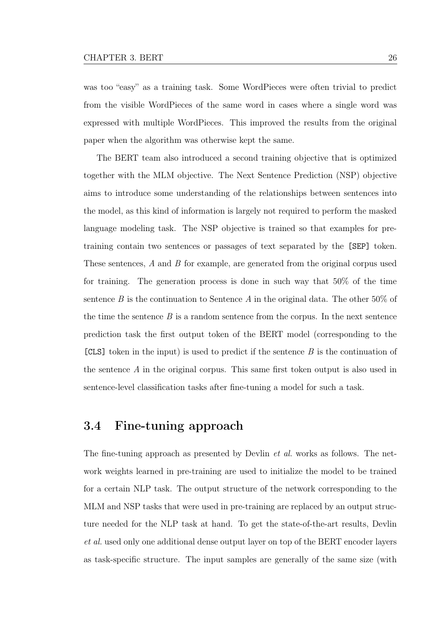was too "easy" as a training task. Some WordPieces were often trivial to predict from the visible WordPieces of the same word in cases where a single word was expressed with multiple WordPieces. This improved the results from the original paper when the algorithm was otherwise kept the same.

The BERT team also introduced a second training objective that is optimized together with the MLM objective. The Next Sentence Prediction (NSP) objective aims to introduce some understanding of the relationships between sentences into the model, as this kind of information is largely not required to perform the masked language modeling task. The NSP objective is trained so that examples for pretraining contain two sentences or passages of text separated by the [SEP] token. These sentences, A and B for example, are generated from the original corpus used for training. The generation process is done in such way that 50% of the time sentence B is the continuation to Sentence A in the original data. The other  $50\%$  of the time the sentence  $B$  is a random sentence from the corpus. In the next sentence prediction task the frst output token of the BERT model (corresponding to the  $[CLS]$  token in the input) is used to predict if the sentence  $B$  is the continuation of the sentence A in the original corpus. This same frst token output is also used in sentence-level classifcation tasks after fne-tuning a model for such a task.

#### <span id="page-33-0"></span>3.4 Fine-tuning approach

The fine-tuning approach as presented by Devlin *et al.* works as follows. The network weights learned in pre-training are used to initialize the model to be trained for a certain NLP task. The output structure of the network corresponding to the MLM and NSP tasks that were used in pre-training are replaced by an output structure needed for the NLP task at hand. To get the state-of-the-art results, Devlin et al. used only one additional dense output layer on top of the BERT encoder layers as task-specifc structure. The input samples are generally of the same size (with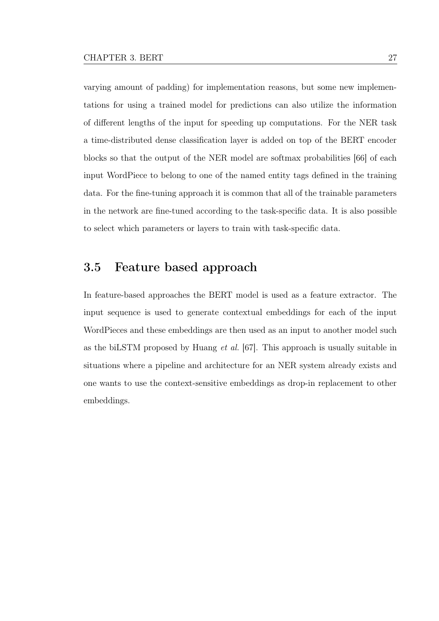varying amount of padding) for implementation reasons, but some new implementations for using a trained model for predictions can also utilize the information of diferent lengths of the input for speeding up computations. For the NER task a time-distributed dense classifcation layer is added on top of the BERT encoder blocks so that the output of the NER model are softmax probabilities [\[66\]](#page-90-3) of each input WordPiece to belong to one of the named entity tags defned in the training data. For the fne-tuning approach it is common that all of the trainable parameters in the network are fne-tuned according to the task-specifc data. It is also possible to select which parameters or layers to train with task-specifc data.

#### <span id="page-34-0"></span>3.5 Feature based approach

In feature-based approaches the BERT model is used as a feature extractor. The input sequence is used to generate contextual embeddings for each of the input WordPieces and these embeddings are then used as an input to another model such as the biLSTM proposed by Huang et al. [\[67\]](#page-90-4). This approach is usually suitable in situations where a pipeline and architecture for an NER system already exists and one wants to use the context-sensitive embeddings as drop-in replacement to other embeddings.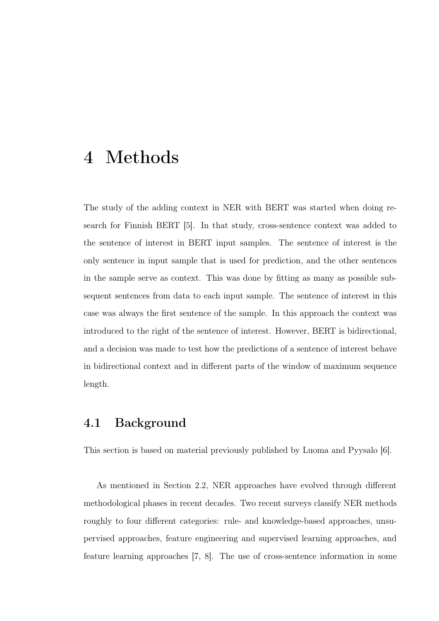### <span id="page-35-0"></span>4 Methods

The study of the adding context in NER with BERT was started when doing research for Finnish BERT [\[5\]](#page-81-0). In that study, cross-sentence context was added to the sentence of interest in BERT input samples. The sentence of interest is the only sentence in input sample that is used for prediction, and the other sentences in the sample serve as context. This was done by ftting as many as possible subsequent sentences from data to each input sample. The sentence of interest in this case was always the frst sentence of the sample. In this approach the context was introduced to the right of the sentence of interest. However, BERT is bidirectional, and a decision was made to test how the predictions of a sentence of interest behave in bidirectional context and in diferent parts of the window of maximum sequence length.

#### <span id="page-35-1"></span>4.1 Background

This section is based on material previously published by Luoma and Pyysalo [\[6\]](#page-81-1).

As mentioned in Section [2.2,](#page-18-0) NER approaches have evolved through diferent methodological phases in recent decades. Two recent surveys classify NER methods roughly to four different categories: rule- and knowledge-based approaches, unsupervised approaches, feature engineering and supervised learning approaches, and feature learning approaches [\[7,](#page-81-2) [8\]](#page-81-3). The use of cross-sentence information in some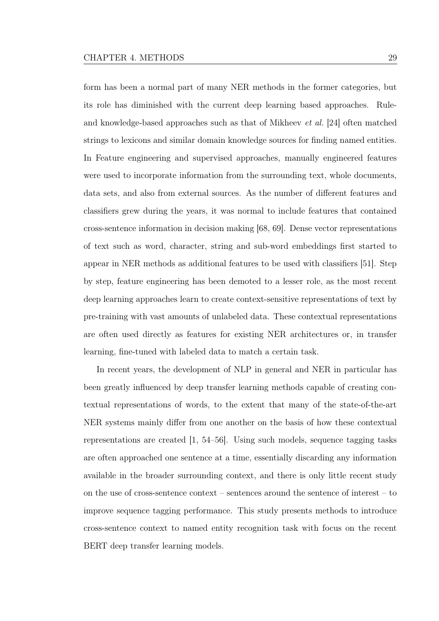form has been a normal part of many NER methods in the former categories, but its role has diminished with the current deep learning based approaches. Ruleand knowledge-based approaches such as that of Mikheev et al. [\[24\]](#page-83-0) often matched strings to lexicons and similar domain knowledge sources for fnding named entities. In Feature engineering and supervised approaches, manually engineered features were used to incorporate information from the surrounding text, whole documents, data sets, and also from external sources. As the number of diferent features and classifers grew during the years, it was normal to include features that contained cross-sentence information in decision making [\[68,](#page-90-0) [69\]](#page-90-1). Dense vector representations of text such as word, character, string and sub-word embeddings frst started to appear in NER methods as additional features to be used with classifers [\[51\]](#page-88-0). Step by step, feature engineering has been demoted to a lesser role, as the most recent deep learning approaches learn to create context-sensitive representations of text by pre-training with vast amounts of unlabeled data. These contextual representations are often used directly as features for existing NER architectures or, in transfer learning, fne-tuned with labeled data to match a certain task.

In recent years, the development of NLP in general and NER in particular has been greatly infuenced by deep transfer learning methods capable of creating contextual representations of words, to the extent that many of the state-of-the-art NER systems mainly difer from one another on the basis of how these contextual representations are created [\[1,](#page-80-0) [54–](#page-88-1)[56\]](#page-89-0). Using such models, sequence tagging tasks are often approached one sentence at a time, essentially discarding any information available in the broader surrounding context, and there is only little recent study on the use of cross-sentence context – sentences around the sentence of interest – to improve sequence tagging performance. This study presents methods to introduce cross-sentence context to named entity recognition task with focus on the recent BERT deep transfer learning models.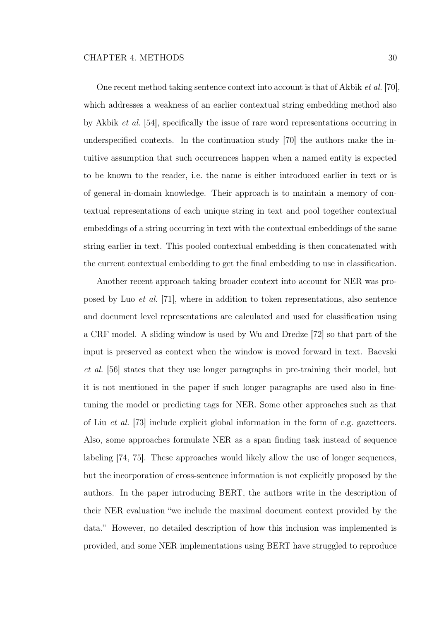One recent method taking sentence context into account is that of Akbik et al. [\[70\]](#page-91-0), which addresses a weakness of an earlier contextual string embedding method also by Akbik et al. [\[54\]](#page-88-1), specifcally the issue of rare word representations occurring in underspecifed contexts. In the continuation study [\[70\]](#page-91-0) the authors make the intuitive assumption that such occurrences happen when a named entity is expected to be known to the reader, i.e. the name is either introduced earlier in text or is of general in-domain knowledge. Their approach is to maintain a memory of contextual representations of each unique string in text and pool together contextual embeddings of a string occurring in text with the contextual embeddings of the same string earlier in text. This pooled contextual embedding is then concatenated with the current contextual embedding to get the fnal embedding to use in classifcation.

Another recent approach taking broader context into account for NER was proposed by Luo et al. [\[71\]](#page-91-1), where in addition to token representations, also sentence and document level representations are calculated and used for classifcation using a CRF model. A sliding window is used by Wu and Dredze [\[72\]](#page-91-2) so that part of the input is preserved as context when the window is moved forward in text. Baevski et al. [\[56\]](#page-89-0) states that they use longer paragraphs in pre-training their model, but it is not mentioned in the paper if such longer paragraphs are used also in fnetuning the model or predicting tags for NER. Some other approaches such as that of Liu et al. [\[73\]](#page-91-3) include explicit global information in the form of e.g. gazetteers. Also, some approaches formulate NER as a span fnding task instead of sequence labeling [\[74,](#page-92-0) [75\]](#page-92-1). These approaches would likely allow the use of longer sequences, but the incorporation of cross-sentence information is not explicitly proposed by the authors. In the paper introducing BERT, the authors write in the description of their NER evaluation "we include the maximal document context provided by the data." However, no detailed description of how this inclusion was implemented is provided, and some NER implementations using BERT have struggled to reproduce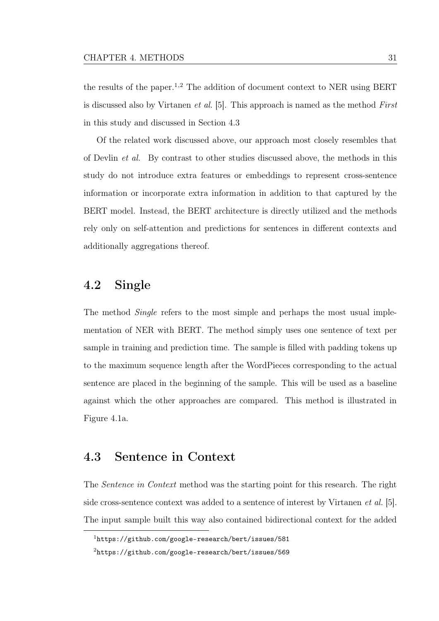the results of the paper.<sup>[1,](#page-38-0)[2](#page-38-1)</sup> The addition of document context to NER using BERT is discussed also by Virtanen et al. [\[5\]](#page-81-0). This approach is named as the method First in this study and discussed in Section [4.3](#page-38-2)

Of the related work discussed above, our approach most closely resembles that of Devlin et al. By contrast to other studies discussed above, the methods in this study do not introduce extra features or embeddings to represent cross-sentence information or incorporate extra information in addition to that captured by the BERT model. Instead, the BERT architecture is directly utilized and the methods rely only on self-attention and predictions for sentences in diferent contexts and additionally aggregations thereof.

# 4.2 Single

The method Single refers to the most simple and perhaps the most usual implementation of NER with BERT. The method simply uses one sentence of text per sample in training and prediction time. The sample is flled with padding tokens up to the maximum sequence length after the WordPieces corresponding to the actual sentence are placed in the beginning of the sample. This will be used as a baseline against which the other approaches are compared. This method is illustrated in Figure [4.1a](#page-39-0).

# <span id="page-38-2"></span>4.3 Sentence in Context

The Sentence in Context method was the starting point for this research. The right side cross-sentence context was added to a sentence of interest by Virtanen *et al.* [\[5\]](#page-81-0). The input sample built this way also contained bidirectional context for the added

<span id="page-38-1"></span><span id="page-38-0"></span><sup>1</sup><https://github.com/google-research/bert/issues/581>

<sup>2</sup>[https://github.com/google-research/bert/issues/569]( https://github.com/google-research/bert/issues/569)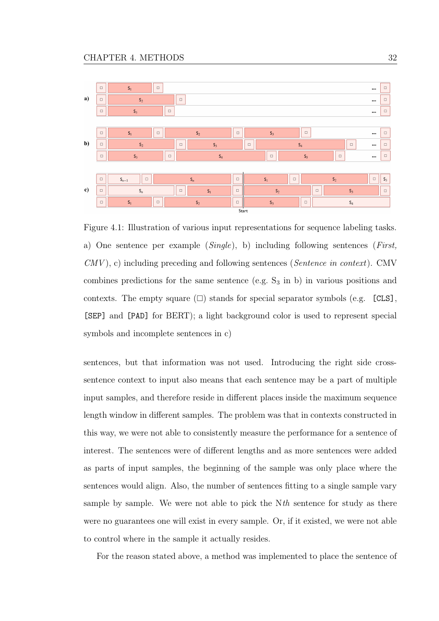<span id="page-39-0"></span>

Figure 4.1: Illustration of various input representations for sequence labeling tasks. a) One sentence per example (Single), b) including following sentences (First,  $CMV$ , c) including preceding and following sentences (Sentence in context). CMV combines predictions for the same sentence (e.g.  $S_3$  in b) in various positions and contexts. The empty square  $(\square)$  stands for special separator symbols (e.g.  $[CLS]$ , [SEP] and [PAD] for BERT); a light background color is used to represent special symbols and incomplete sentences in c)

sentences, but that information was not used. Introducing the right side crosssentence context to input also means that each sentence may be a part of multiple input samples, and therefore reside in diferent places inside the maximum sequence length window in diferent samples. The problem was that in contexts constructed in this way, we were not able to consistently measure the performance for a sentence of interest. The sentences were of diferent lengths and as more sentences were added as parts of input samples, the beginning of the sample was only place where the sentences would align. Also, the number of sentences ftting to a single sample vary sample by sample. We were not able to pick the Nth sentence for study as there were no guarantees one will exist in every sample. Or, if it existed, we were not able to control where in the sample it actually resides.

For the reason stated above, a method was implemented to place the sentence of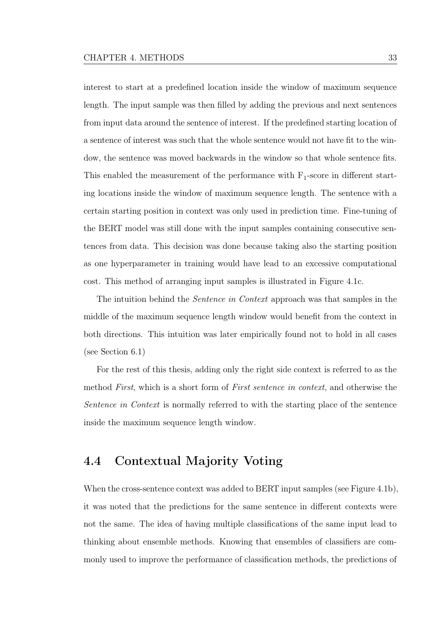interest to start at a predefned location inside the window of maximum sequence length. The input sample was then flled by adding the previous and next sentences from input data around the sentence of interest. If the predefned starting location of a sentence of interest was such that the whole sentence would not have ft to the window, the sentence was moved backwards in the window so that whole sentence fts. This enabled the measurement of the performance with  $F_1$ -score in different starting locations inside the window of maximum sequence length. The sentence with a certain starting position in context was only used in prediction time. Fine-tuning of the BERT model was still done with the input samples containing consecutive sentences from data. This decision was done because taking also the starting position as one hyperparameter in training would have lead to an excessive computational cost. This method of arranging input samples is illustrated in Figure [4.1c](#page-39-0).

The intuition behind the *Sentence in Context* approach was that samples in the middle of the maximum sequence length window would beneft from the context in both directions. This intuition was later empirically found not to hold in all cases (see Section [6.1\)](#page-58-0)

For the rest of this thesis, adding only the right side context is referred to as the method First, which is a short form of First sentence in context, and otherwise the Sentence in Context is normally referred to with the starting place of the sentence inside the maximum sequence length window.

# 4.4 Contextual Majority Voting

When the cross-sentence context was added to BERT input samples (see Figure [4.1b](#page-39-0)), it was noted that the predictions for the same sentence in diferent contexts were not the same. The idea of having multiple classifcations of the same input lead to thinking about ensemble methods. Knowing that ensembles of classifers are commonly used to improve the performance of classifcation methods, the predictions of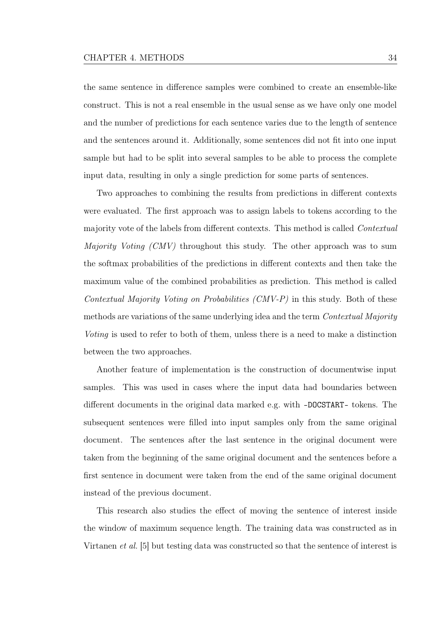the same sentence in diference samples were combined to create an ensemble-like construct. This is not a real ensemble in the usual sense as we have only one model and the number of predictions for each sentence varies due to the length of sentence and the sentences around it. Additionally, some sentences did not ft into one input sample but had to be split into several samples to be able to process the complete input data, resulting in only a single prediction for some parts of sentences.

Two approaches to combining the results from predictions in diferent contexts were evaluated. The frst approach was to assign labels to tokens according to the majority vote of the labels from diferent contexts. This method is called Contextual Majority Voting (CMV) throughout this study. The other approach was to sum the softmax probabilities of the predictions in diferent contexts and then take the maximum value of the combined probabilities as prediction. This method is called Contextual Majority Voting on Probabilities (CMV-P) in this study. Both of these methods are variations of the same underlying idea and the term *Contextual Majority* Voting is used to refer to both of them, unless there is a need to make a distinction between the two approaches.

Another feature of implementation is the construction of documentwise input samples. This was used in cases where the input data had boundaries between diferent documents in the original data marked e.g. with -DOCSTART- tokens. The subsequent sentences were flled into input samples only from the same original document. The sentences after the last sentence in the original document were taken from the beginning of the same original document and the sentences before a frst sentence in document were taken from the end of the same original document instead of the previous document.

This research also studies the efect of moving the sentence of interest inside the window of maximum sequence length. The training data was constructed as in Virtanen et al. [\[5\]](#page-81-0) but testing data was constructed so that the sentence of interest is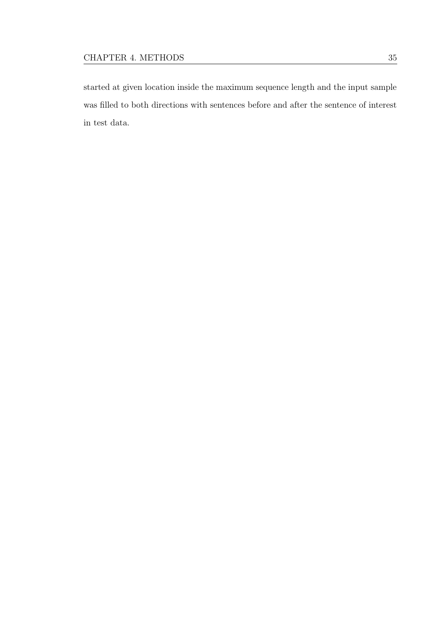started at given location inside the maximum sequence length and the input sample was flled to both directions with sentences before and after the sentence of interest in test data.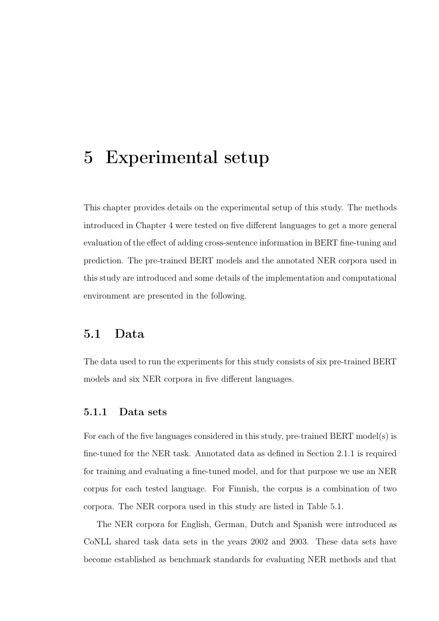# 5 Experimental setup

This chapter provides details on the experimental setup of this study. The methods introduced in Chapter [4](#page-35-0) were tested on fve diferent languages to get a more general evaluation of the efect of adding cross-sentence information in BERT fne-tuning and prediction. The pre-trained BERT models and the annotated NER corpora used in this study are introduced and some details of the implementation and computational environment are presented in the following.

# 5.1 Data

The data used to run the experiments for this study consists of six pre-trained BERT models and six NER corpora in fve diferent languages.

## <span id="page-43-0"></span>5.1.1 Data sets

For each of the fve languages considered in this study, pre-trained BERT model(s) is fne-tuned for the NER task. Annotated data as defned in Section [2.1.1](#page-13-0) is required for training and evaluating a fne-tuned model, and for that purpose we use an NER corpus for each tested language. For Finnish, the corpus is a combination of two corpora. The NER corpora used in this study are listed in Table [5.1.](#page-44-0)

The NER corpora for English, German, Dutch and Spanish were introduced as CoNLL shared task data sets in the years 2002 and 2003. These data sets have become established as benchmark standards for evaluating NER methods and that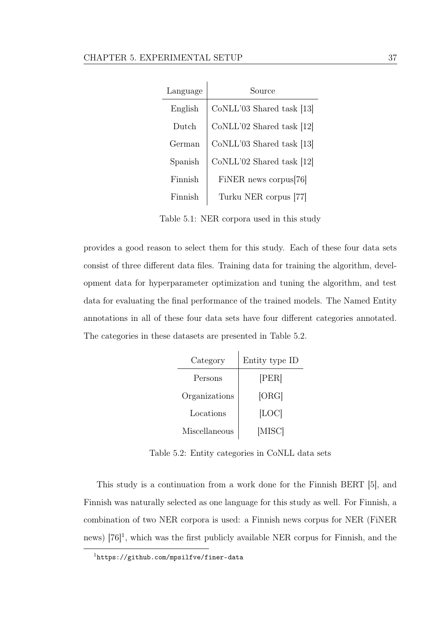<span id="page-44-0"></span>

| Language | Source                      |
|----------|-----------------------------|
| English  | CoNLL'03 Shared task [13]   |
| Dutch    | $CoNLL'02$ Shared task [12] |
| German   | CoNLL'03 Shared task [13]   |
| Spanish  | $CoNLL'02$ Shared task [12] |
| Finnish  | FiNER news corpus [76]      |
| Finnish  | Turku NER corpus [77]       |

Table 5.1: NER corpora used in this study

provides a good reason to select them for this study. Each of these four data sets consist of three diferent data fles. Training data for training the algorithm, development data for hyperparameter optimization and tuning the algorithm, and test data for evaluating the fnal performance of the trained models. The Named Entity annotations in all of these four data sets have four diferent categories annotated. The categories in these datasets are presented in Table [5.2.](#page-44-1)

<span id="page-44-1"></span>

| Category      | Entity type ID |  |  |
|---------------|----------------|--|--|
| Persons       | [PER]          |  |  |
| Organizations | [ORG]          |  |  |
| Locations     | [LOC]          |  |  |
| Miscellaneous | [MISC]         |  |  |

Table 5.2: Entity categories in CoNLL data sets

This study is a continuation from a work done for the Finnish BERT [\[5\]](#page-81-0), and Finnish was naturally selected as one language for this study as well. For Finnish, a combination of two NER corpora is used: a Finnish news corpus for NER (FiNER news)  $[76]$ <sup>[1](#page-44-2)</sup>, which was the first publicly available NER corpus for Finnish, and the

<span id="page-44-2"></span><sup>1</sup><https://github.com/mpsilfve/finer-data>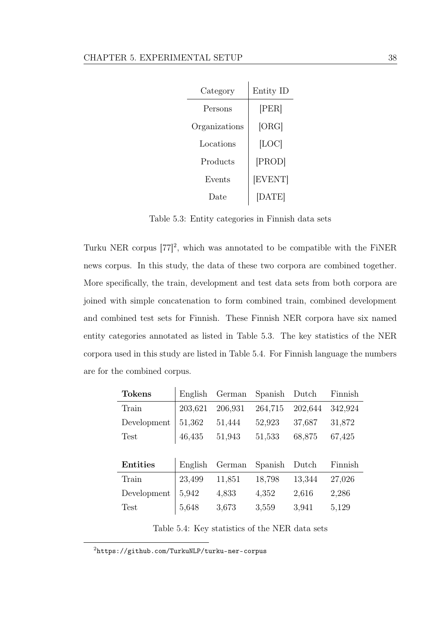<span id="page-45-1"></span>

| Category      | Entity ID |  |
|---------------|-----------|--|
| Persons       | [PER]     |  |
| Organizations | [ORG]     |  |
| Locations     | [LOC]     |  |
| Products      | [PROD]    |  |
| Events        | [EVENT]   |  |
| 1)ate         | [DATE]    |  |

Table 5.3: Entity categories in Finnish data sets

Turku NER corpus  $[77]^2$  $[77]^2$  $[77]^2$ , which was annotated to be compatible with the FiNER news corpus. In this study, the data of these two corpora are combined together. More specifcally, the train, development and test data sets from both corpora are joined with simple concatenation to form combined train, combined development and combined test sets for Finnish. These Finnish NER corpora have six named entity categories annotated as listed in Table [5.3.](#page-45-1) The key statistics of the NER corpora used in this study are listed in Table [5.4.](#page-45-2) For Finnish language the numbers are for the combined corpus.

<span id="page-45-2"></span>

| <b>Tokens</b>   | English | German  | Spanish | Dutch   | Finnish |
|-----------------|---------|---------|---------|---------|---------|
| Train           | 203,621 | 206,931 | 264,715 | 202,644 | 342,924 |
| Development     | 51,362  | 51,444  | 52,923  | 37,687  | 31,872  |
| <b>Test</b>     | 46,435  | 51,943  | 51,533  | 68,875  | 67,425  |
|                 |         |         |         |         |         |
|                 |         |         |         |         |         |
| <b>Entities</b> | English | German  | Spanish | Dutch   | Finnish |
| Train           | 23,499  | 11,851  | 18,798  | 13,344  | 27,026  |
| Development     | 5,942   | 4,833   | 4,352   | 2,616   | 2,286   |

Table 5.4: Key statistics of the NER data sets

<span id="page-45-0"></span><sup>2</sup><https://github.com/TurkuNLP/turku-ner-corpus>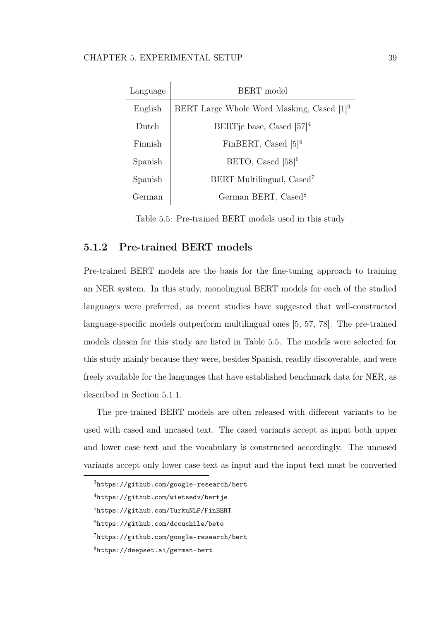<span id="page-46-0"></span>

| Language | BERT model                                            |
|----------|-------------------------------------------------------|
| English  | BERT Large Whole Word Masking, Cased [1] <sup>3</sup> |
| Dutch    | BERTje base, Cased $[57]^4$                           |
| Finnish  | FinBERT, Cased $[5]^{5}$                              |
| Spanish  | BETO, Cased $[58]^{6}$                                |
| Spanish  | BERT Multilingual, Cased <sup>7</sup>                 |
| German   | German BERT, Cased <sup>8</sup>                       |

Table 5.5: Pre-trained BERT models used in this study

# 5.1.2 Pre-trained BERT models

Pre-trained BERT models are the basis for the fne-tuning approach to training an NER system. In this study, monolingual BERT models for each of the studied languages were preferred, as recent studies have suggested that well-constructed language-specifc models outperform multilingual ones [\[5,](#page-81-0) [57,](#page-89-1) [78\]](#page-92-4). The pre-trained models chosen for this study are listed in Table [5.5.](#page-46-0) The models were selected for this study mainly because they were, besides Spanish, readily discoverable, and were freely available for the languages that have established benchmark data for NER, as described in Section [5.1.1.](#page-43-0)

The pre-trained BERT models are often released with diferent variants to be used with cased and uncased text. The cased variants accept as input both upper and lower case text and the vocabulary is constructed accordingly. The uncased variants accept only lower case text as input and the input text must be converted

<sup>3</sup><https://github.com/google-research/bert>

<sup>4</sup><https://github.com/wietsedv/bertje>

<sup>5</sup><https://github.com/TurkuNLP/FinBERT>

 $<sup>6</sup>$ <https://github.com/dccuchile/beto></sup>

<sup>7</sup><https://github.com/google-research/bert>

<sup>8</sup><https://deepset.ai/german-bert>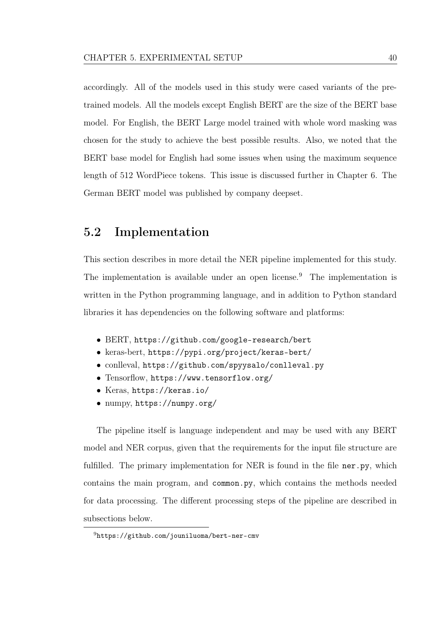accordingly. All of the models used in this study were cased variants of the pretrained models. All the models except English BERT are the size of the BERT base model. For English, the BERT Large model trained with whole word masking was chosen for the study to achieve the best possible results. Also, we noted that the BERT base model for English had some issues when using the maximum sequence length of 512 WordPiece tokens. This issue is discussed further in Chapter [6.](#page-58-1) The German BERT model was published by company deepset.

# 5.2 Implementation

This section describes in more detail the NER pipeline implemented for this study. The implementation is available under an open license.<sup>[9](#page-47-0)</sup> The implementation is written in the Python programming language, and in addition to Python standard libraries it has dependencies on the following software and platforms:

- BERT, <https://github.com/google-research/bert>
- keras-bert, <https://pypi.org/project/keras-bert/>
- conlleval, <https://github.com/spyysalo/conlleval.py>
- Tensorflow, <https://www.tensorflow.org/>
- Keras, <https://keras.io/>
- numpy, <https://numpy.org/>

The pipeline itself is language independent and may be used with any BERT model and NER corpus, given that the requirements for the input fle structure are fulfilled. The primary implementation for NER is found in the file ner.py, which contains the main program, and common.py, which contains the methods needed for data processing. The diferent processing steps of the pipeline are described in subsections below.

<span id="page-47-0"></span><sup>9</sup><https://github.com/jouniluoma/bert-ner-cmv>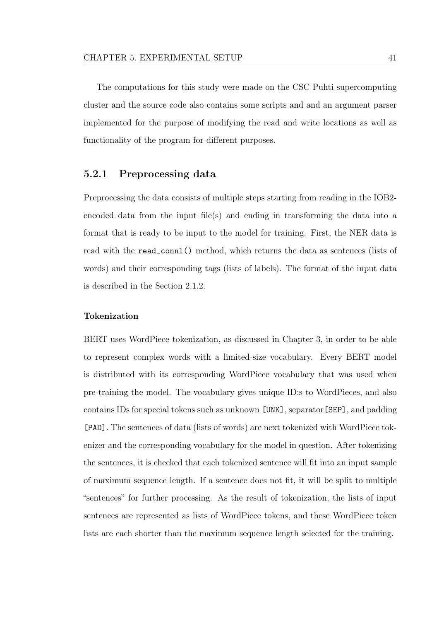The computations for this study were made on the CSC Puhti supercomputing cluster and the source code also contains some scripts and and an argument parser implemented for the purpose of modifying the read and write locations as well as functionality of the program for diferent purposes.

## 5.2.1 Preprocessing data

Preprocessing the data consists of multiple steps starting from reading in the IOB2 encoded data from the input fle(s) and ending in transforming the data into a format that is ready to be input to the model for training. First, the NER data is read with the read\_connl() method, which returns the data as sentences (lists of words) and their corresponding tags (lists of labels). The format of the input data is described in the Section [2.1.2.](#page-14-0)

#### Tokenization

BERT uses WordPiece tokenization, as discussed in Chapter [3,](#page-26-0) in order to be able to represent complex words with a limited-size vocabulary. Every BERT model is distributed with its corresponding WordPiece vocabulary that was used when pre-training the model. The vocabulary gives unique ID:s to WordPieces, and also contains IDs for special tokens such as unknown [UNK], separator[SEP], and padding [PAD]. The sentences of data (lists of words) are next tokenized with WordPiece tokenizer and the corresponding vocabulary for the model in question. After tokenizing the sentences, it is checked that each tokenized sentence will ft into an input sample of maximum sequence length. If a sentence does not ft, it will be split to multiple "sentences" for further processing. As the result of tokenization, the lists of input sentences are represented as lists of WordPiece tokens, and these WordPiece token lists are each shorter than the maximum sequence length selected for the training.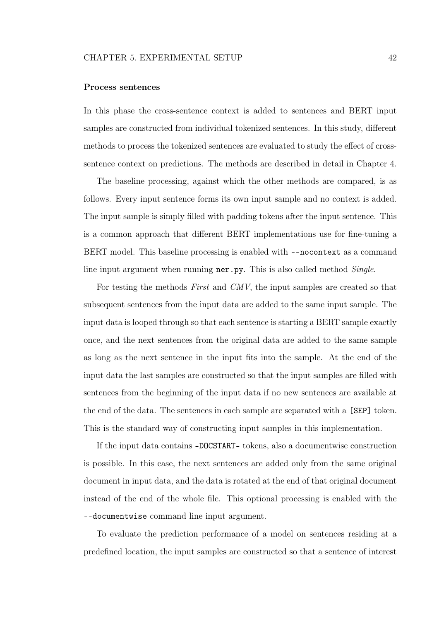#### Process sentences

In this phase the cross-sentence context is added to sentences and BERT input samples are constructed from individual tokenized sentences. In this study, diferent methods to process the tokenized sentences are evaluated to study the efect of crosssentence context on predictions. The methods are described in detail in Chapter [4.](#page-35-0)

The baseline processing, against which the other methods are compared, is as follows. Every input sentence forms its own input sample and no context is added. The input sample is simply flled with padding tokens after the input sentence. This is a common approach that diferent BERT implementations use for fne-tuning a BERT model. This baseline processing is enabled with --nocontext as a command line input argument when running ner.py. This is also called method *Single*.

For testing the methods First and CMV, the input samples are created so that subsequent sentences from the input data are added to the same input sample. The input data is looped through so that each sentence is starting a BERT sample exactly once, and the next sentences from the original data are added to the same sample as long as the next sentence in the input fts into the sample. At the end of the input data the last samples are constructed so that the input samples are flled with sentences from the beginning of the input data if no new sentences are available at the end of the data. The sentences in each sample are separated with a [SEP] token. This is the standard way of constructing input samples in this implementation.

If the input data contains -DOCSTART- tokens, also a documentwise construction is possible. In this case, the next sentences are added only from the same original document in input data, and the data is rotated at the end of that original document instead of the end of the whole fle. This optional processing is enabled with the --documentwise command line input argument.

To evaluate the prediction performance of a model on sentences residing at a predefned location, the input samples are constructed so that a sentence of interest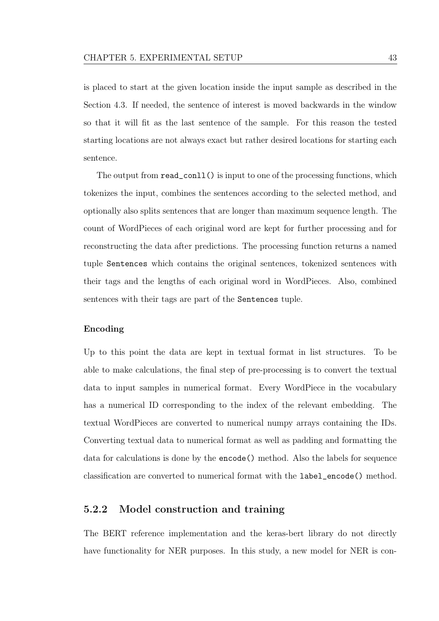is placed to start at the given location inside the input sample as described in the Section [4.3.](#page-38-2) If needed, the sentence of interest is moved backwards in the window so that it will ft as the last sentence of the sample. For this reason the tested starting locations are not always exact but rather desired locations for starting each sentence.

The output from read\_conll() is input to one of the processing functions, which tokenizes the input, combines the sentences according to the selected method, and optionally also splits sentences that are longer than maximum sequence length. The count of WordPieces of each original word are kept for further processing and for reconstructing the data after predictions. The processing function returns a named tuple Sentences which contains the original sentences, tokenized sentences with their tags and the lengths of each original word in WordPieces. Also, combined sentences with their tags are part of the Sentences tuple.

#### Encoding

Up to this point the data are kept in textual format in list structures. To be able to make calculations, the fnal step of pre-processing is to convert the textual data to input samples in numerical format. Every WordPiece in the vocabulary has a numerical ID corresponding to the index of the relevant embedding. The textual WordPieces are converted to numerical numpy arrays containing the IDs. Converting textual data to numerical format as well as padding and formatting the data for calculations is done by the encode() method. Also the labels for sequence classifcation are converted to numerical format with the label\_encode() method.

#### 5.2.2 Model construction and training

The BERT reference implementation and the keras-bert library do not directly have functionality for NER purposes. In this study, a new model for NER is con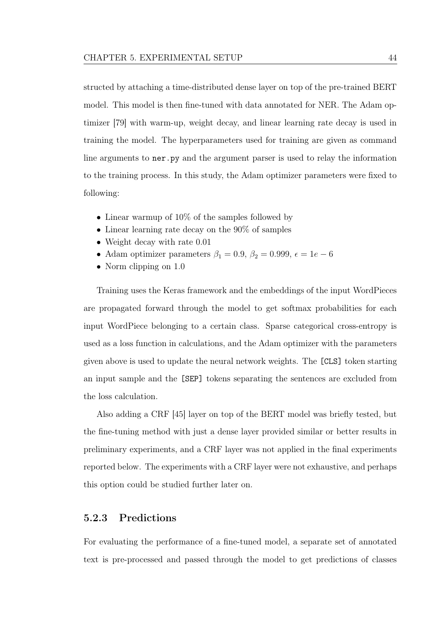structed by attaching a time-distributed dense layer on top of the pre-trained BERT model. This model is then fne-tuned with data annotated for NER. The Adam optimizer [\[79\]](#page-93-0) with warm-up, weight decay, and linear learning rate decay is used in training the model. The hyperparameters used for training are given as command line arguments to ner.py and the argument parser is used to relay the information to the training process. In this study, the Adam optimizer parameters were fxed to following:

- Linear warmup of  $10\%$  of the samples followed by
- Linear learning rate decay on the 90% of samples
- Weight decay with rate 0.01
- Adam optimizer parameters  $\beta_1 = 0.9$ ,  $\beta_2 = 0.999$ ,  $\epsilon = 1e 6$
- Norm clipping on 1.0

Training uses the Keras framework and the embeddings of the input WordPieces are propagated forward through the model to get softmax probabilities for each input WordPiece belonging to a certain class. Sparse categorical cross-entropy is used as a loss function in calculations, and the Adam optimizer with the parameters given above is used to update the neural network weights. The [CLS] token starting an input sample and the [SEP] tokens separating the sentences are excluded from the loss calculation.

Also adding a CRF [\[45\]](#page-87-0) layer on top of the BERT model was briefy tested, but the fne-tuning method with just a dense layer provided similar or better results in preliminary experiments, and a CRF layer was not applied in the fnal experiments reported below. The experiments with a CRF layer were not exhaustive, and perhaps this option could be studied further later on.

# 5.2.3 Predictions

For evaluating the performance of a fne-tuned model, a separate set of annotated text is pre-processed and passed through the model to get predictions of classes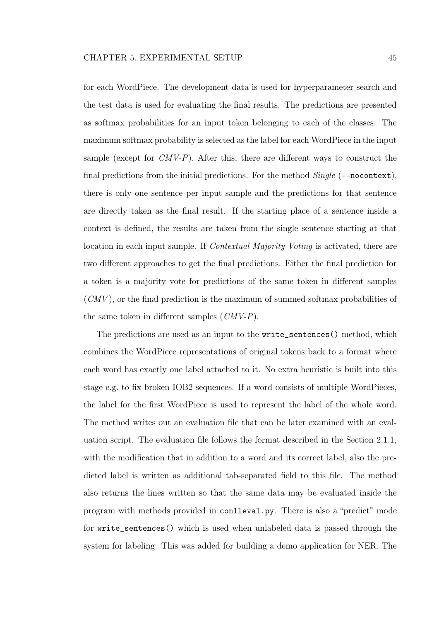for each WordPiece. The development data is used for hyperparameter search and the test data is used for evaluating the fnal results. The predictions are presented as softmax probabilities for an input token belonging to each of the classes. The maximum softmax probability is selected as the label for each WordPiece in the input sample (except for  $CMV-P$ ). After this, there are different ways to construct the final predictions from the initial predictions. For the method  $Single$  (--nocontext), there is only one sentence per input sample and the predictions for that sentence are directly taken as the fnal result. If the starting place of a sentence inside a context is defned, the results are taken from the single sentence starting at that location in each input sample. If *Contextual Majority Voting* is activated, there are two diferent approaches to get the fnal predictions. Either the fnal prediction for a token is a majority vote for predictions of the same token in diferent samples  $(CMV)$ , or the final prediction is the maximum of summed softmax probabilities of the same token in different samples  $(CMV-P)$ .

The predictions are used as an input to the write\_sentences() method, which combines the WordPiece representations of original tokens back to a format where each word has exactly one label attached to it. No extra heuristic is built into this stage e.g. to fx broken IOB2 sequences. If a word consists of multiple WordPieces, the label for the frst WordPiece is used to represent the label of the whole word. The method writes out an evaluation fle that can be later examined with an evaluation script. The evaluation fle follows the format described in the Section [2.1.1,](#page-13-0) with the modifcation that in addition to a word and its correct label, also the predicted label is written as additional tab-separated feld to this fle. The method also returns the lines written so that the same data may be evaluated inside the program with methods provided in conlleval.py. There is also a "predict" mode for write\_sentences() which is used when unlabeled data is passed through the system for labeling. This was added for building a demo application for NER. The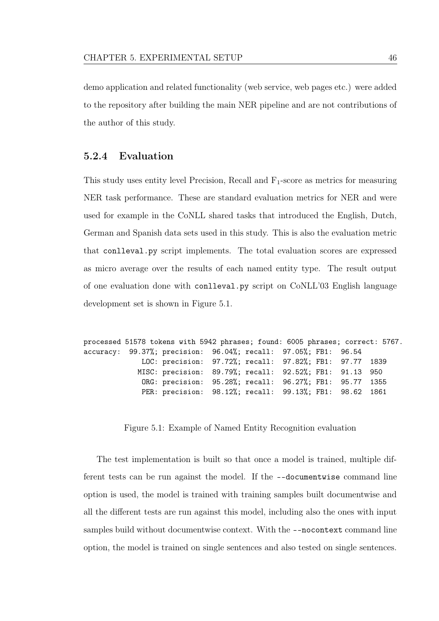demo application and related functionality (web service, web pages etc.) were added to the repository after building the main NER pipeline and are not contributions of the author of this study.

## <span id="page-53-1"></span>5.2.4 Evaluation

This study uses entity level Precision, Recall and  $F_1$ -score as metrics for measuring NER task performance. These are standard evaluation metrics for NER and were used for example in the CoNLL shared tasks that introduced the English, Dutch, German and Spanish data sets used in this study. This is also the evaluation metric that conlleval.py script implements. The total evaluation scores are expressed as micro average over the results of each named entity type. The result output of one evaluation done with conlleval.py script on CoNLL'03 English language development set is shown in Figure [5.1.](#page-53-0)

```
processed 51578 tokens with 5942 phrases; found: 6005 phrases; correct: 5767.
accuracy: 99.37%; precision: 96.04%; recall: 97.05%; FB1: 96.54
             LOC: precision: 97.72%; recall: 97.82%; FB1: 97.77 1839
            MISC: precision: 89.79%; recall: 92.52%; FB1: 91.13 950
             ORG: precision: 95.28%; recall: 96.27%; FB1: 95.77 1355
             PER: precision: 98.12%; recall: 99.13%; FB1: 98.62 1861
```
Figure 5.1: Example of Named Entity Recognition evaluation

The test implementation is built so that once a model is trained, multiple different tests can be run against the model. If the --documentwise command line option is used, the model is trained with training samples built documentwise and all the diferent tests are run against this model, including also the ones with input samples build without documentwise context. With the --nocontext command line option, the model is trained on single sentences and also tested on single sentences.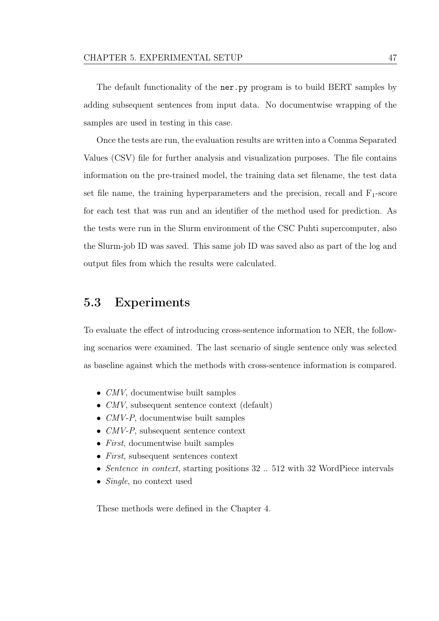The default functionality of the ner.py program is to build BERT samples by adding subsequent sentences from input data. No documentwise wrapping of the samples are used in testing in this case.

Once the tests are run, the evaluation results are written into a Comma Separated Values (CSV) fle for further analysis and visualization purposes. The fle contains information on the pre-trained model, the training data set flename, the test data set file name, the training hyperparameters and the precision, recall and  $F_1$ -score for each test that was run and an identifer of the method used for prediction. As the tests were run in the Slurm environment of the CSC Puhti supercomputer, also the Slurm-job ID was saved. This same job ID was saved also as part of the log and output fles from which the results were calculated.

# 5.3 Experiments

To evaluate the efect of introducing cross-sentence information to NER, the following scenarios were examined. The last scenario of single sentence only was selected as baseline against which the methods with cross-sentence information is compared.

- *CMV*, documentwise built samples
- *CMV*, subsequent sentence context (default)
- $CMV-P$ , documentwise built samples
- CMV-P, subsequent sentence context
- First, documentwise built samples
- First, subsequent sentences context
- Sentence in context, starting positions 32 .. 512 with 32 WordPiece intervals
- *Single*, no context used

These methods were defned in the Chapter [4.](#page-35-0)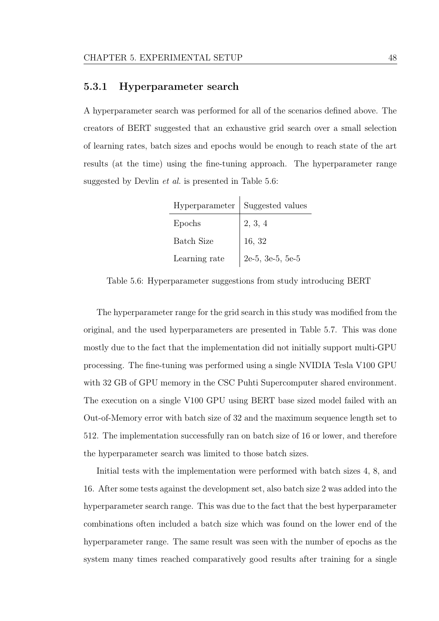#### 5.3.1 Hyperparameter search

<span id="page-55-0"></span>A hyperparameter search was performed for all of the scenarios defned above. The creators of BERT suggested that an exhaustive grid search over a small selection of learning rates, batch sizes and epochs would be enough to reach state of the art results (at the time) using the fne-tuning approach. The hyperparameter range suggested by Devlin et al. is presented in Table [5.6:](#page-55-0)

|                   | Hyperparameter   Suggested values |
|-------------------|-----------------------------------|
| Epochs            | 2, 3, 4                           |
| <b>Batch Size</b> | 16, 32                            |
| Learning rate     | $2e-5$ , $3e-5$ , $5e-5$          |

Table 5.6: Hyperparameter suggestions from study introducing BERT

The hyperparameter range for the grid search in this study was modifed from the original, and the used hyperparameters are presented in Table [5.7.](#page-56-0) This was done mostly due to the fact that the implementation did not initially support multi-GPU processing. The fne-tuning was performed using a single NVIDIA Tesla V100 GPU with 32 GB of GPU memory in the CSC Puhti Supercomputer shared environment. The execution on a single V100 GPU using BERT base sized model failed with an Out-of-Memory error with batch size of 32 and the maximum sequence length set to 512. The implementation successfully ran on batch size of 16 or lower, and therefore the hyperparameter search was limited to those batch sizes.

Initial tests with the implementation were performed with batch sizes 4, 8, and 16. After some tests against the development set, also batch size 2 was added into the hyperparameter search range. This was due to the fact that the best hyperparameter combinations often included a batch size which was found on the lower end of the hyperparameter range. The same result was seen with the number of epochs as the system many times reached comparatively good results after training for a single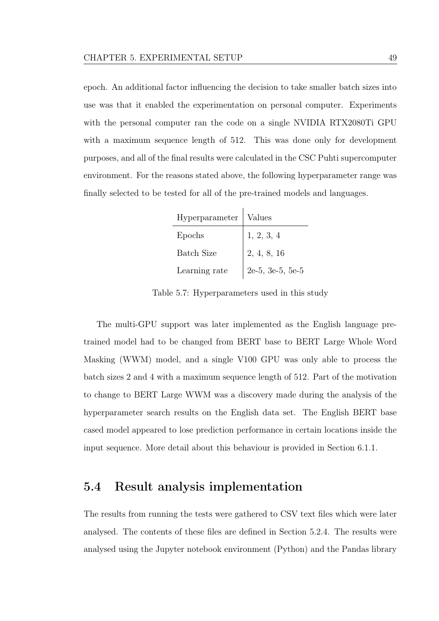epoch. An additional factor infuencing the decision to take smaller batch sizes into use was that it enabled the experimentation on personal computer. Experiments with the personal computer ran the code on a single NVIDIA RTX2080Ti GPU with a maximum sequence length of 512. This was done only for development purposes, and all of the fnal results were calculated in the CSC Puhti supercomputer environment. For the reasons stated above, the following hyperparameter range was fnally selected to be tested for all of the pre-trained models and languages.

<span id="page-56-0"></span>

| Hyperparameter   Values |                           |
|-------------------------|---------------------------|
| Epochs                  | 1, 2, 3, 4                |
| <b>Batch Size</b>       | $\vert 2, 4, 8, 16 \vert$ |
| Learning rate           | 2e-5, 3e-5, 5e-5          |

Table 5.7: Hyperparameters used in this study

The multi-GPU support was later implemented as the English language pretrained model had to be changed from BERT base to BERT Large Whole Word Masking (WWM) model, and a single V100 GPU was only able to process the batch sizes 2 and 4 with a maximum sequence length of 512. Part of the motivation to change to BERT Large WWM was a discovery made during the analysis of the hyperparameter search results on the English data set. The English BERT base cased model appeared to lose prediction performance in certain locations inside the input sequence. More detail about this behaviour is provided in Section [6.1.1.](#page-59-0)

# 5.4 Result analysis implementation

The results from running the tests were gathered to CSV text fles which were later analysed. The contents of these fles are defned in Section [5.2.4.](#page-53-1) The results were analysed using the Jupyter notebook environment (Python) and the Pandas library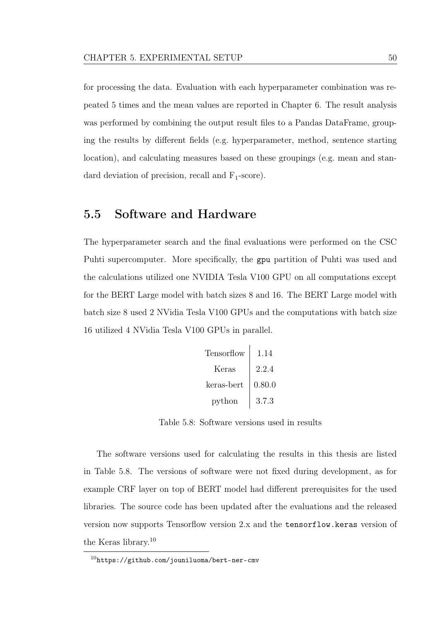for processing the data. Evaluation with each hyperparameter combination was repeated 5 times and the mean values are reported in Chapter [6.](#page-58-1) The result analysis was performed by combining the output result files to a Pandas DataFrame, grouping the results by diferent felds (e.g. hyperparameter, method, sentence starting location), and calculating measures based on these groupings (e.g. mean and standard deviation of precision, recall and  $F_1$ -score).

# 5.5 Software and Hardware

<span id="page-57-0"></span>The hyperparameter search and the fnal evaluations were performed on the CSC Puhti supercomputer. More specifcally, the gpu partition of Puhti was used and the calculations utilized one NVIDIA Tesla V100 GPU on all computations except for the BERT Large model with batch sizes 8 and 16. The BERT Large model with batch size 8 used 2 NVidia Tesla V100 GPUs and the computations with batch size 16 utilized 4 NVidia Tesla V100 GPUs in parallel.

Tensorfow 1.14 Keras 2.2.4 keras-bert 0.80.0 python 3.7.3

Table 5.8: Software versions used in results

The software versions used for calculating the results in this thesis are listed in Table [5.8.](#page-57-0) The versions of software were not fxed during development, as for example CRF layer on top of BERT model had diferent prerequisites for the used libraries. The source code has been updated after the evaluations and the released version now supports Tensorfow version 2.x and the tensorflow.keras version of the Keras library.[10](#page-57-1)

<span id="page-57-1"></span> $10$ <https://github.com/jouniluoma/bert-ner-cmv>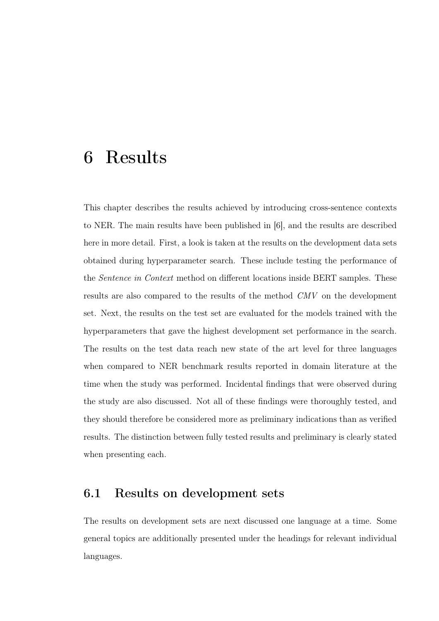# <span id="page-58-1"></span>6 Results

This chapter describes the results achieved by introducing cross-sentence contexts to NER. The main results have been published in [\[6\]](#page-81-1), and the results are described here in more detail. First, a look is taken at the results on the development data sets obtained during hyperparameter search. These include testing the performance of the Sentence in Context method on diferent locations inside BERT samples. These results are also compared to the results of the method CMV on the development set. Next, the results on the test set are evaluated for the models trained with the hyperparameters that gave the highest development set performance in the search. The results on the test data reach new state of the art level for three languages when compared to NER benchmark results reported in domain literature at the time when the study was performed. Incidental fndings that were observed during the study are also discussed. Not all of these fndings were thoroughly tested, and they should therefore be considered more as preliminary indications than as verifed results. The distinction between fully tested results and preliminary is clearly stated when presenting each.

# <span id="page-58-0"></span>6.1 Results on development sets

The results on development sets are next discussed one language at a time. Some general topics are additionally presented under the headings for relevant individual languages.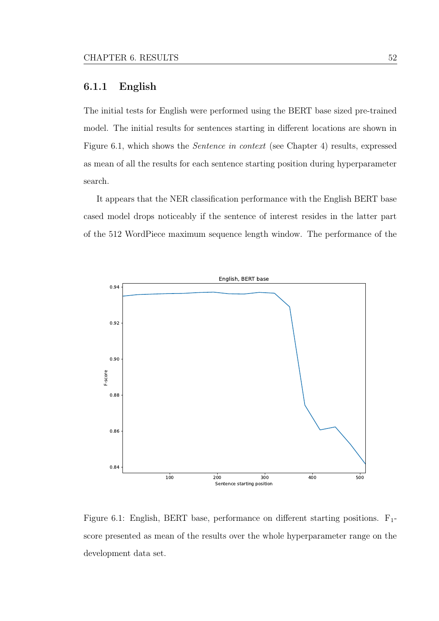## <span id="page-59-0"></span>6.1.1 English

The initial tests for English were performed using the BERT base sized pre-trained model. The initial results for sentences starting in diferent locations are shown in Figure [6.1,](#page-59-1) which shows the Sentence in context (see Chapter [4\)](#page-35-0) results, expressed as mean of all the results for each sentence starting position during hyperparameter search.

It appears that the NER classifcation performance with the English BERT base cased model drops noticeably if the sentence of interest resides in the latter part of the 512 WordPiece maximum sequence length window. The performance of the

<span id="page-59-1"></span>

Figure 6.1: English, BERT base, performance on different starting positions.  $F_1$ score presented as mean of the results over the whole hyperparameter range on the development data set.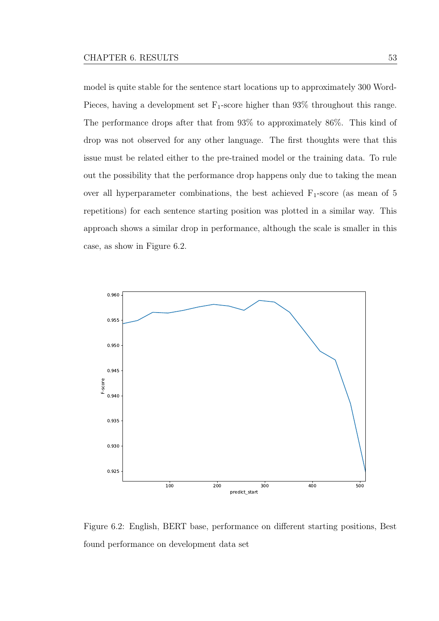model is quite stable for the sentence start locations up to approximately 300 Word-Pieces, having a development set  $F_1$ -score higher than 93% throughout this range. The performance drops after that from 93% to approximately 86%. This kind of drop was not observed for any other language. The frst thoughts were that this issue must be related either to the pre-trained model or the training data. To rule out the possibility that the performance drop happens only due to taking the mean over all hyperparameter combinations, the best achieved  $F_1$ -score (as mean of 5 repetitions) for each sentence starting position was plotted in a similar way. This approach shows a similar drop in performance, although the scale is smaller in this case, as show in Figure [6.2.](#page-60-0)

<span id="page-60-0"></span>

Figure 6.2: English, BERT base, performance on diferent starting positions, Best found performance on development data set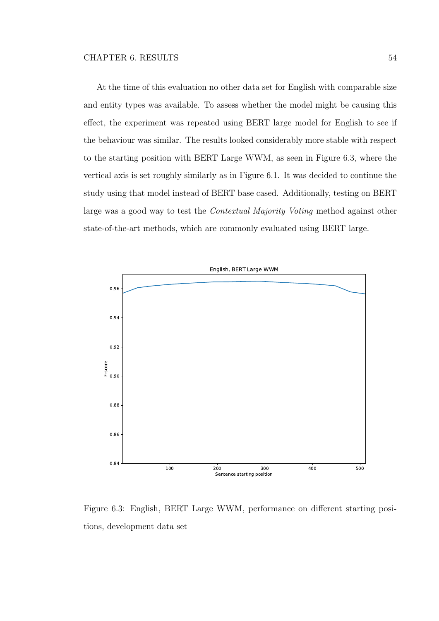At the time of this evaluation no other data set for English with comparable size and entity types was available. To assess whether the model might be causing this efect, the experiment was repeated using BERT large model for English to see if the behaviour was similar. The results looked considerably more stable with respect to the starting position with BERT Large WWM, as seen in Figure [6.3,](#page-61-0) where the vertical axis is set roughly similarly as in Figure [6.1.](#page-59-1) It was decided to continue the study using that model instead of BERT base cased. Additionally, testing on BERT large was a good way to test the *Contextual Majority Voting* method against other state-of-the-art methods, which are commonly evaluated using BERT large.

<span id="page-61-0"></span>

Figure 6.3: English, BERT Large WWM, performance on diferent starting positions, development data set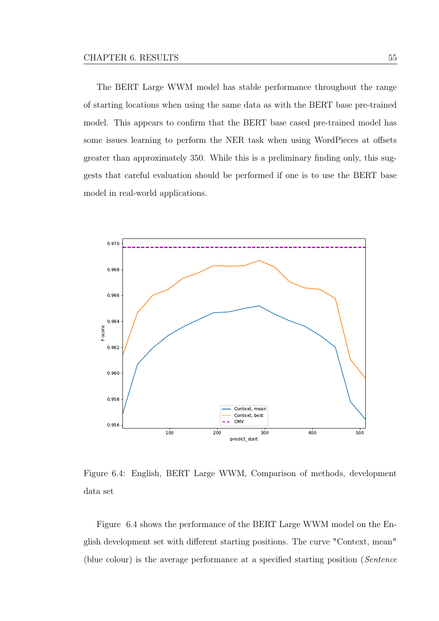The BERT Large WWM model has stable performance throughout the range of starting locations when using the same data as with the BERT base pre-trained model. This appears to confrm that the BERT base cased pre-trained model has some issues learning to perform the NER task when using WordPieces at offsets greater than approximately 350. While this is a preliminary fnding only, this suggests that careful evaluation should be performed if one is to use the BERT base model in real-world applications.

<span id="page-62-0"></span>

Figure 6.4: English, BERT Large WWM, Comparison of methods, development data set

Figure [6.4](#page-62-0) shows the performance of the BERT Large WWM model on the English development set with diferent starting positions. The curve "Context, mean" (blue colour) is the average performance at a specifed starting position (Sentence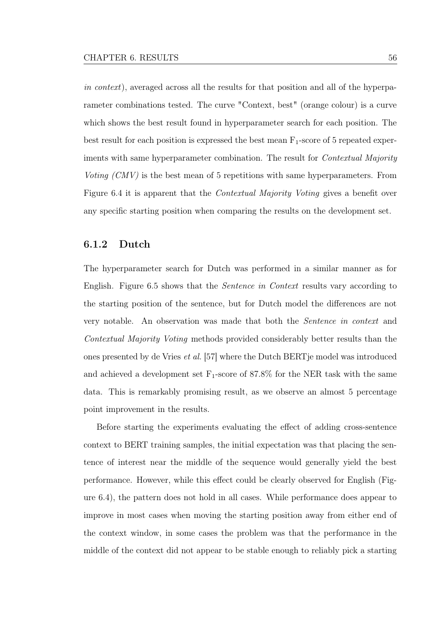in context), averaged across all the results for that position and all of the hyperparameter combinations tested. The curve "Context, best" (orange colour) is a curve which shows the best result found in hyperparameter search for each position. The best result for each position is expressed the best mean  $F_1$ -score of 5 repeated experiments with same hyperparameter combination. The result for *Contextual Majority* Voting (CMV) is the best mean of 5 repetitions with same hyperparameters. From Figure [6.4](#page-62-0) it is apparent that the Contextual Majority Voting gives a beneft over any specifc starting position when comparing the results on the development set.

#### 6.1.2 Dutch

The hyperparameter search for Dutch was performed in a similar manner as for English. Figure [6.5](#page-64-0) shows that the Sentence in Context results vary according to the starting position of the sentence, but for Dutch model the diferences are not very notable. An observation was made that both the Sentence in context and Contextual Majority Voting methods provided considerably better results than the ones presented by de Vries et al. [\[57\]](#page-89-1) where the Dutch BERTje model was introduced and achieved a development set  $F_1$ -score of 87.8% for the NER task with the same data. This is remarkably promising result, as we observe an almost 5 percentage point improvement in the results.

Before starting the experiments evaluating the efect of adding cross-sentence context to BERT training samples, the initial expectation was that placing the sentence of interest near the middle of the sequence would generally yield the best performance. However, while this efect could be clearly observed for English (Figure [6.4\)](#page-62-0), the pattern does not hold in all cases. While performance does appear to improve in most cases when moving the starting position away from either end of the context window, in some cases the problem was that the performance in the middle of the context did not appear to be stable enough to reliably pick a starting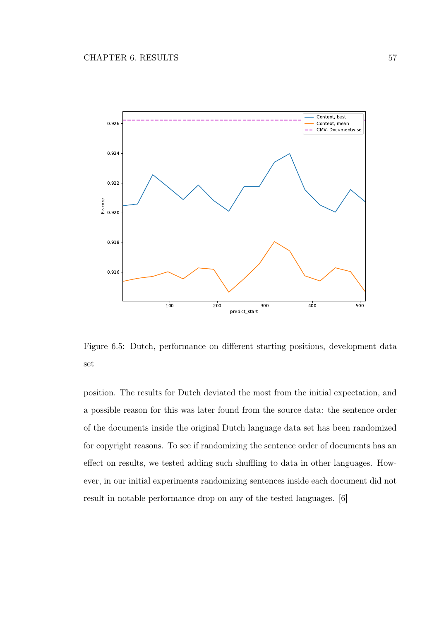<span id="page-64-0"></span>

Figure 6.5: Dutch, performance on diferent starting positions, development data set

position. The results for Dutch deviated the most from the initial expectation, and a possible reason for this was later found from the source data: the sentence order of the documents inside the original Dutch language data set has been randomized for copyright reasons. To see if randomizing the sentence order of documents has an efect on results, we tested adding such shufing to data in other languages. However, in our initial experiments randomizing sentences inside each document did not result in notable performance drop on any of the tested languages. [\[6\]](#page-81-1)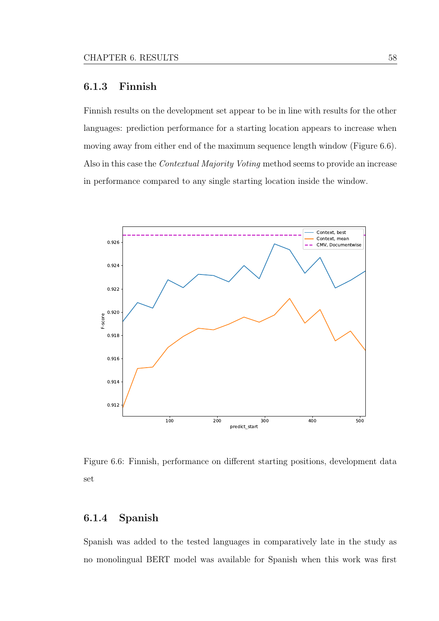## 6.1.3 Finnish

Finnish results on the development set appear to be in line with results for the other languages: prediction performance for a starting location appears to increase when moving away from either end of the maximum sequence length window (Figure [6.6\)](#page-65-0). Also in this case the Contextual Majority Voting method seems to provide an increase in performance compared to any single starting location inside the window.

<span id="page-65-0"></span>

Figure 6.6: Finnish, performance on diferent starting positions, development data set

# 6.1.4 Spanish

Spanish was added to the tested languages in comparatively late in the study as no monolingual BERT model was available for Spanish when this work was frst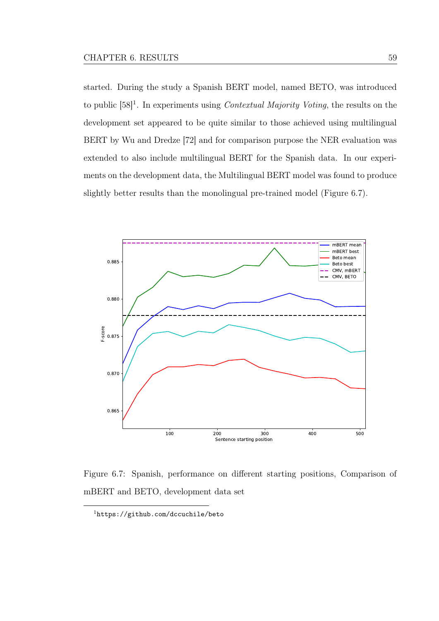started. During the study a Spanish BERT model, named BETO, was introduced to public  $[58]$ <sup>[1](#page-66-0)</sup>. In experiments using *Contextual Majority Voting*, the results on the development set appeared to be quite similar to those achieved using multilingual BERT by Wu and Dredze [\[72\]](#page-91-2) and for comparison purpose the NER evaluation was extended to also include multilingual BERT for the Spanish data. In our experiments on the development data, the Multilingual BERT model was found to produce slightly better results than the monolingual pre-trained model (Figure [6.7\)](#page-66-1).

<span id="page-66-1"></span>

Figure 6.7: Spanish, performance on diferent starting positions, Comparison of mBERT and BETO, development data set

<span id="page-66-0"></span><sup>1</sup><https://github.com/dccuchile/beto>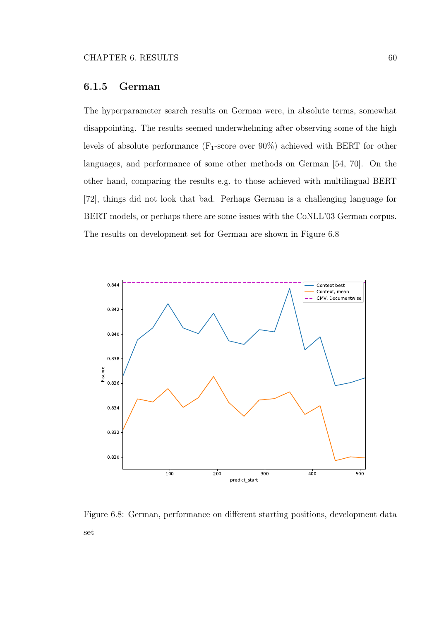## 6.1.5 German

The hyperparameter search results on German were, in absolute terms, somewhat disappointing. The results seemed underwhelming after observing some of the high levels of absolute performance  $(F_1\text{-score over }90\%)$  achieved with BERT for other languages, and performance of some other methods on German [\[54,](#page-88-1) [70\]](#page-91-0). On the other hand, comparing the results e.g. to those achieved with multilingual BERT [\[72\]](#page-91-2), things did not look that bad. Perhaps German is a challenging language for BERT models, or perhaps there are some issues with the CoNLL'03 German corpus. The results on development set for German are shown in Figure [6.8](#page-67-0)

<span id="page-67-0"></span>

Figure 6.8: German, performance on diferent starting positions, development data set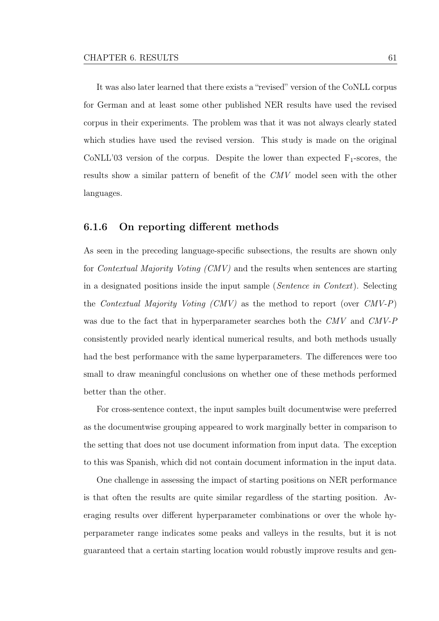It was also later learned that there exists a "revised" version of the CoNLL corpus for German and at least some other published NER results have used the revised corpus in their experiments. The problem was that it was not always clearly stated which studies have used the revised version. This study is made on the original CoNLL'03 version of the corpus. Despite the lower than expected  $F_1$ -scores, the results show a similar pattern of beneft of the CMV model seen with the other languages.

#### 6.1.6 On reporting diferent methods

As seen in the preceding language-specifc subsections, the results are shown only for Contextual Majority Voting (CMV) and the results when sentences are starting in a designated positions inside the input sample (Sentence in Context). Selecting the Contextual Majority Voting  $(CMV)$  as the method to report (over  $CMV-P$ ) was due to the fact that in hyperparameter searches both the CMV and CMV-P consistently provided nearly identical numerical results, and both methods usually had the best performance with the same hyperparameters. The diferences were too small to draw meaningful conclusions on whether one of these methods performed better than the other.

For cross-sentence context, the input samples built documentwise were preferred as the documentwise grouping appeared to work marginally better in comparison to the setting that does not use document information from input data. The exception to this was Spanish, which did not contain document information in the input data.

One challenge in assessing the impact of starting positions on NER performance is that often the results are quite similar regardless of the starting position. Averaging results over diferent hyperparameter combinations or over the whole hyperparameter range indicates some peaks and valleys in the results, but it is not guaranteed that a certain starting location would robustly improve results and gen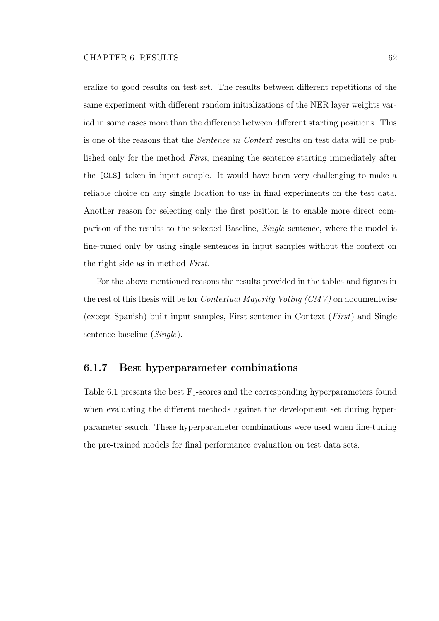eralize to good results on test set. The results between diferent repetitions of the same experiment with diferent random initializations of the NER layer weights varied in some cases more than the diference between diferent starting positions. This is one of the reasons that the Sentence in Context results on test data will be published only for the method First, meaning the sentence starting immediately after the [CLS] token in input sample. It would have been very challenging to make a reliable choice on any single location to use in fnal experiments on the test data. Another reason for selecting only the frst position is to enable more direct comparison of the results to the selected Baseline, Single sentence, where the model is fne-tuned only by using single sentences in input samples without the context on the right side as in method First.

For the above-mentioned reasons the results provided in the tables and fgures in the rest of this thesis will be for Contextual Majority Voting (CMV) on documentwise (except Spanish) built input samples, First sentence in Context (First) and Single sentence baseline (Single).

#### 6.1.7 Best hyperparameter combinations

Table [6.1](#page-70-0) presents the best  $F_1$ -scores and the corresponding hyperparameters found when evaluating the diferent methods against the development set during hyperparameter search. These hyperparameter combinations were used when fne-tuning the pre-trained models for fnal performance evaluation on test data sets.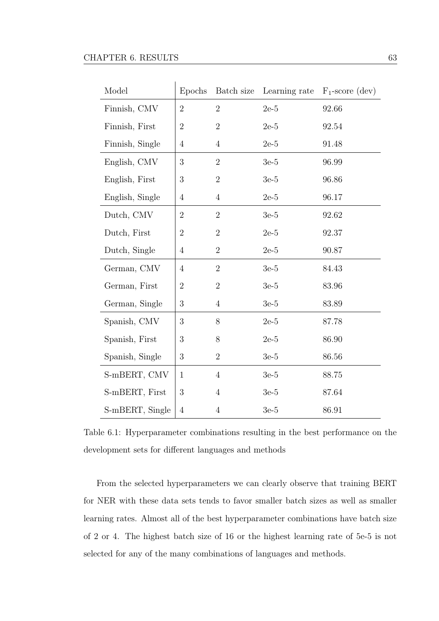<span id="page-70-0"></span>

| Model           | Epochs         | Batch size     | Learning rate | $F_1$ -score (dev) |
|-----------------|----------------|----------------|---------------|--------------------|
| Finnish, CMV    | $\overline{2}$ | $\overline{2}$ | $2e-5$        | 92.66              |
| Finnish, First  | $\overline{2}$ | $\overline{2}$ | $2e-5$        | 92.54              |
| Finnish, Single | $\overline{4}$ | $\overline{4}$ | $2e-5$        | 91.48              |
| English, CMV    | 3              | $\overline{2}$ | $3e-5$        | 96.99              |
| English, First  | 3              | $\overline{2}$ | $3e-5$        | 96.86              |
| English, Single | $\overline{4}$ | $\overline{4}$ | $2e-5$        | 96.17              |
| Dutch, CMV      | $\sqrt{2}$     | $\overline{2}$ | $3e-5$        | 92.62              |
| Dutch, First    | $\overline{2}$ | $\overline{2}$ | $2e-5$        | 92.37              |
| Dutch, Single   | $\overline{4}$ | $\overline{2}$ | $2e-5$        | 90.87              |
| German, CMV     | $\overline{4}$ | $\sqrt{2}$     | $3e-5$        | 84.43              |
| German, First   | $\overline{2}$ | $\overline{2}$ | $3e-5$        | 83.96              |
| German, Single  | 3              | $\overline{4}$ | $3e-5$        | 83.89              |
| Spanish, CMV    | 3              | 8              | $2e-5$        | 87.78              |
| Spanish, First  | 3              | $8\,$          | $2e-5$        | 86.90              |
| Spanish, Single | 3              | $\overline{2}$ | $3e-5$        | 86.56              |
| S-mBERT, CMV    | $\mathbf{1}$   | $\overline{4}$ | $3e-5$        | 88.75              |
| S-mBERT, First  | 3              | $\overline{4}$ | $3e-5$        | 87.64              |
| S-mBERT, Single | $\overline{4}$ | $\overline{4}$ | $3e-5$        | 86.91              |

Table 6.1: Hyperparameter combinations resulting in the best performance on the development sets for diferent languages and methods

From the selected hyperparameters we can clearly observe that training BERT for NER with these data sets tends to favor smaller batch sizes as well as smaller learning rates. Almost all of the best hyperparameter combinations have batch size of 2 or 4. The highest batch size of 16 or the highest learning rate of 5e-5 is not selected for any of the many combinations of languages and methods.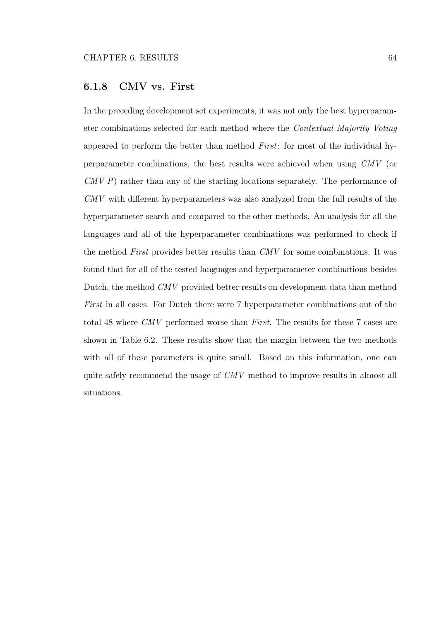## 6.1.8 CMV vs. First

In the preceding development set experiments, it was not only the best hyperparameter combinations selected for each method where the Contextual Majority Voting appeared to perform the better than method First: for most of the individual hyperparameter combinations, the best results were achieved when using CMV (or CMV-P) rather than any of the starting locations separately. The performance of CMV with diferent hyperparameters was also analyzed from the full results of the hyperparameter search and compared to the other methods. An analysis for all the languages and all of the hyperparameter combinations was performed to check if the method First provides better results than CMV for some combinations. It was found that for all of the tested languages and hyperparameter combinations besides Dutch, the method CMV provided better results on development data than method First in all cases. For Dutch there were 7 hyperparameter combinations out of the total 48 where CMV performed worse than First. The results for these 7 cases are shown in Table [6.2.](#page-72-0) These results show that the margin between the two methods with all of these parameters is quite small. Based on this information, one can quite safely recommend the usage of CMV method to improve results in almost all situations.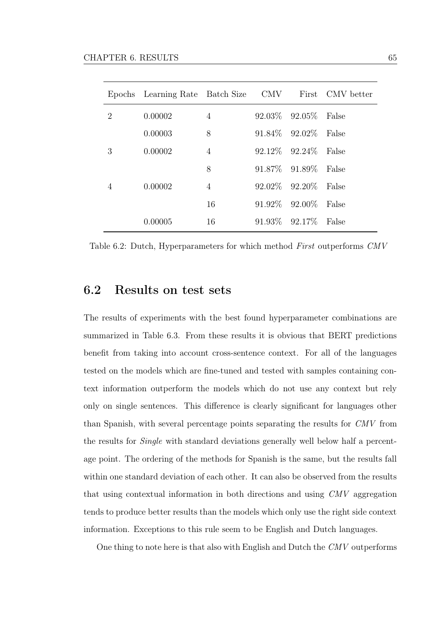|   | Epochs Learning Rate Batch Size CMV First CMV better |                |                           |       |
|---|------------------------------------------------------|----------------|---------------------------|-------|
| 2 | 0.00002                                              | $\overline{4}$ | 92.03\% 92.05\% False     |       |
|   | 0.00003                                              | 8              | 91.84\% 92.02\% False     |       |
| 3 | 0.00002                                              | $\overline{4}$ | $92.12\%$ $92.24\%$ False |       |
|   |                                                      | 8              | 91.87\% 91.89\% False     |       |
| 4 | 0.00002                                              | $\overline{4}$ | 92.02\% 92.20\% False     |       |
|   |                                                      | 16             | 91.92\% 92.00\% False     |       |
|   | 0.00005                                              | 16             | $91.93\%$ $92.17\%$       | False |

Table 6.2: Dutch, Hyperparameters for which method First outperforms CMV

## 6.2 Results on test sets

The results of experiments with the best found hyperparameter combinations are summarized in Table [6.3.](#page-73-0) From these results it is obvious that BERT predictions beneft from taking into account cross-sentence context. For all of the languages tested on the models which are fne-tuned and tested with samples containing context information outperform the models which do not use any context but rely only on single sentences. This diference is clearly signifcant for languages other than Spanish, with several percentage points separating the results for CMV from the results for Single with standard deviations generally well below half a percentage point. The ordering of the methods for Spanish is the same, but the results fall within one standard deviation of each other. It can also be observed from the results that using contextual information in both directions and using CMV aggregation tends to produce better results than the models which only use the right side context information. Exceptions to this rule seem to be English and Dutch languages.

One thing to note here is that also with English and Dutch the CMV outperforms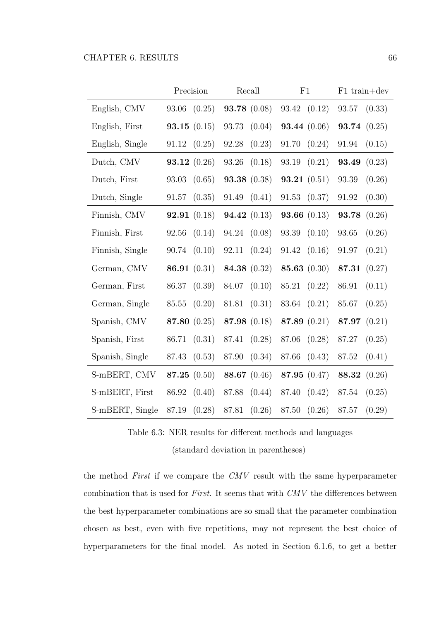<span id="page-73-0"></span>

|                 | Precision             | Recall                | F1                    | $F1 train+dev$        |
|-----------------|-----------------------|-----------------------|-----------------------|-----------------------|
| English, CMV    | (0.25)<br>93.06       | <b>93.78</b> $(0.08)$ | 93.42 (0.12)          | 93.57<br>(0.33)       |
| English, First  | <b>93.15</b> $(0.15)$ | 93.73<br>(0.04)       | <b>93.44</b> $(0.06)$ | <b>93.74</b> $(0.25)$ |
| English, Single | (0.25)<br>91.12       | 92.28<br>(0.23)       | 91.70(0.24)           | 91.94<br>(0.15)       |
| Dutch, CMV      | <b>93.12</b> $(0.26)$ | 93.26<br>(0.18)       | 93.19(0.21)           | 93.49<br>(0.23)       |
| Dutch, First    | 93.03<br>(0.65)       | <b>93.38</b> $(0.38)$ | <b>93.21</b> $(0.51)$ | 93.39<br>(0.26)       |
| Dutch, Single   | 91.57<br>(0.35)       | (0.41)<br>91.49       | 91.53<br>(0.37)       | (0.30)<br>91.92       |
| Finnish, CMV    | <b>92.91</b> $(0.18)$ | <b>94.42</b> $(0.13)$ | <b>93.66</b> $(0.13)$ | (0.26)<br>93.78       |
| Finnish, First  | 92.56<br>(0.14)       | 94.24 (0.08)          | 93.39<br>(0.10)       | 93.65<br>(0.26)       |
| Finnish, Single | (0.10)<br>90.74       | 92.11<br>(0.24)       | (0.16)<br>91.42       | 91.97<br>(0.21)       |
| German, CMV     | 86.91 $(0.31)$        | 84.38 (0.32)          | 85.63 $(0.30)$        | (0.27)<br>87.31       |
| German, First   | 86.37<br>(0.39)       | 84.07<br>(0.10)       | 85.21<br>(0.22)       | 86.91<br>(0.11)       |
| German, Single  | 85.55<br>(0.20)       | 81.81<br>(0.31)       | 83.64<br>(0.21)       | 85.67<br>(0.25)       |
| Spanish, CMV    | 87.80 (0.25)          | 87.98 (0.18)          | 87.89 $(0.21)$        | (0.21)<br>87.97       |
| Spanish, First  | 86.71<br>(0.31)       | (0.28)<br>87.41       | 87.06<br>(0.28)       | 87.27<br>(0.25)       |
| Spanish, Single | (0.53)<br>87.43       | (0.34)<br>87.90       | 87.66<br>(0.43)       | 87.52<br>(0.41)       |
| S-mBERT, CMV    | 87.25 $(0.50)$        | 88.67 (0.46)          | 87.95 (0.47)          | 88.32<br>(0.26)       |
| S-mBERT, First  | (0.40)<br>86.92       | 87.88<br>(0.44)       | 87.40<br>(0.42)       | 87.54<br>(0.25)       |
| S-mBERT, Single | $87.19\,$<br>(0.28)   | 87.81<br>(0.26)       | (0.26)<br>87.50       | 87.57<br>(0.29)       |

Table 6.3: NER results for diferent methods and languages (standard deviation in parentheses)

the method First if we compare the CMV result with the same hyperparameter combination that is used for First. It seems that with CMV the diferences between the best hyperparameter combinations are so small that the parameter combination chosen as best, even with fve repetitions, may not represent the best choice of hyperparameters for the fnal model. As noted in Section [6.1.6,](#page-68-0) to get a better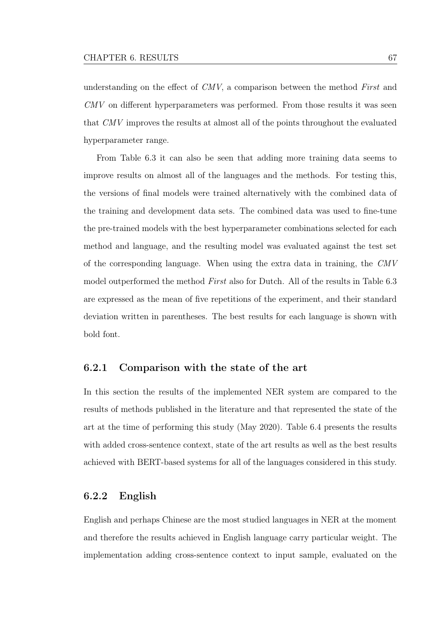understanding on the efect of CMV, a comparison between the method First and CMV on diferent hyperparameters was performed. From those results it was seen that CMV improves the results at almost all of the points throughout the evaluated hyperparameter range.

From Table [6.3](#page-73-0) it can also be seen that adding more training data seems to improve results on almost all of the languages and the methods. For testing this, the versions of fnal models were trained alternatively with the combined data of the training and development data sets. The combined data was used to fne-tune the pre-trained models with the best hyperparameter combinations selected for each method and language, and the resulting model was evaluated against the test set of the corresponding language. When using the extra data in training, the CMV model outperformed the method First also for Dutch. All of the results in Table [6.3](#page-73-0) are expressed as the mean of fve repetitions of the experiment, and their standard deviation written in parentheses. The best results for each language is shown with bold font.

### 6.2.1 Comparison with the state of the art

In this section the results of the implemented NER system are compared to the results of methods published in the literature and that represented the state of the art at the time of performing this study (May 2020). Table [6.4](#page-75-0) presents the results with added cross-sentence context, state of the art results as well as the best results achieved with BERT-based systems for all of the languages considered in this study.

### 6.2.2 English

English and perhaps Chinese are the most studied languages in NER at the moment and therefore the results achieved in English language carry particular weight. The implementation adding cross-sentence context to input sample, evaluated on the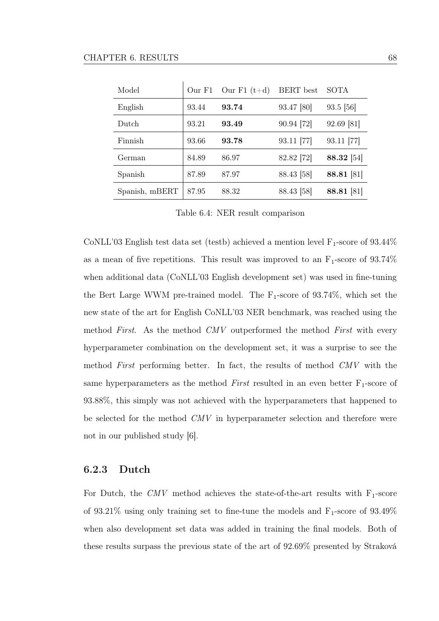<span id="page-75-0"></span>

| Model          | Our F1 | Our $F1(t+d)$ | <b>BERT</b> best | SOTA       |
|----------------|--------|---------------|------------------|------------|
| English        | 93.44  | 93.74         | 93.47 [80]       | 93.5 [56]  |
| Dutch          | 93.21  | 93.49         | 90.94 [72]       | 92.69 [81] |
| Finnish        | 93.66  | 93.78         | 93.11 [77]       | 93.11 [77] |
| German         | 84.89  | 86.97         | 82.82 [72]       | 88.32 [54] |
| Spanish        | 87.89  | 87.97         | 88.43 [58]       | 88.81 [81] |
| Spanish, mBERT | 87.95  | 88.32         | 88.43 [58]       | 88.81 [81] |

Table 6.4: NER result comparison

CoNLL'03 English test data set (testb) achieved a mention level  $F_1$ -score of 93.44% as a mean of five repetitions. This result was improved to an  $F_1$ -score of 93.74% when additional data (CoNLL'03 English development set) was used in fne-tuning the Bert Large WWM pre-trained model. The  $F_1$ -score of 93.74%, which set the new state of the art for English CoNLL'03 NER benchmark, was reached using the method First. As the method CMV outperformed the method First with every hyperparameter combination on the development set, it was a surprise to see the method First performing better. In fact, the results of method CMV with the same hyperparameters as the method First resulted in an even better  $F_1$ -score of 93.88%, this simply was not achieved with the hyperparameters that happened to be selected for the method CMV in hyperparameter selection and therefore were not in our published study [\[6\]](#page-81-0).

#### 6.2.3 Dutch

For Dutch, the CMV method achieves the state-of-the-art results with  $F_1$ -score of 93.21% using only training set to fine-tune the models and  $F_1$ -score of 93.49% when also development set data was added in training the fnal models. Both of these results surpass the previous state of the art of 92.69% presented by Straková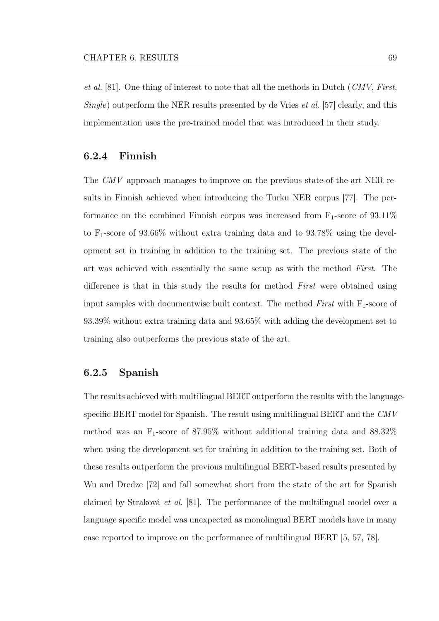et al. [\[81\]](#page-93-1). One thing of interest to note that all the methods in Dutch (CMV, First, Single) outperform the NER results presented by de Vries et al. [\[57\]](#page-89-2) clearly, and this implementation uses the pre-trained model that was introduced in their study.

#### 6.2.4 Finnish

The CMV approach manages to improve on the previous state-of-the-art NER results in Finnish achieved when introducing the Turku NER corpus [\[77\]](#page-92-0). The performance on the combined Finnish corpus was increased from  $F_1$ -score of 93.11% to  $F_1$ -score of 93.66% without extra training data and to 93.78% using the development set in training in addition to the training set. The previous state of the art was achieved with essentially the same setup as with the method First. The difference is that in this study the results for method First were obtained using input samples with documentwise built context. The method  $First$  with  $F_1$ -score of 93.39% without extra training data and 93.65% with adding the development set to training also outperforms the previous state of the art.

#### 6.2.5 Spanish

The results achieved with multilingual BERT outperform the results with the languagespecifc BERT model for Spanish. The result using multilingual BERT and the CMV method was an  $F_1$ -score of 87.95% without additional training data and 88.32% when using the development set for training in addition to the training set. Both of these results outperform the previous multilingual BERT-based results presented by Wu and Dredze [\[72\]](#page-91-0) and fall somewhat short from the state of the art for Spanish claimed by Straková et al. [\[81\]](#page-93-1). The performance of the multilingual model over a language specifc model was unexpected as monolingual BERT models have in many case reported to improve on the performance of multilingual BERT [\[5,](#page-81-1) [57,](#page-89-2) [78\]](#page-92-1).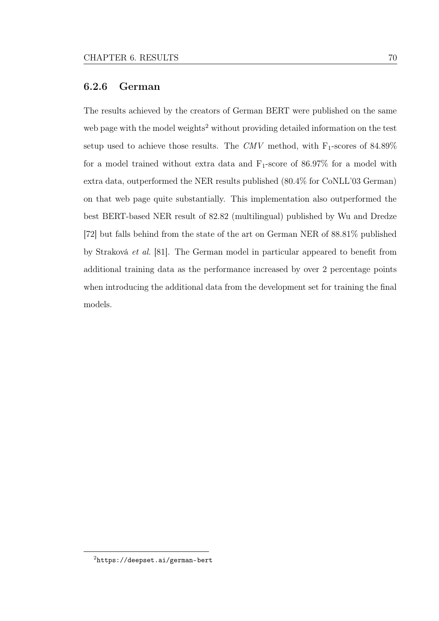#### 6.2.6 German

The results achieved by the creators of German BERT were published on the same web page with the model weights<sup>[2](#page-77-0)</sup> without providing detailed information on the test setup used to achieve those results. The CMV method, with  $F_1$ -scores of 84.89% for a model trained without extra data and  $F_1$ -score of 86.97% for a model with extra data, outperformed the NER results published (80.4% for CoNLL'03 German) on that web page quite substantially. This implementation also outperformed the best BERT-based NER result of 82.82 (multilingual) published by Wu and Dredze [\[72\]](#page-91-0) but falls behind from the state of the art on German NER of 88.81% published by Straková et al. [\[81\]](#page-93-1). The German model in particular appeared to beneft from additional training data as the performance increased by over 2 percentage points when introducing the additional data from the development set for training the fnal models.

<span id="page-77-0"></span><sup>2</sup><https://deepset.ai/german-bert>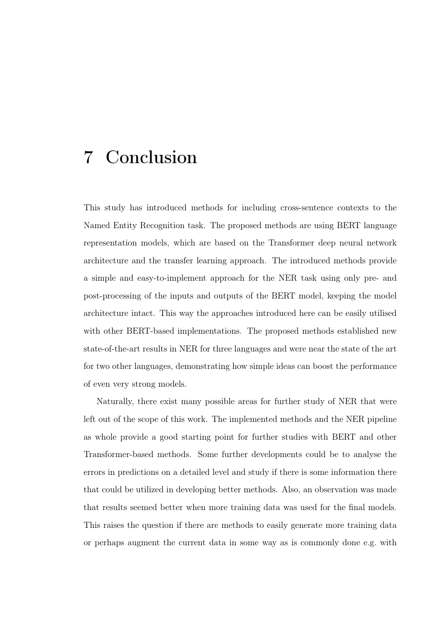# 7 Conclusion

This study has introduced methods for including cross-sentence contexts to the Named Entity Recognition task. The proposed methods are using BERT language representation models, which are based on the Transformer deep neural network architecture and the transfer learning approach. The introduced methods provide a simple and easy-to-implement approach for the NER task using only pre- and post-processing of the inputs and outputs of the BERT model, keeping the model architecture intact. This way the approaches introduced here can be easily utilised with other BERT-based implementations. The proposed methods established new state-of-the-art results in NER for three languages and were near the state of the art for two other languages, demonstrating how simple ideas can boost the performance of even very strong models.

Naturally, there exist many possible areas for further study of NER that were left out of the scope of this work. The implemented methods and the NER pipeline as whole provide a good starting point for further studies with BERT and other Transformer-based methods. Some further developments could be to analyse the errors in predictions on a detailed level and study if there is some information there that could be utilized in developing better methods. Also, an observation was made that results seemed better when more training data was used for the fnal models. This raises the question if there are methods to easily generate more training data or perhaps augment the current data in some way as is commonly done e.g. with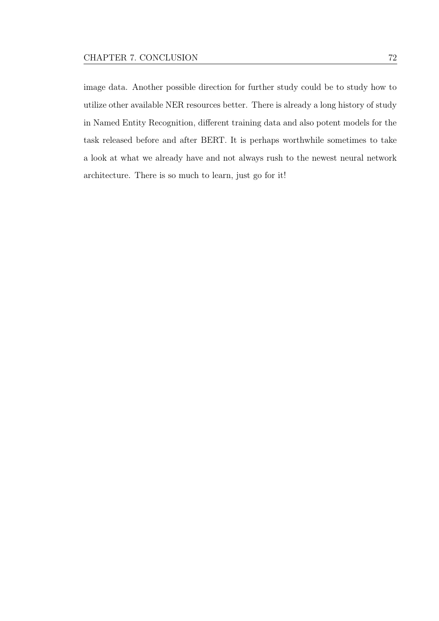image data. Another possible direction for further study could be to study how to utilize other available NER resources better. There is already a long history of study in Named Entity Recognition, diferent training data and also potent models for the task released before and after BERT. It is perhaps worthwhile sometimes to take a look at what we already have and not always rush to the newest neural network architecture. There is so much to learn, just go for it!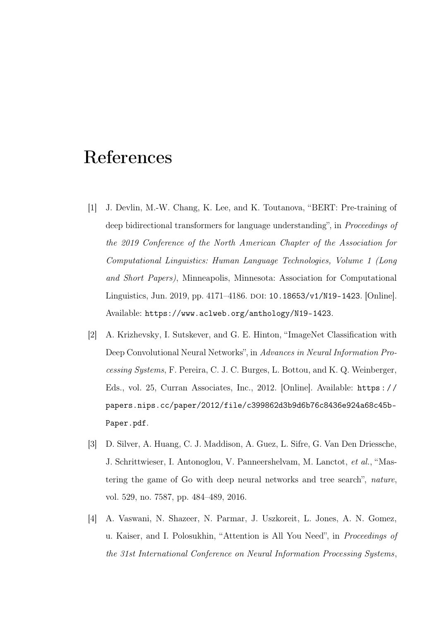# References

- [1] J. Devlin, M.-W. Chang, K. Lee, and K. Toutanova, "BERT: Pre-training of deep bidirectional transformers for language understanding", in Proceedings of the 2019 Conference of the North American Chapter of the Association for Computational Linguistics: Human Language Technologies, Volume 1 (Long and Short Papers), Minneapolis, Minnesota: Association for Computational Linguistics, Jun. 2019, pp. 4171–4186. DOI: [10.18653/v1/N19-1423](https://doi.org/10.18653/v1/N19-1423). [Online]. Available: <https://www.aclweb.org/anthology/N19-1423>.
- [2] A. Krizhevsky, I. Sutskever, and G. E. Hinton, "ImageNet Classifcation with Deep Convolutional Neural Networks", in Advances in Neural Information Processing Systems, F. Pereira, C. J. C. Burges, L. Bottou, and K. Q. Weinberger, Eds., vol. 25, Curran Associates, Inc., 2012. [Online]. Available: [https : / /](https://papers.nips.cc/paper/2012/file/c399862d3b9d6b76c8436e924a68c45b-Paper.pdf) [papers.nips.cc/paper/2012/file/c399862d3b9d6b76c8436e924a68c45b-](https://papers.nips.cc/paper/2012/file/c399862d3b9d6b76c8436e924a68c45b-Paper.pdf)[Paper.pdf](https://papers.nips.cc/paper/2012/file/c399862d3b9d6b76c8436e924a68c45b-Paper.pdf).
- [3] D. Silver, A. Huang, C. J. Maddison, A. Guez, L. Sifre, G. Van Den Driessche, J. Schrittwieser, I. Antonoglou, V. Panneershelvam, M. Lanctot, et al., "Mastering the game of Go with deep neural networks and tree search", nature, vol. 529, no. 7587, pp. 484–489, 2016.
- [4] A. Vaswani, N. Shazeer, N. Parmar, J. Uszkoreit, L. Jones, A. N. Gomez, u. Kaiser, and I. Polosukhin, "Attention is All You Need", in Proceedings of the 31st International Conference on Neural Information Processing Systems,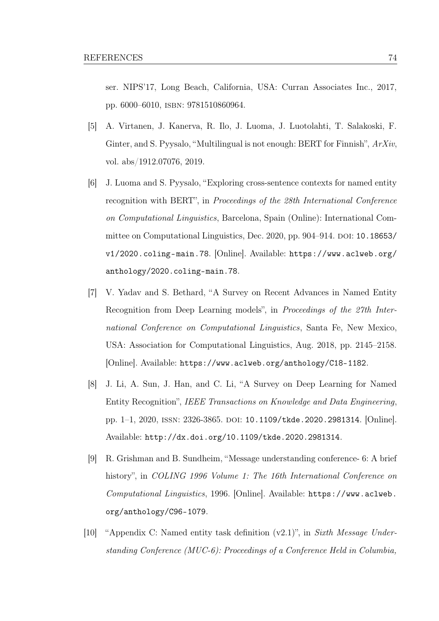ser. NIPS'17, Long Beach, California, USA: Curran Associates Inc., 2017, pp. 6000–6010, isbn: 9781510860964.

- <span id="page-81-1"></span>[5] A. Virtanen, J. Kanerva, R. Ilo, J. Luoma, J. Luotolahti, T. Salakoski, F. Ginter, and S. Pyysalo, "Multilingual is not enough: BERT for Finnish", ArXiv, vol. abs/1912.07076, 2019.
- <span id="page-81-0"></span>[6] J. Luoma and S. Pyysalo, "Exploring cross-sentence contexts for named entity recognition with BERT", in Proceedings of the 28th International Conference on Computational Linguistics, Barcelona, Spain (Online): International Com-mittee on Computational Linguistics, Dec. 2020, pp. 904–914. DOI: [10.18653/](https://doi.org/10.18653/v1/2020.coling-main.78) [v1/2020.coling-main.78](https://doi.org/10.18653/v1/2020.coling-main.78). [Online]. Available: [https://www.aclweb.org/](https://www.aclweb.org/anthology/2020.coling-main.78) [anthology/2020.coling-main.78](https://www.aclweb.org/anthology/2020.coling-main.78).
- [7] V. Yadav and S. Bethard, "A Survey on Recent Advances in Named Entity Recognition from Deep Learning models", in Proceedings of the 27th International Conference on Computational Linguistics, Santa Fe, New Mexico, USA: Association for Computational Linguistics, Aug. 2018, pp. 2145–2158. [Online]. Available: <https://www.aclweb.org/anthology/C18-1182>.
- [8] J. Li, A. Sun, J. Han, and C. Li, "A Survey on Deep Learning for Named Entity Recognition", IEEE Transactions on Knowledge and Data Engineering, pp. 1–1, 2020, issn: 2326-3865. doi: [10.1109/tkde.2020.2981314](https://doi.org/10.1109/tkde.2020.2981314). [Online]. Available: <http://dx.doi.org/10.1109/tkde.2020.2981314>.
- [9] R. Grishman and B. Sundheim, "Message understanding conference- 6: A brief history", in COLING 1996 Volume 1: The 16th International Conference on Computational Linguistics, 1996. [Online]. Available: [https://www.aclweb.](https://www.aclweb.org/anthology/C96-1079) [org/anthology/C96-1079](https://www.aclweb.org/anthology/C96-1079).
- [10] "Appendix C: Named entity task defnition (v2.1)", in Sixth Message Understanding Conference (MUC-6): Proceedings of a Conference Held in Columbia,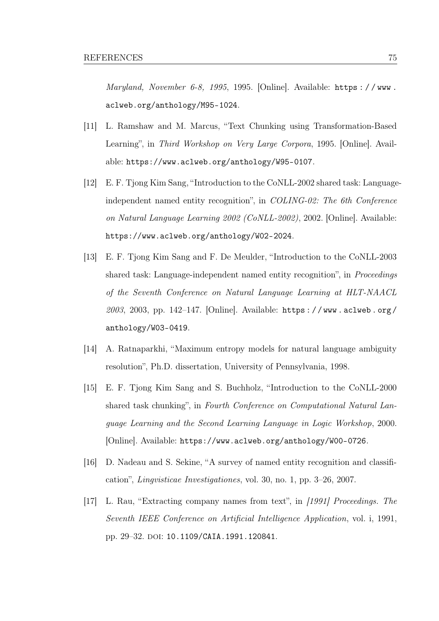Maryland, November 6-8, 1995, 1995. [Online]. Available: https://www. [aclweb.org/anthology/M95-1024](https://www.aclweb.org/anthology/M95-1024).

- [11] L. Ramshaw and M. Marcus, "Text Chunking using Transformation-Based Learning", in Third Workshop on Very Large Corpora, 1995. [Online]. Available: <https://www.aclweb.org/anthology/W95-0107>.
- [12] E. F. Tjong Kim Sang, "Introduction to the CoNLL-2002 shared task: Languageindependent named entity recognition", in COLING-02: The 6th Conference on Natural Language Learning 2002 (CoNLL-2002), 2002. [Online]. Available: <https://www.aclweb.org/anthology/W02-2024>.
- [13] E. F. Tjong Kim Sang and F. De Meulder, "Introduction to the CoNLL-2003 shared task: Language-independent named entity recognition", in *Proceedings* of the Seventh Conference on Natural Language Learning at HLT-NAACL 2003, 2003, pp. 142–147. [Online]. Available: [https : / / www . aclweb . org /](https://www.aclweb.org/anthology/W03-0419) [anthology/W03-0419](https://www.aclweb.org/anthology/W03-0419).
- [14] A. Ratnaparkhi, "Maximum entropy models for natural language ambiguity resolution", Ph.D. dissertation, University of Pennsylvania, 1998.
- [15] E. F. Tjong Kim Sang and S. Buchholz, "Introduction to the CoNLL-2000 shared task chunking", in Fourth Conference on Computational Natural Language Learning and the Second Learning Language in Logic Workshop, 2000. [Online]. Available: <https://www.aclweb.org/anthology/W00-0726>.
- [16] D. Nadeau and S. Sekine, "A survey of named entity recognition and classifcation", Lingvisticae Investigationes, vol. 30, no. 1, pp. 3–26, 2007.
- [17] L. Rau, "Extracting company names from text", in [1991] Proceedings. The Seventh IEEE Conference on Artifcial Intelligence Application, vol. i, 1991, pp. 29-32. DOI: [10.1109/CAIA.1991.120841](https://doi.org/10.1109/CAIA.1991.120841).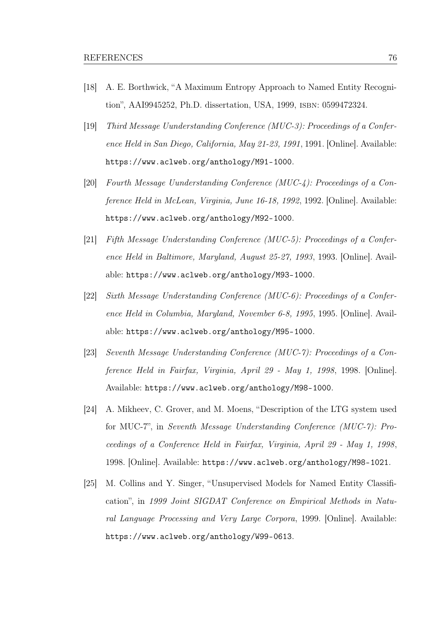- [18] A. E. Borthwick, "A Maximum Entropy Approach to Named Entity Recognition", AAI9945252, Ph.D. dissertation, USA, 1999, isbn: 0599472324.
- [19] Third Message Uunderstanding Conference (MUC-3): Proceedings of a Conference Held in San Diego, California, May 21-23, 1991, 1991. [Online]. Available: <https://www.aclweb.org/anthology/M91-1000>.
- [20] Fourth Message Uunderstanding Conference (MUC-4): Proceedings of a Conference Held in McLean, Virginia, June 16-18, 1992, 1992. [Online]. Available: <https://www.aclweb.org/anthology/M92-1000>.
- [21] Fifth Message Understanding Conference (MUC-5): Proceedings of a Conference Held in Baltimore, Maryland, August 25-27, 1993, 1993. [Online]. Available: <https://www.aclweb.org/anthology/M93-1000>.
- [22] Sixth Message Understanding Conference (MUC-6): Proceedings of a Conference Held in Columbia, Maryland, November 6-8, 1995, 1995. [Online]. Available: <https://www.aclweb.org/anthology/M95-1000>.
- [23] Seventh Message Understanding Conference (MUC-7): Proceedings of a Conference Held in Fairfax, Virginia, April 29 - May 1, 1998, 1998. [Online]. Available: <https://www.aclweb.org/anthology/M98-1000>.
- [24] A. Mikheev, C. Grover, and M. Moens, "Description of the LTG system used for MUC-7", in Seventh Message Understanding Conference (MUC-7): Proceedings of a Conference Held in Fairfax, Virginia, April 29 - May 1, 1998, 1998. [Online]. Available: <https://www.aclweb.org/anthology/M98-1021>.
- [25] M. Collins and Y. Singer, "Unsupervised Models for Named Entity Classifcation", in 1999 Joint SIGDAT Conference on Empirical Methods in Natural Language Processing and Very Large Corpora, 1999. [Online]. Available: <https://www.aclweb.org/anthology/W99-0613>.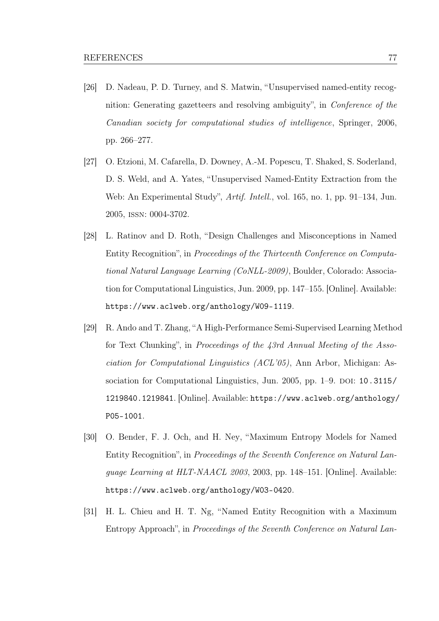- [26] D. Nadeau, P. D. Turney, and S. Matwin, "Unsupervised named-entity recognition: Generating gazetteers and resolving ambiguity", in Conference of the Canadian society for computational studies of intelligence, Springer, 2006, pp. 266–277.
- [27] O. Etzioni, M. Cafarella, D. Downey, A.-M. Popescu, T. Shaked, S. Soderland, D. S. Weld, and A. Yates, "Unsupervised Named-Entity Extraction from the Web: An Experimental Study", *Artif. Intell.*, vol. 165, no. 1, pp. 91–134, Jun. 2005, issn: 0004-3702.
- [28] L. Ratinov and D. Roth, "Design Challenges and Misconceptions in Named Entity Recognition", in Proceedings of the Thirteenth Conference on Computational Natural Language Learning (CoNLL-2009), Boulder, Colorado: Association for Computational Linguistics, Jun. 2009, pp. 147–155. [Online]. Available: <https://www.aclweb.org/anthology/W09-1119>.
- [29] R. Ando and T. Zhang, "A High-Performance Semi-Supervised Learning Method for Text Chunking", in Proceedings of the 43rd Annual Meeting of the Association for Computational Linguistics (ACL'05), Ann Arbor, Michigan: Association for Computational Linguistics, Jun. 2005, pp.  $1-9$ . DOI:  $10.3115/$ [1219840.1219841](https://doi.org/10.3115/1219840.1219841). [Online]. Available: [https://www.aclweb.org/anthology/](https://www.aclweb.org/anthology/P05-1001) [P05-1001](https://www.aclweb.org/anthology/P05-1001).
- [30] O. Bender, F. J. Och, and H. Ney, "Maximum Entropy Models for Named Entity Recognition", in Proceedings of the Seventh Conference on Natural Language Learning at HLT-NAACL 2003, 2003, pp. 148–151. [Online]. Available: <https://www.aclweb.org/anthology/W03-0420>.
- [31] H. L. Chieu and H. T. Ng, "Named Entity Recognition with a Maximum Entropy Approach", in Proceedings of the Seventh Conference on Natural Lan-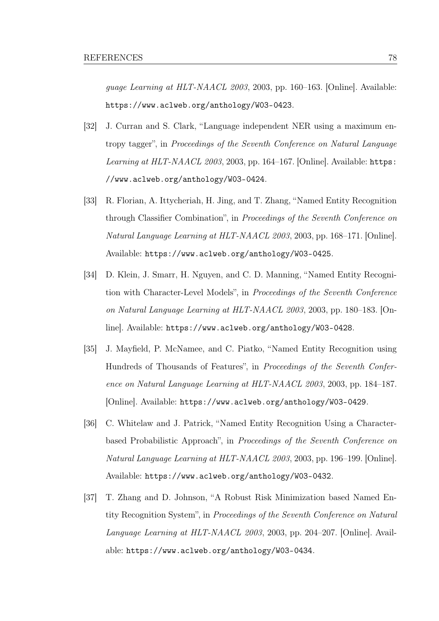guage Learning at HLT-NAACL 2003, 2003, pp. 160–163. [Online]. Available: <https://www.aclweb.org/anthology/W03-0423>.

- [32] J. Curran and S. Clark, "Language independent NER using a maximum entropy tagger", in Proceedings of the Seventh Conference on Natural Language Learning at HLT-NAACL 2003, 2003, pp. 164–167. [Online]. Available: [https:](https://www.aclweb.org/anthology/W03-0424) [//www.aclweb.org/anthology/W03-0424](https://www.aclweb.org/anthology/W03-0424).
- [33] R. Florian, A. Ittycheriah, H. Jing, and T. Zhang, "Named Entity Recognition through Classifer Combination", in Proceedings of the Seventh Conference on Natural Language Learning at HLT-NAACL 2003, 2003, pp. 168–171. [Online]. Available: <https://www.aclweb.org/anthology/W03-0425>.
- [34] D. Klein, J. Smarr, H. Nguyen, and C. D. Manning, "Named Entity Recognition with Character-Level Models", in Proceedings of the Seventh Conference on Natural Language Learning at HLT-NAACL 2003, 2003, pp. 180–183. [Online]. Available: <https://www.aclweb.org/anthology/W03-0428>.
- [35] J. Mayfeld, P. McNamee, and C. Piatko, "Named Entity Recognition using Hundreds of Thousands of Features", in Proceedings of the Seventh Conference on Natural Language Learning at HLT-NAACL 2003, 2003, pp. 184–187. [Online]. Available: <https://www.aclweb.org/anthology/W03-0429>.
- [36] C. Whitelaw and J. Patrick, "Named Entity Recognition Using a Characterbased Probabilistic Approach", in Proceedings of the Seventh Conference on Natural Language Learning at HLT-NAACL 2003, 2003, pp. 196–199. [Online]. Available: <https://www.aclweb.org/anthology/W03-0432>.
- [37] T. Zhang and D. Johnson, "A Robust Risk Minimization based Named Entity Recognition System", in Proceedings of the Seventh Conference on Natural Language Learning at HLT-NAACL 2003, 2003, pp. 204–207. [Online]. Available: <https://www.aclweb.org/anthology/W03-0434>.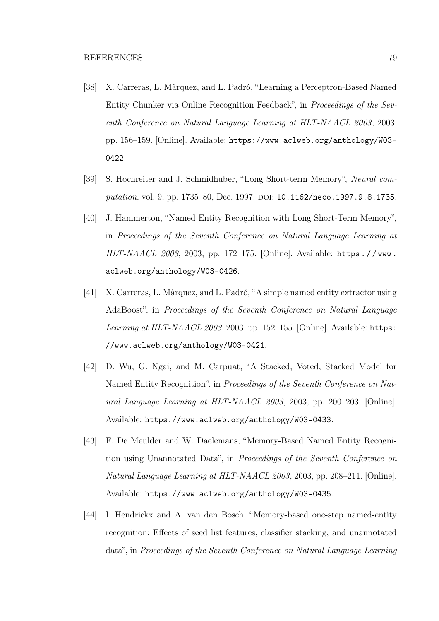- [38] X. Carreras, L. Màrquez, and L. Padró, "Learning a Perceptron-Based Named Entity Chunker via Online Recognition Feedback", in Proceedings of the Seventh Conference on Natural Language Learning at HLT-NAACL 2003, 2003, pp. 156–159. [Online]. Available: [https://www.aclweb.org/anthology/W03-](https://www.aclweb.org/anthology/W03-0422) [0422](https://www.aclweb.org/anthology/W03-0422).
- [39] S. Hochreiter and J. Schmidhuber, "Long Short-term Memory", Neural com-putation, vol. 9, pp. 1735–80, Dec. 1997. DOI: [10.1162/neco.1997.9.8.1735](https://doi.org/10.1162/neco.1997.9.8.1735).
- [40] J. Hammerton, "Named Entity Recognition with Long Short-Term Memory", in Proceedings of the Seventh Conference on Natural Language Learning at HLT-NAACL 2003, 2003, pp. 172–175. [Online]. Available: [https : / / www .](https://www.aclweb.org/anthology/W03-0426) [aclweb.org/anthology/W03-0426](https://www.aclweb.org/anthology/W03-0426).
- [41] X. Carreras, L. Màrquez, and L. Padró, "A simple named entity extractor using AdaBoost", in Proceedings of the Seventh Conference on Natural Language Learning at HLT-NAACL 2003, 2003, pp. 152-155. [Online]. Available: [https:](https://www.aclweb.org/anthology/W03-0421) [//www.aclweb.org/anthology/W03-0421](https://www.aclweb.org/anthology/W03-0421).
- [42] D. Wu, G. Ngai, and M. Carpuat, "A Stacked, Voted, Stacked Model for Named Entity Recognition", in Proceedings of the Seventh Conference on Natural Language Learning at HLT-NAACL 2003, 2003, pp. 200–203. [Online]. Available: <https://www.aclweb.org/anthology/W03-0433>.
- [43] F. De Meulder and W. Daelemans, "Memory-Based Named Entity Recognition using Unannotated Data", in Proceedings of the Seventh Conference on Natural Language Learning at HLT-NAACL 2003, 2003, pp. 208–211. [Online]. Available: <https://www.aclweb.org/anthology/W03-0435>.
- [44] I. Hendrickx and A. van den Bosch, "Memory-based one-step named-entity recognition: Efects of seed list features, classifer stacking, and unannotated data", in Proceedings of the Seventh Conference on Natural Language Learning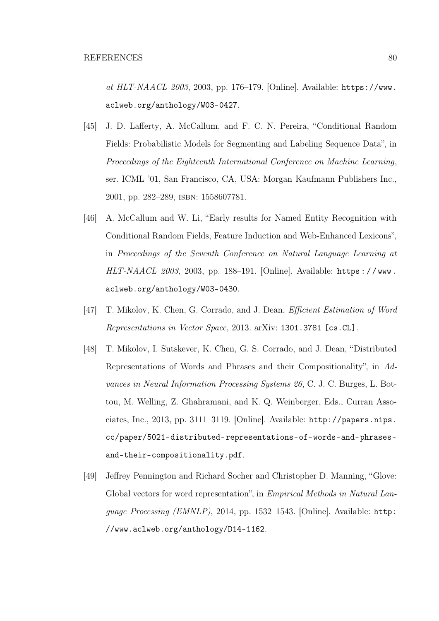at HLT-NAACL 2003, 2003, pp. 176–179. [Online]. Available: [https://www.](https://www.aclweb.org/anthology/W03-0427) [aclweb.org/anthology/W03-0427](https://www.aclweb.org/anthology/W03-0427).

- [45] J. D. Laferty, A. McCallum, and F. C. N. Pereira, "Conditional Random Fields: Probabilistic Models for Segmenting and Labeling Sequence Data", in Proceedings of the Eighteenth International Conference on Machine Learning, ser. ICML '01, San Francisco, CA, USA: Morgan Kaufmann Publishers Inc., 2001, pp. 282–289, isbn: 1558607781.
- [46] A. McCallum and W. Li, "Early results for Named Entity Recognition with Conditional Random Fields, Feature Induction and Web-Enhanced Lexicons", in Proceedings of the Seventh Conference on Natural Language Learning at HLT-NAACL 2003, 2003, pp. 188–191. [Online]. Available: [https : / / www .](https://www.aclweb.org/anthology/W03-0430) [aclweb.org/anthology/W03-0430](https://www.aclweb.org/anthology/W03-0430).
- [47] T. Mikolov, K. Chen, G. Corrado, and J. Dean, *Efficient Estimation of Word* Representations in Vector Space, 2013. arXiv: [1301.3781 \[cs.CL\]](https://arxiv.org/abs/1301.3781).
- [48] T. Mikolov, I. Sutskever, K. Chen, G. S. Corrado, and J. Dean, "Distributed Representations of Words and Phrases and their Compositionality", in Advances in Neural Information Processing Systems 26, C. J. C. Burges, L. Bottou, M. Welling, Z. Ghahramani, and K. Q. Weinberger, Eds., Curran Associates, Inc., 2013, pp. 3111–3119. [Online]. Available: [http://papers.nips.](http://papers.nips.cc/paper/5021-distributed-representations-of-words-and-phrases-and-their-compositionality.pdf) [cc/paper/5021-distributed-representations-of-words-and-phrases](http://papers.nips.cc/paper/5021-distributed-representations-of-words-and-phrases-and-their-compositionality.pdf)[and-their-compositionality.pdf](http://papers.nips.cc/paper/5021-distributed-representations-of-words-and-phrases-and-their-compositionality.pdf).
- [49] Jefrey Pennington and Richard Socher and Christopher D. Manning, "Glove: Global vectors for word representation", in Empirical Methods in Natural Language Processing (EMNLP), 2014, pp. 1532–1543. [Online]. Available: [http:](http://www.aclweb.org/anthology/D14-1162) [//www.aclweb.org/anthology/D14-1162](http://www.aclweb.org/anthology/D14-1162).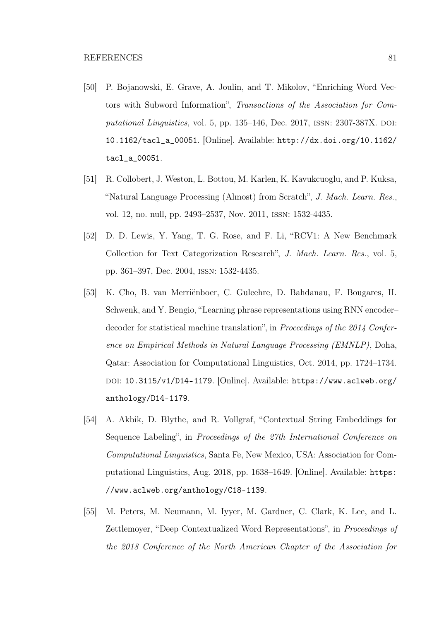- [50] P. Bojanowski, E. Grave, A. Joulin, and T. Mikolov, "Enriching Word Vectors with Subword Information", Transactions of the Association for Computational Linguistics, vol. 5, pp.  $135-146$ , Dec.  $2017$ , ISSN:  $2307-387X$ . DOI: [10.1162/tacl\\_a\\_00051](https://doi.org/10.1162/tacl_a_00051). [Online]. Available: [http://dx.doi.org/10.1162/](http://dx.doi.org/10.1162/tacl_a_00051) [tacl\\_a\\_00051](http://dx.doi.org/10.1162/tacl_a_00051).
- [51] R. Collobert, J. Weston, L. Bottou, M. Karlen, K. Kavukcuoglu, and P. Kuksa, "Natural Language Processing (Almost) from Scratch", J. Mach. Learn. Res., vol. 12, no. null, pp. 2493–2537, Nov. 2011, issn: 1532-4435.
- [52] D. D. Lewis, Y. Yang, T. G. Rose, and F. Li, "RCV1: A New Benchmark Collection for Text Categorization Research", J. Mach. Learn. Res., vol. 5, pp. 361–397, Dec. 2004, issn: 1532-4435.
- [53] K. Cho, B. van Merriënboer, C. Gulcehre, D. Bahdanau, F. Bougares, H. Schwenk, and Y. Bengio, "Learning phrase representations using RNN encoder– decoder for statistical machine translation", in Proceedings of the 2014 Conference on Empirical Methods in Natural Language Processing (EMNLP), Doha, Qatar: Association for Computational Linguistics, Oct. 2014, pp. 1724–1734. doi: [10.3115/v1/D14-1179](https://doi.org/10.3115/v1/D14-1179). [Online]. Available: [https://www.aclweb.org/](https://www.aclweb.org/anthology/D14-1179) [anthology/D14-1179](https://www.aclweb.org/anthology/D14-1179).
- <span id="page-88-0"></span>[54] A. Akbik, D. Blythe, and R. Vollgraf, "Contextual String Embeddings for Sequence Labeling", in Proceedings of the 27th International Conference on Computational Linguistics, Santa Fe, New Mexico, USA: Association for Computational Linguistics, Aug. 2018, pp. 1638–1649. [Online]. Available: [https:](https://www.aclweb.org/anthology/C18-1139) [//www.aclweb.org/anthology/C18-1139](https://www.aclweb.org/anthology/C18-1139).
- [55] M. Peters, M. Neumann, M. Iyyer, M. Gardner, C. Clark, K. Lee, and L. Zettlemoyer, "Deep Contextualized Word Representations", in Proceedings of the 2018 Conference of the North American Chapter of the Association for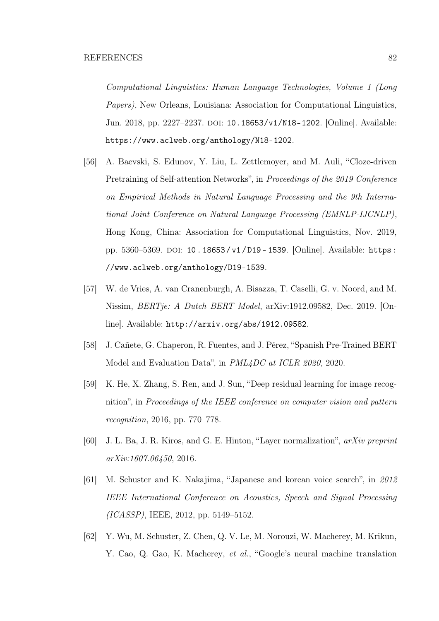Computational Linguistics: Human Language Technologies, Volume 1 (Long Papers), New Orleans, Louisiana: Association for Computational Linguistics, Jun. 2018, pp. 2227–2237. DOI: [10.18653/v1/N18-1202](https://doi.org/10.18653/v1/N18-1202). [Online]. Available: <https://www.aclweb.org/anthology/N18-1202>.

- <span id="page-89-0"></span>[56] A. Baevski, S. Edunov, Y. Liu, L. Zettlemoyer, and M. Auli, "Cloze-driven Pretraining of Self-attention Networks", in Proceedings of the 2019 Conference on Empirical Methods in Natural Language Processing and the 9th International Joint Conference on Natural Language Processing (EMNLP-IJCNLP), Hong Kong, China: Association for Computational Linguistics, Nov. 2019, pp. 5360–5369. doi: [10 . 18653 / v1 / D19 - 1539](https://doi.org/10.18653/v1/D19-1539). [Online]. Available: [https :](https://www.aclweb.org/anthology/D19-1539) [//www.aclweb.org/anthology/D19-1539](https://www.aclweb.org/anthology/D19-1539).
- <span id="page-89-2"></span>[57] W. de Vries, A. van Cranenburgh, A. Bisazza, T. Caselli, G. v. Noord, and M. Nissim, BERTje: A Dutch BERT Model, arXiv:1912.09582, Dec. 2019. [Online]. Available: <http://arxiv.org/abs/1912.09582>.
- <span id="page-89-1"></span>[58] J. Cañete, G. Chaperon, R. Fuentes, and J. Pérez, "Spanish Pre-Trained BERT Model and Evaluation Data", in PML4DC at ICLR 2020, 2020.
- [59] K. He, X. Zhang, S. Ren, and J. Sun, "Deep residual learning for image recognition", in Proceedings of the IEEE conference on computer vision and pattern recognition, 2016, pp. 770–778.
- [60] J. L. Ba, J. R. Kiros, and G. E. Hinton, "Layer normalization", arXiv preprint arXiv:1607.06450, 2016.
- [61] M. Schuster and K. Nakajima, "Japanese and korean voice search", in 2012 IEEE International Conference on Acoustics, Speech and Signal Processing (ICASSP), IEEE, 2012, pp. 5149–5152.
- [62] Y. Wu, M. Schuster, Z. Chen, Q. V. Le, M. Norouzi, W. Macherey, M. Krikun, Y. Cao, Q. Gao, K. Macherey, et al., "Google's neural machine translation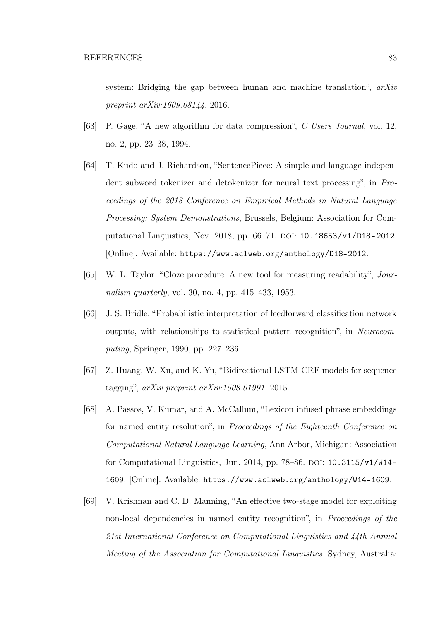system: Bridging the gap between human and machine translation",  $arXiv$ preprint arXiv:1609.08144, 2016.

- [63] P. Gage, "A new algorithm for data compression", C Users Journal, vol. 12, no. 2, pp. 23–38, 1994.
- [64] T. Kudo and J. Richardson, "SentencePiece: A simple and language independent subword tokenizer and detokenizer for neural text processing", in Proceedings of the 2018 Conference on Empirical Methods in Natural Language Processing: System Demonstrations, Brussels, Belgium: Association for Com-putational Linguistics, Nov. 2018, pp. 66–71. DOI: [10.18653/v1/D18-2012](https://doi.org/10.18653/v1/D18-2012). [Online]. Available: <https://www.aclweb.org/anthology/D18-2012>.
- [65] W. L. Taylor, "Cloze procedure: A new tool for measuring readability", Journalism quarterly, vol. 30, no. 4, pp. 415–433, 1953.
- [66] J. S. Bridle, "Probabilistic interpretation of feedforward classifcation network outputs, with relationships to statistical pattern recognition", in Neurocomputing, Springer, 1990, pp. 227–236.
- [67] Z. Huang, W. Xu, and K. Yu, "Bidirectional LSTM-CRF models for sequence tagging", arXiv preprint arXiv:1508.01991, 2015.
- [68] A. Passos, V. Kumar, and A. McCallum, "Lexicon infused phrase embeddings for named entity resolution", in Proceedings of the Eighteenth Conference on Computational Natural Language Learning, Ann Arbor, Michigan: Association for Computational Linguistics, Jun. 2014, pp.  $78-86$ . DOI:  $10.3115/v1/W14-$ [1609](https://doi.org/10.3115/v1/W14-1609). [Online]. Available: <https://www.aclweb.org/anthology/W14-1609>.
- [69] V. Krishnan and C. D. Manning, "An efective two-stage model for exploiting non-local dependencies in named entity recognition", in Proceedings of the 21st International Conference on Computational Linguistics and 44th Annual Meeting of the Association for Computational Linguistics, Sydney, Australia: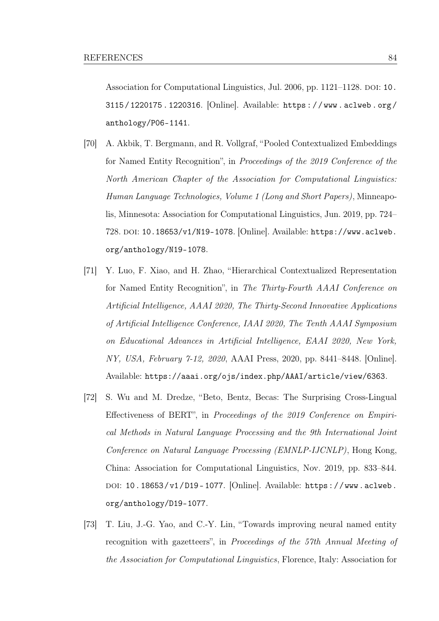Association for Computational Linguistics, Jul. 2006, pp. 1121–1128. DOI: [10.](https://doi.org/10.3115/1220175.1220316) [3115 / 1220175 . 1220316](https://doi.org/10.3115/1220175.1220316). [Online]. Available: [https : / / www . aclweb . org /](https://www.aclweb.org/anthology/P06-1141) [anthology/P06-1141](https://www.aclweb.org/anthology/P06-1141).

- [70] A. Akbik, T. Bergmann, and R. Vollgraf, "Pooled Contextualized Embeddings for Named Entity Recognition", in Proceedings of the 2019 Conference of the North American Chapter of the Association for Computational Linguistics: Human Language Technologies, Volume 1 (Long and Short Papers), Minneapolis, Minnesota: Association for Computational Linguistics, Jun. 2019, pp. 724– 728. doi: [10.18653/v1/N19-1078](https://doi.org/10.18653/v1/N19-1078). [Online]. Available: [https://www.aclweb.](https://www.aclweb.org/anthology/N19-1078) [org/anthology/N19-1078](https://www.aclweb.org/anthology/N19-1078).
- [71] Y. Luo, F. Xiao, and H. Zhao, "Hierarchical Contextualized Representation for Named Entity Recognition", in The Thirty-Fourth AAAI Conference on Artifcial Intelligence, AAAI 2020, The Thirty-Second Innovative Applications of Artifcial Intelligence Conference, IAAI 2020, The Tenth AAAI Symposium on Educational Advances in Artifcial Intelligence, EAAI 2020, New York, NY, USA, February 7-12, 2020, AAAI Press, 2020, pp. 8441–8448. [Online]. Available: <https://aaai.org/ojs/index.php/AAAI/article/view/6363>.
- <span id="page-91-0"></span>[72] S. Wu and M. Dredze, "Beto, Bentz, Becas: The Surprising Cross-Lingual Efectiveness of BERT", in Proceedings of the 2019 Conference on Empirical Methods in Natural Language Processing and the 9th International Joint Conference on Natural Language Processing (EMNLP-IJCNLP), Hong Kong, China: Association for Computational Linguistics, Nov. 2019, pp. 833–844. doi: [10.18653/v1/D19- 1077](https://doi.org/10.18653/v1/D19-1077). [Online]. Available: [https://www.aclweb.](https://www.aclweb.org/anthology/D19-1077) [org/anthology/D19-1077](https://www.aclweb.org/anthology/D19-1077).
- [73] T. Liu, J.-G. Yao, and C.-Y. Lin, "Towards improving neural named entity recognition with gazetteers", in Proceedings of the 57th Annual Meeting of the Association for Computational Linguistics, Florence, Italy: Association for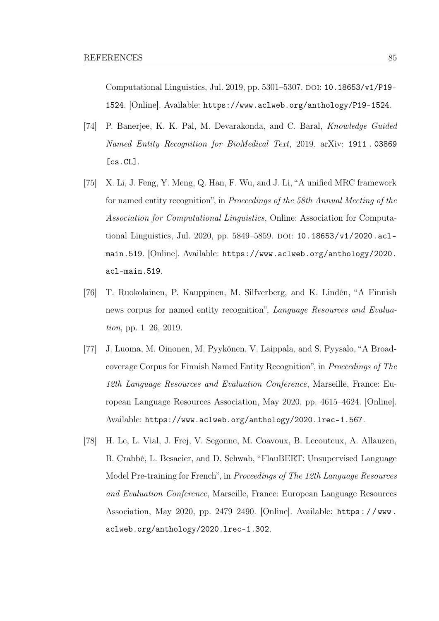Computational Linguistics, Jul. 2019, pp.  $5301-5307$ . DOI: [10.18653/v1/P19-](https://doi.org/10.18653/v1/P19-1524) [1524](https://doi.org/10.18653/v1/P19-1524). [Online]. Available: <https://www.aclweb.org/anthology/P19-1524>.

- [74] P. Banerjee, K. K. Pal, M. Devarakonda, and C. Baral, Knowledge Guided Named Entity Recognition for BioMedical Text, 2019. arXiv: [1911 . 03869](https://arxiv.org/abs/1911.03869) [\[cs.CL\]](https://arxiv.org/abs/1911.03869).
- [75] X. Li, J. Feng, Y. Meng, Q. Han, F. Wu, and J. Li, "A unifed MRC framework for named entity recognition", in Proceedings of the 58th Annual Meeting of the Association for Computational Linguistics, Online: Association for Computa-tional Linguistics, Jul. 2020, pp. 5849-5859. DOI: [10.18653/v1/2020.acl](https://doi.org/10.18653/v1/2020.acl-main.519)[main.519](https://doi.org/10.18653/v1/2020.acl-main.519). [Online]. Available: [https://www.aclweb.org/anthology/2020.](https://www.aclweb.org/anthology/2020.acl-main.519) [acl-main.519](https://www.aclweb.org/anthology/2020.acl-main.519).
- [76] T. Ruokolainen, P. Kauppinen, M. Silfverberg, and K. Lindén, "A Finnish news corpus for named entity recognition", Language Resources and Evaluation, pp. 1–26, 2019.
- <span id="page-92-0"></span>[77] J. Luoma, M. Oinonen, M. Pyykönen, V. Laippala, and S. Pyysalo, "A Broadcoverage Corpus for Finnish Named Entity Recognition", in Proceedings of The 12th Language Resources and Evaluation Conference, Marseille, France: European Language Resources Association, May 2020, pp. 4615–4624. [Online]. Available: <https://www.aclweb.org/anthology/2020.lrec-1.567>.
- <span id="page-92-1"></span>[78] H. Le, L. Vial, J. Frej, V. Segonne, M. Coavoux, B. Lecouteux, A. Allauzen, B. Crabbé, L. Besacier, and D. Schwab, "FlauBERT: Unsupervised Language Model Pre-training for French", in Proceedings of The 12th Language Resources and Evaluation Conference, Marseille, France: European Language Resources Association, May 2020, pp. 2479–2490. [Online]. Available: [https : / / www .](https://www.aclweb.org/anthology/2020.lrec-1.302) [aclweb.org/anthology/2020.lrec-1.302](https://www.aclweb.org/anthology/2020.lrec-1.302).